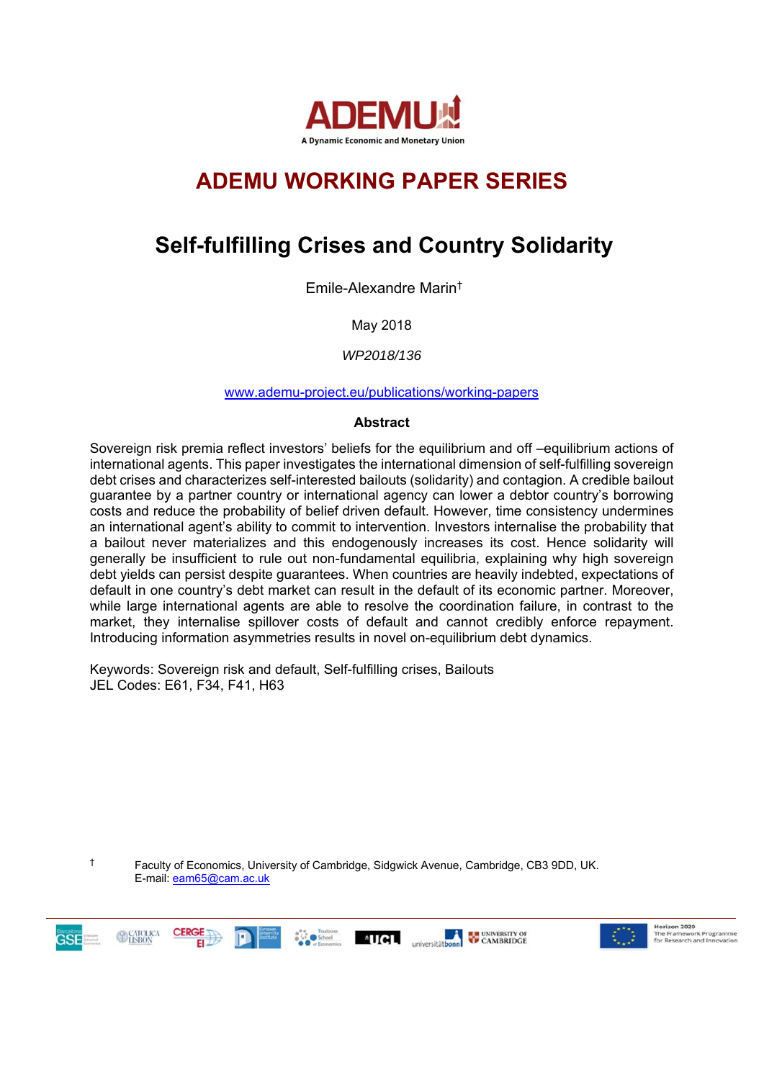

# **ADEMU WORKING PAPER SERIES**

# **Self-fulfilling Crises and Country Solidarity**

Emile-Alexandre Marin†

May 2018

*WP2018/136* 

www.ademu-project.eu/publications/working-papers

### **Abstract**

Sovereign risk premia reflect investors' beliefs for the equilibrium and off –equilibrium actions of international agents. This paper investigates the international dimension of self-fulfilling sovereign debt crises and characterizes self-interested bailouts (solidarity) and contagion. A credible bailout guarantee by a partner country or international agency can lower a debtor country's borrowing costs and reduce the probability of belief driven default. However, time consistency undermines an international agent's ability to commit to intervention. Investors internalise the probability that a bailout never materializes and this endogenously increases its cost. Hence solidarity will generally be insufficient to rule out non-fundamental equilibria, explaining why high sovereign debt yields can persist despite guarantees. When countries are heavily indebted, expectations of default in one country's debt market can result in the default of its economic partner. Moreover, while large international agents are able to resolve the coordination failure, in contrast to the market, they internalise spillover costs of default and cannot credibly enforce repayment. Introducing information asymmetries results in novel on-equilibrium debt dynamics.

Keywords: Sovereign risk and default, Self-fulfilling crises, Bailouts JEL Codes: E61, F34, F41, H63

† Faculty of Economics, University of Cambridge, Sidgwick Avenue, Cambridge, CB3 9DD, UK. E-mail: eam65@cam.ac.uk

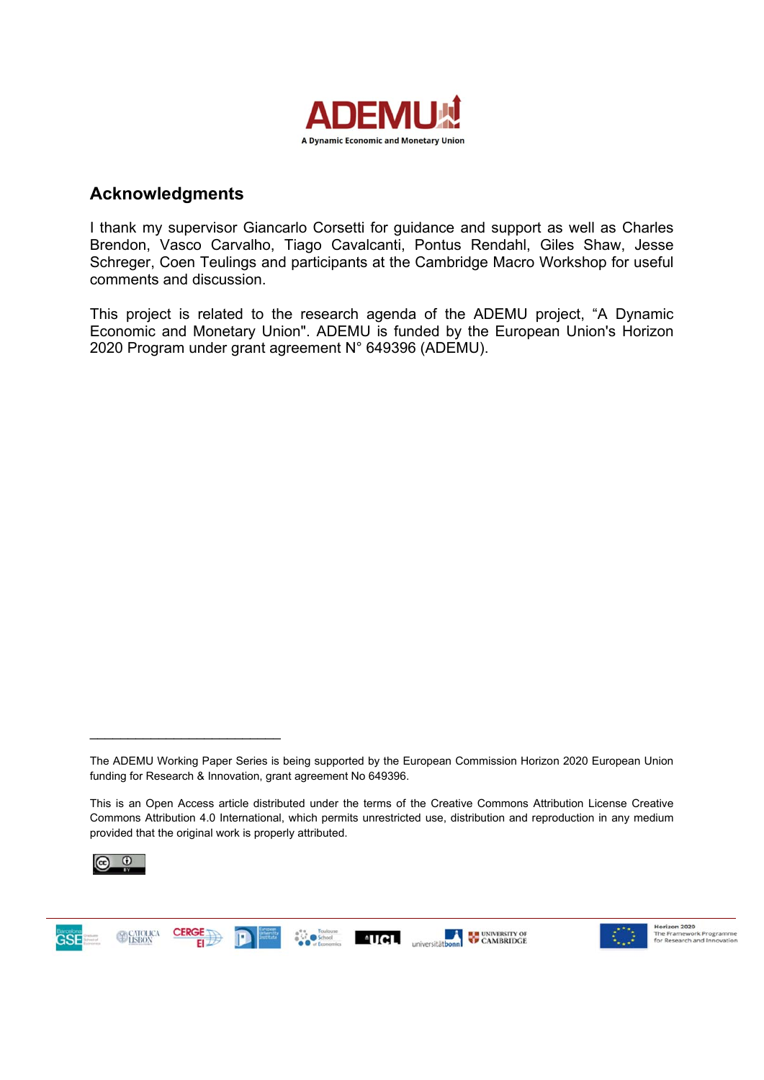

### **Acknowledgments**

I thank my supervisor Giancarlo Corsetti for guidance and support as well as Charles Brendon, Vasco Carvalho, Tiago Cavalcanti, Pontus Rendahl, Giles Shaw, Jesse Schreger, Coen Teulings and participants at the Cambridge Macro Workshop for useful comments and discussion.

This project is related to the research agenda of the ADEMU project, "A Dynamic Economic and Monetary Union". ADEMU is funded by the European Union's Horizon 2020 Program under grant agreement N° 649396 (ADEMU).

This is an Open Access article distributed under the terms of the Creative Commons Attribution License Creative Commons Attribution 4.0 International, which permits unrestricted use, distribution and reproduction in any medium provided that the original work is properly attributed.



 $\mathcal{L}=\mathcal{L}^{\mathcal{L}}$  , where  $\mathcal{L}^{\mathcal{L}}$  , we have the set of the set of the set of the set of the set of the set of the set of the set of the set of the set of the set of the set of the set of the set of the set of





The ADEMU Working Paper Series is being supported by the European Commission Horizon 2020 European Union funding for Research & Innovation, grant agreement No 649396.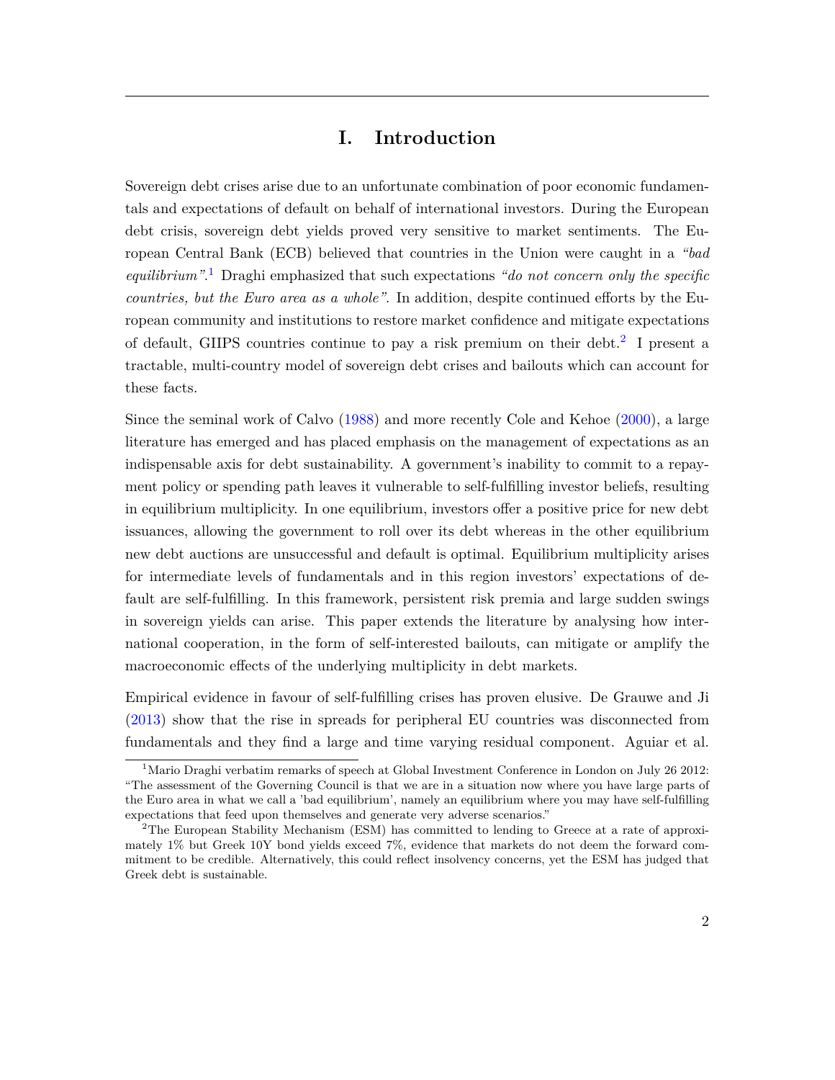### **I. Introduction**

Sovereign debt crises arise due to an unfortunate combination of poor economic fundamentals and expectations of default on behalf of international investors. During the European debt crisis, sovereign debt yields proved very sensitive to market sentiments. The European Central Bank (ECB) believed that countries in the Union were caught in a *"bad equilibrium"*. [1](#page-2-0) Draghi emphasized that such expectations *"do not concern only the specific countries, but the Euro area as a whole"*. In addition, despite continued efforts by the European community and institutions to restore market confidence and mitigate expectations of default, GIIPS countries continue to pay a risk premium on their debt.<sup>[2](#page-2-1)</sup> I present a tractable, multi-country model of sovereign debt crises and bailouts which can account for these facts.

Since the seminal work of Calvo [\(1988\)](#page-29-0) and more recently Cole and Kehoe [\(2000\)](#page-30-0), a large literature has emerged and has placed emphasis on the management of expectations as an indispensable axis for debt sustainability. A government's inability to commit to a repayment policy or spending path leaves it vulnerable to self-fulfilling investor beliefs, resulting in equilibrium multiplicity. In one equilibrium, investors offer a positive price for new debt issuances, allowing the government to roll over its debt whereas in the other equilibrium new debt auctions are unsuccessful and default is optimal. Equilibrium multiplicity arises for intermediate levels of fundamentals and in this region investors' expectations of default are self-fulfilling. In this framework, persistent risk premia and large sudden swings in sovereign yields can arise. This paper extends the literature by analysing how international cooperation, in the form of self-interested bailouts, can mitigate or amplify the macroeconomic effects of the underlying multiplicity in debt markets.

Empirical evidence in favour of self-fulfilling crises has proven elusive. De Grauwe and Ji [\(2013\)](#page-30-1) show that the rise in spreads for peripheral EU countries was disconnected from fundamentals and they find a large and time varying residual component. Aguiar et al.

<span id="page-2-0"></span><sup>&</sup>lt;sup>1</sup>Mario Draghi verbatim remarks of speech at Global Investment Conference in London on July 26 2012: "The assessment of the Governing Council is that we are in a situation now where you have large parts of the Euro area in what we call a 'bad equilibrium', namely an equilibrium where you may have self-fulfilling expectations that feed upon themselves and generate very adverse scenarios."

<span id="page-2-1"></span><sup>&</sup>lt;sup>2</sup>The European Stability Mechanism (ESM) has committed to lending to Greece at a rate of approximately 1% but Greek 10Y bond yields exceed 7%, evidence that markets do not deem the forward commitment to be credible. Alternatively, this could reflect insolvency concerns, yet the ESM has judged that Greek debt is sustainable.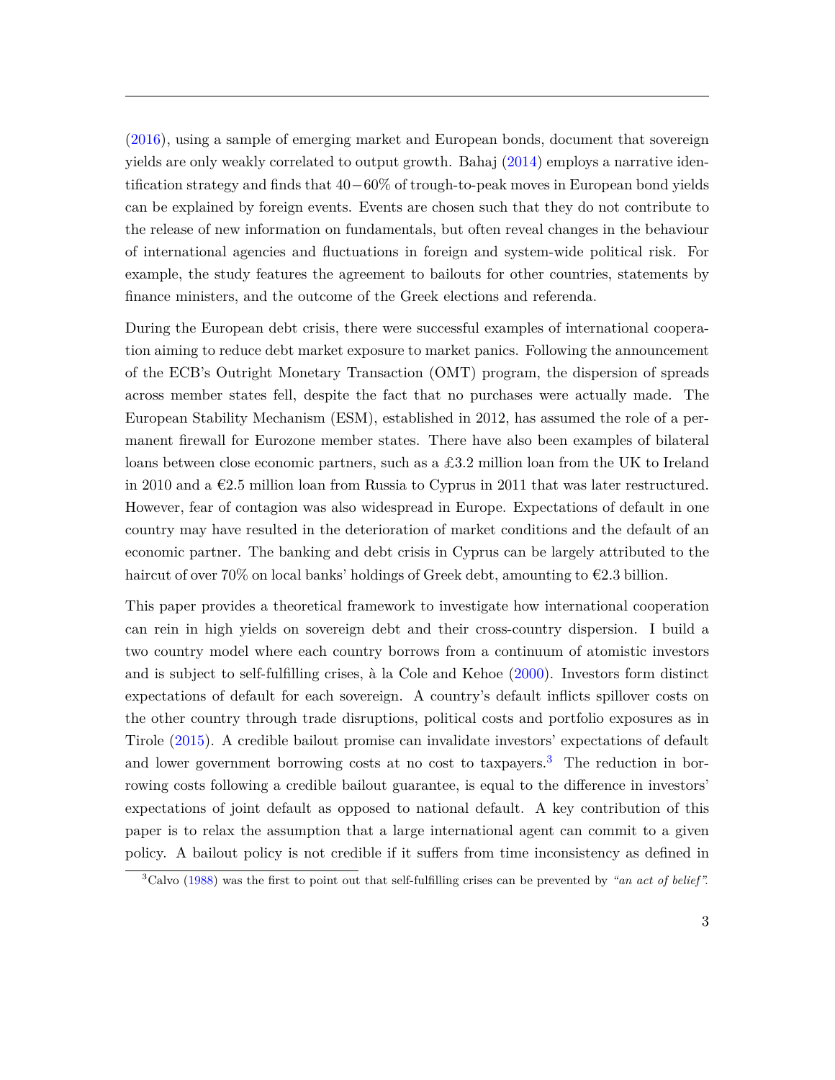[\(2016\)](#page-29-1), using a sample of emerging market and European bonds, document that sovereign yields are only weakly correlated to output growth. Bahaj [\(2014\)](#page-29-2) employs a narrative identification strategy and finds that 40−60% of trough-to-peak moves in European bond yields can be explained by foreign events. Events are chosen such that they do not contribute to the release of new information on fundamentals, but often reveal changes in the behaviour of international agencies and fluctuations in foreign and system-wide political risk. For example, the study features the agreement to bailouts for other countries, statements by finance ministers, and the outcome of the Greek elections and referenda.

During the European debt crisis, there were successful examples of international cooperation aiming to reduce debt market exposure to market panics. Following the announcement of the ECB's Outright Monetary Transaction (OMT) program, the dispersion of spreads across member states fell, despite the fact that no purchases were actually made. The European Stability Mechanism (ESM), established in 2012, has assumed the role of a permanent firewall for Eurozone member states. There have also been examples of bilateral loans between close economic partners, such as a £3.2 million loan from the UK to Ireland in 2010 and a  $\epsilon$ 2.5 million loan from Russia to Cyprus in 2011 that was later restructured. However, fear of contagion was also widespread in Europe. Expectations of default in one country may have resulted in the deterioration of market conditions and the default of an economic partner. The banking and debt crisis in Cyprus can be largely attributed to the haircut of over 70% on local banks' holdings of Greek debt, amounting to  $\epsilon$ 2.3 billion.

This paper provides a theoretical framework to investigate how international cooperation can rein in high yields on sovereign debt and their cross-country dispersion. I build a two country model where each country borrows from a continuum of atomistic investors and is subject to self-fulfilling crises, à la Cole and Kehoe  $(2000)$ . Investors form distinct expectations of default for each sovereign. A country's default inflicts spillover costs on the other country through trade disruptions, political costs and portfolio exposures as in Tirole [\(2015\)](#page-31-0). A credible bailout promise can invalidate investors' expectations of default and lower government borrowing costs at no cost to taxpayers.<sup>[3](#page-3-0)</sup> The reduction in borrowing costs following a credible bailout guarantee, is equal to the difference in investors' expectations of joint default as opposed to national default. A key contribution of this paper is to relax the assumption that a large international agent can commit to a given policy. A bailout policy is not credible if it suffers from time inconsistency as defined in

<span id="page-3-0"></span><sup>3</sup>Calvo [\(1988\)](#page-29-0) was the first to point out that self-fulfilling crises can be prevented by *"an act of belief".*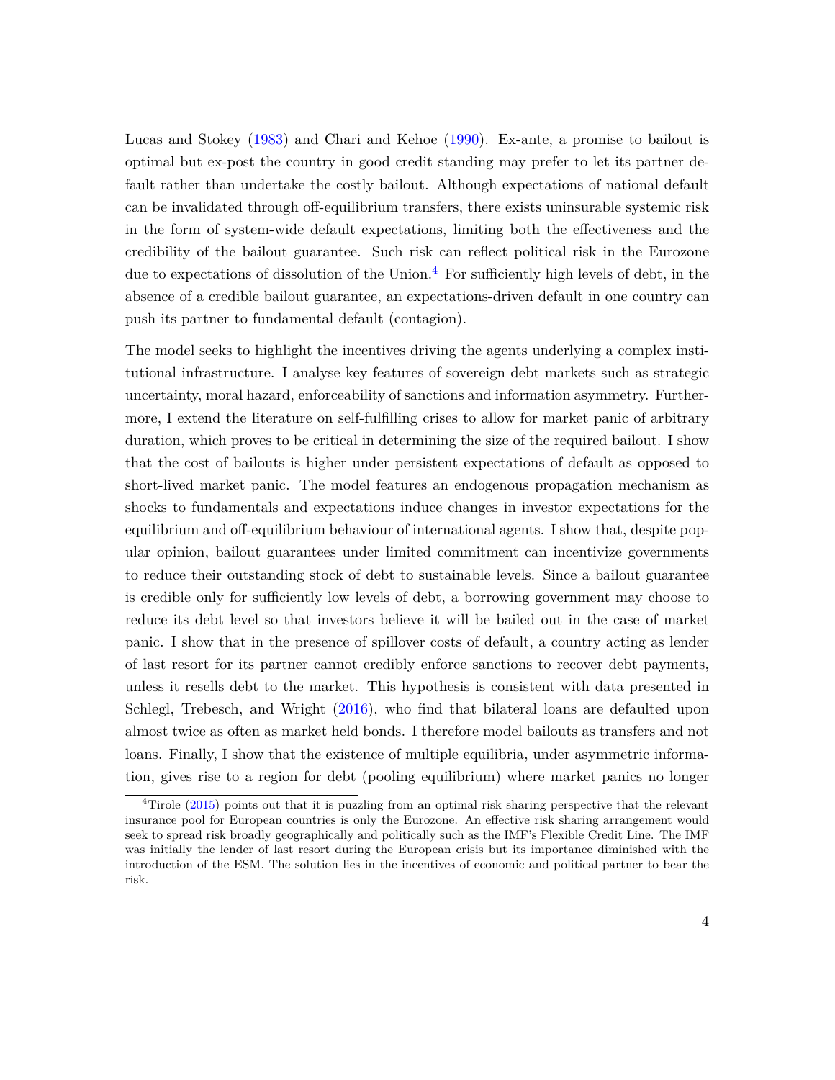Lucas and Stokey [\(1983\)](#page-30-2) and Chari and Kehoe [\(1990\)](#page-30-3). Ex-ante, a promise to bailout is optimal but ex-post the country in good credit standing may prefer to let its partner default rather than undertake the costly bailout. Although expectations of national default can be invalidated through off-equilibrium transfers, there exists uninsurable systemic risk in the form of system-wide default expectations, limiting both the effectiveness and the credibility of the bailout guarantee. Such risk can reflect political risk in the Eurozone due to expectations of dissolution of the Union.<sup>[4](#page-4-0)</sup> For sufficiently high levels of debt, in the absence of a credible bailout guarantee, an expectations-driven default in one country can push its partner to fundamental default (contagion).

The model seeks to highlight the incentives driving the agents underlying a complex institutional infrastructure. I analyse key features of sovereign debt markets such as strategic uncertainty, moral hazard, enforceability of sanctions and information asymmetry. Furthermore, I extend the literature on self-fulfilling crises to allow for market panic of arbitrary duration, which proves to be critical in determining the size of the required bailout. I show that the cost of bailouts is higher under persistent expectations of default as opposed to short-lived market panic. The model features an endogenous propagation mechanism as shocks to fundamentals and expectations induce changes in investor expectations for the equilibrium and off-equilibrium behaviour of international agents. I show that, despite popular opinion, bailout guarantees under limited commitment can incentivize governments to reduce their outstanding stock of debt to sustainable levels. Since a bailout guarantee is credible only for sufficiently low levels of debt, a borrowing government may choose to reduce its debt level so that investors believe it will be bailed out in the case of market panic. I show that in the presence of spillover costs of default, a country acting as lender of last resort for its partner cannot credibly enforce sanctions to recover debt payments, unless it resells debt to the market. This hypothesis is consistent with data presented in Schlegl, Trebesch, and Wright [\(2016\)](#page-31-1), who find that bilateral loans are defaulted upon almost twice as often as market held bonds. I therefore model bailouts as transfers and not loans. Finally, I show that the existence of multiple equilibria, under asymmetric information, gives rise to a region for debt (pooling equilibrium) where market panics no longer

<span id="page-4-0"></span><sup>&</sup>lt;sup>4</sup>Tirole  $(2015)$  points out that it is puzzling from an optimal risk sharing perspective that the relevant insurance pool for European countries is only the Eurozone. An effective risk sharing arrangement would seek to spread risk broadly geographically and politically such as the IMF's Flexible Credit Line. The IMF was initially the lender of last resort during the European crisis but its importance diminished with the introduction of the ESM. The solution lies in the incentives of economic and political partner to bear the risk.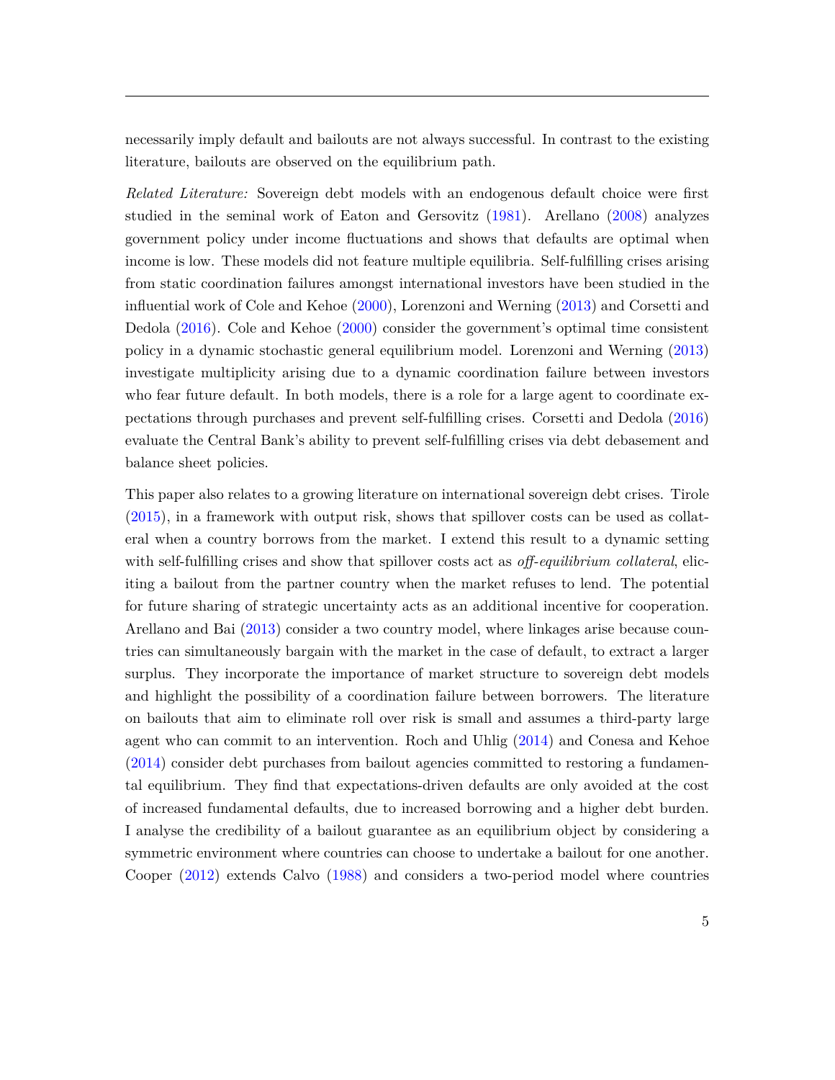necessarily imply default and bailouts are not always successful. In contrast to the existing literature, bailouts are observed on the equilibrium path.

*Related Literature:* Sovereign debt models with an endogenous default choice were first studied in the seminal work of Eaton and Gersovitz [\(1981\)](#page-30-4). Arellano [\(2008\)](#page-29-3) analyzes government policy under income fluctuations and shows that defaults are optimal when income is low. These models did not feature multiple equilibria. Self-fulfilling crises arising from static coordination failures amongst international investors have been studied in the influential work of Cole and Kehoe [\(2000\)](#page-30-0), Lorenzoni and Werning [\(2013\)](#page-30-5) and Corsetti and Dedola [\(2016\)](#page-30-6). Cole and Kehoe [\(2000\)](#page-30-0) consider the government's optimal time consistent policy in a dynamic stochastic general equilibrium model. Lorenzoni and Werning [\(2013\)](#page-30-5) investigate multiplicity arising due to a dynamic coordination failure between investors who fear future default. In both models, there is a role for a large agent to coordinate expectations through purchases and prevent self-fulfilling crises. Corsetti and Dedola [\(2016\)](#page-30-6) evaluate the Central Bank's ability to prevent self-fulfilling crises via debt debasement and balance sheet policies.

This paper also relates to a growing literature on international sovereign debt crises. Tirole [\(2015\)](#page-31-0), in a framework with output risk, shows that spillover costs can be used as collateral when a country borrows from the market. I extend this result to a dynamic setting with self-fulfilling crises and show that spillover costs act as *off-equilibrium collateral*, eliciting a bailout from the partner country when the market refuses to lend. The potential for future sharing of strategic uncertainty acts as an additional incentive for cooperation. Arellano and Bai [\(2013\)](#page-29-4) consider a two country model, where linkages arise because countries can simultaneously bargain with the market in the case of default, to extract a larger surplus. They incorporate the importance of market structure to sovereign debt models and highlight the possibility of a coordination failure between borrowers. The literature on bailouts that aim to eliminate roll over risk is small and assumes a third-party large agent who can commit to an intervention. Roch and Uhlig [\(2014\)](#page-31-2) and Conesa and Kehoe [\(2014\)](#page-30-7) consider debt purchases from bailout agencies committed to restoring a fundamental equilibrium. They find that expectations-driven defaults are only avoided at the cost of increased fundamental defaults, due to increased borrowing and a higher debt burden. I analyse the credibility of a bailout guarantee as an equilibrium object by considering a symmetric environment where countries can choose to undertake a bailout for one another. Cooper [\(2012\)](#page-30-8) extends Calvo [\(1988\)](#page-29-0) and considers a two-period model where countries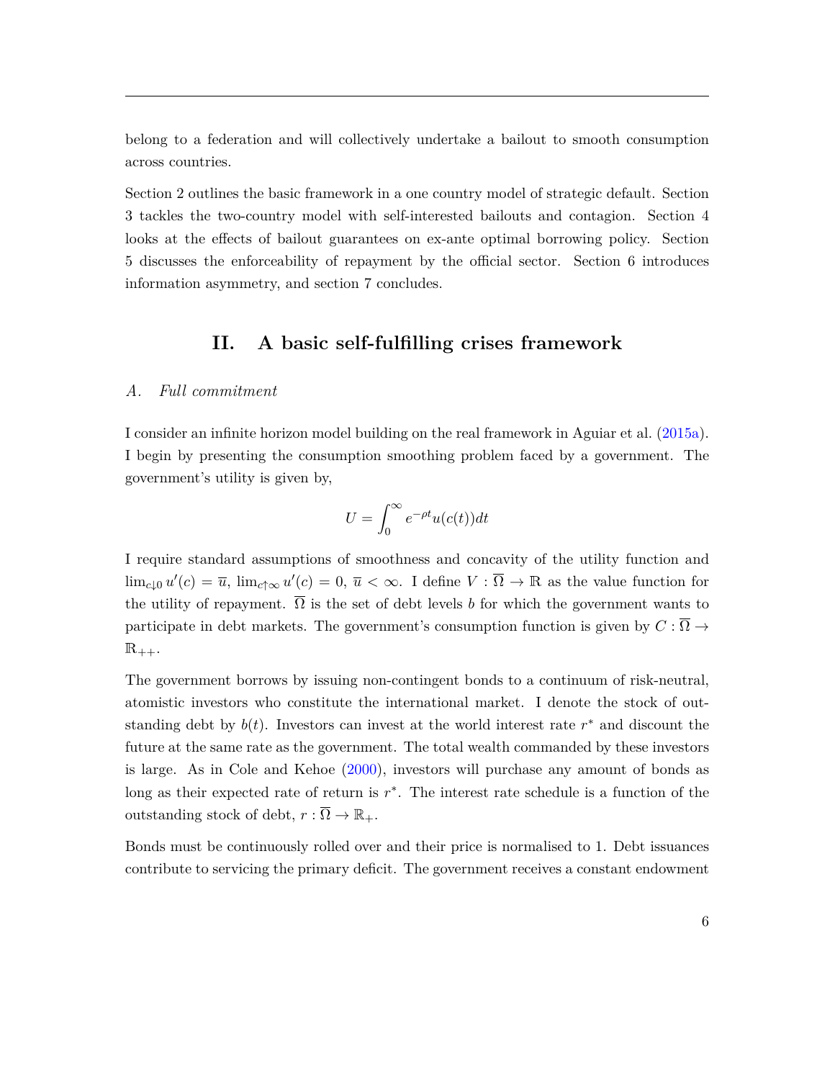belong to a federation and will collectively undertake a bailout to smooth consumption across countries.

Section 2 outlines the basic framework in a one country model of strategic default. Section 3 tackles the two-country model with self-interested bailouts and contagion. Section 4 looks at the effects of bailout guarantees on ex-ante optimal borrowing policy. Section 5 discusses the enforceability of repayment by the official sector. Section 6 introduces information asymmetry, and section 7 concludes.

### **II. A basic self-fulfilling crises framework**

### *A. Full commitment*

I consider an infinite horizon model building on the real framework in Aguiar et al. [\(2015a\)](#page-29-5). I begin by presenting the consumption smoothing problem faced by a government. The government's utility is given by,

$$
U = \int_0^\infty e^{-\rho t} u(c(t)) dt
$$

I require standard assumptions of smoothness and concavity of the utility function and  $\lim_{c\downarrow 0} u'(c) = \overline{u}$ ,  $\lim_{c\uparrow \infty} u'(c) = 0$ ,  $\overline{u} < \infty$ . I define  $V : \overline{\Omega} \to \mathbb{R}$  as the value function for the utility of repayment.  $\overline{\Omega}$  is the set of debt levels *b* for which the government wants to participate in debt markets. The government's consumption function is given by  $C : \overline{\Omega} \to$  $\mathbb{R}_{++}$ .

The government borrows by issuing non-contingent bonds to a continuum of risk-neutral, atomistic investors who constitute the international market. I denote the stock of outstanding debt by  $b(t)$ . Investors can invest at the world interest rate  $r^*$  and discount the future at the same rate as the government. The total wealth commanded by these investors is large. As in Cole and Kehoe [\(2000\)](#page-30-0), investors will purchase any amount of bonds as long as their expected rate of return is *r* ∗ . The interest rate schedule is a function of the outstanding stock of debt,  $r : \overline{\Omega} \to \mathbb{R}_+$ .

Bonds must be continuously rolled over and their price is normalised to 1. Debt issuances contribute to servicing the primary deficit. The government receives a constant endowment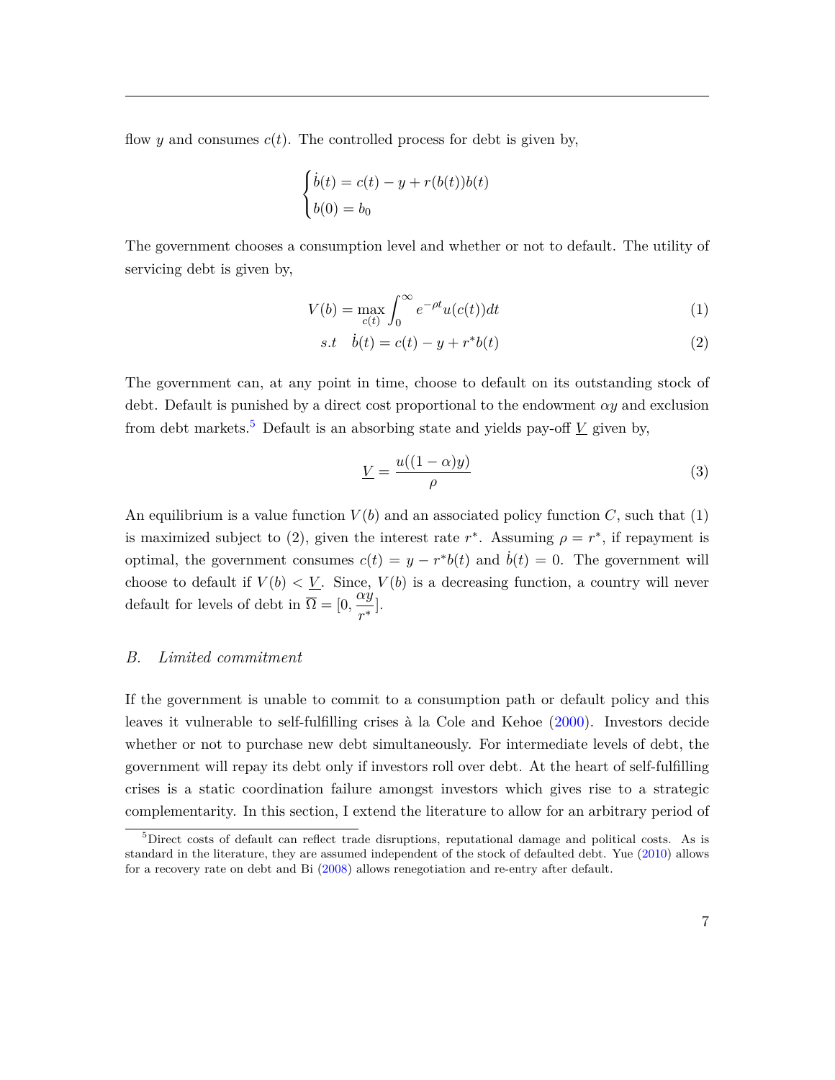flow *y* and consumes  $c(t)$ . The controlled process for debt is given by,

$$
\begin{cases}\n\dot{b}(t) = c(t) - y + r(b(t))b(t) \\
b(0) = b_0\n\end{cases}
$$

The government chooses a consumption level and whether or not to default. The utility of servicing debt is given by,

$$
V(b) = \max_{c(t)} \int_0^\infty e^{-\rho t} u(c(t)) dt
$$
\n(1)

$$
s.t \quad \dot{b}(t) = c(t) - y + r^*b(t)
$$
\n(2)

The government can, at any point in time, choose to default on its outstanding stock of debt. Default is punished by a direct cost proportional to the endowment *αy* and exclusion from debt markets.<sup>[5](#page-7-0)</sup> Default is an absorbing state and yields pay-off  $V$  given by,

$$
\underline{V} = \frac{u((1-\alpha)y)}{\rho} \tag{3}
$$

An equilibrium is a value function  $V(b)$  and an associated policy function  $C$ , such that  $(1)$ is maximized subject to (2), given the interest rate  $r^*$ . Assuming  $\rho = r^*$ , if repayment is optimal, the government consumes  $c(t) = y - r^*b(t)$  and  $\dot{b}(t) = 0$ . The government will choose to default if  $V(b) < V$ . Since,  $V(b)$  is a decreasing function, a country will never default for levels of debt in  $\overline{\Omega} = [0, \frac{\alpha y}{r}]$  $\frac{q}{r^*}$ .

### *B. Limited commitment*

If the government is unable to commit to a consumption path or default policy and this leaves it vulnerable to self-fulfilling crises à la Cole and Kehoe [\(2000\)](#page-30-0). Investors decide whether or not to purchase new debt simultaneously. For intermediate levels of debt, the government will repay its debt only if investors roll over debt. At the heart of self-fulfilling crises is a static coordination failure amongst investors which gives rise to a strategic complementarity. In this section, I extend the literature to allow for an arbitrary period of

<span id="page-7-0"></span><sup>5</sup>Direct costs of default can reflect trade disruptions, reputational damage and political costs. As is standard in the literature, they are assumed independent of the stock of defaulted debt. Yue [\(2010\)](#page-31-3) allows for a recovery rate on debt and Bi [\(2008\)](#page-29-6) allows renegotiation and re-entry after default.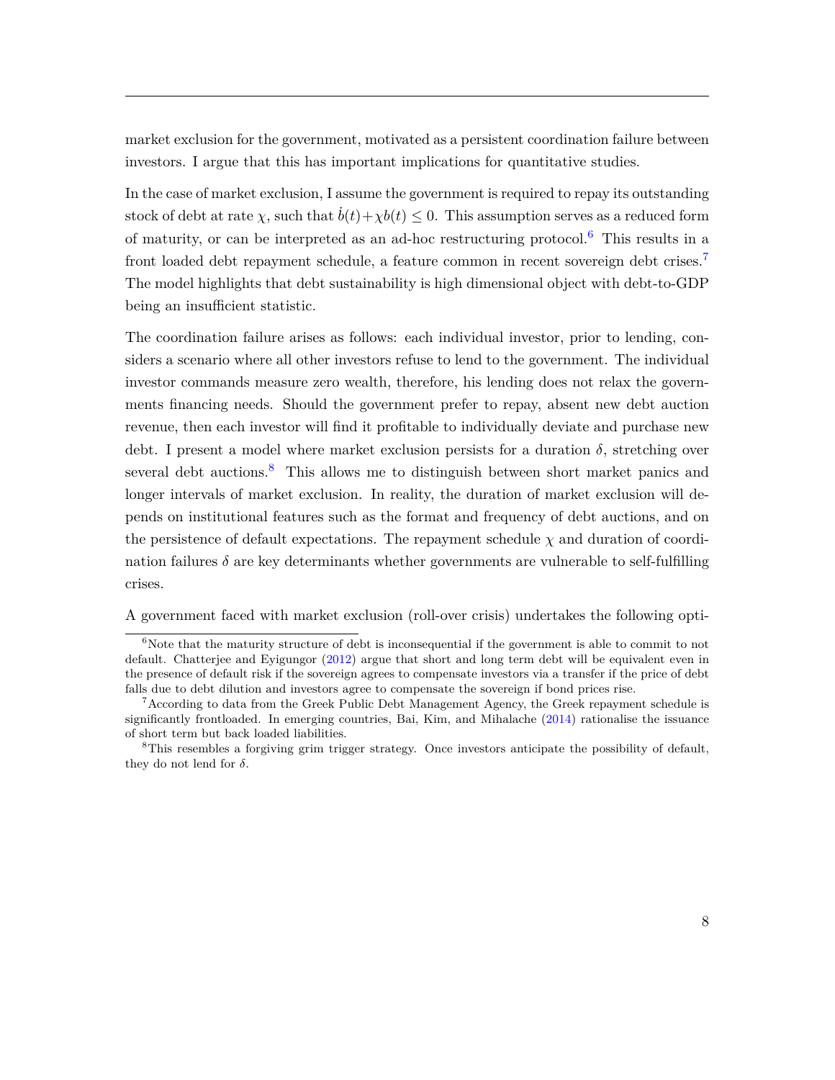market exclusion for the government, motivated as a persistent coordination failure between investors. I argue that this has important implications for quantitative studies.

In the case of market exclusion, I assume the government is required to repay its outstanding stock of debt at rate  $\chi$ , such that  $\dot{b}(t) + \chi b(t) \leq 0$ . This assumption serves as a reduced form of maturity, or can be interpreted as an ad-hoc restructuring protocol.<sup>[6](#page-8-0)</sup> This results in a front loaded debt repayment schedule, a feature common in recent sovereign debt crises.[7](#page-8-1) The model highlights that debt sustainability is high dimensional object with debt-to-GDP being an insufficient statistic.

The coordination failure arises as follows: each individual investor, prior to lending, considers a scenario where all other investors refuse to lend to the government. The individual investor commands measure zero wealth, therefore, his lending does not relax the governments financing needs. Should the government prefer to repay, absent new debt auction revenue, then each investor will find it profitable to individually deviate and purchase new debt. I present a model where market exclusion persists for a duration  $\delta$ , stretching over several debt auctions.<sup>[8](#page-8-2)</sup> This allows me to distinguish between short market panics and longer intervals of market exclusion. In reality, the duration of market exclusion will depends on institutional features such as the format and frequency of debt auctions, and on the persistence of default expectations. The repayment schedule *χ* and duration of coordination failures  $\delta$  are key determinants whether governments are vulnerable to self-fulfilling crises.

A government faced with market exclusion (roll-over crisis) undertakes the following opti-

<span id="page-8-0"></span> $6N$ ote that the maturity structure of debt is inconsequential if the government is able to commit to not default. Chatterjee and Eyigungor [\(2012\)](#page-30-9) argue that short and long term debt will be equivalent even in the presence of default risk if the sovereign agrees to compensate investors via a transfer if the price of debt falls due to debt dilution and investors agree to compensate the sovereign if bond prices rise.

<span id="page-8-1"></span><sup>&</sup>lt;sup>7</sup> According to data from the Greek Public Debt Management Agency, the Greek repayment schedule is significantly frontloaded. In emerging countries, Bai, Kim, and Mihalache [\(2014\)](#page-29-7) rationalise the issuance of short term but back loaded liabilities.

<span id="page-8-2"></span><sup>&</sup>lt;sup>8</sup>This resembles a forgiving grim trigger strategy. Once investors anticipate the possibility of default, they do not lend for  $\delta$ .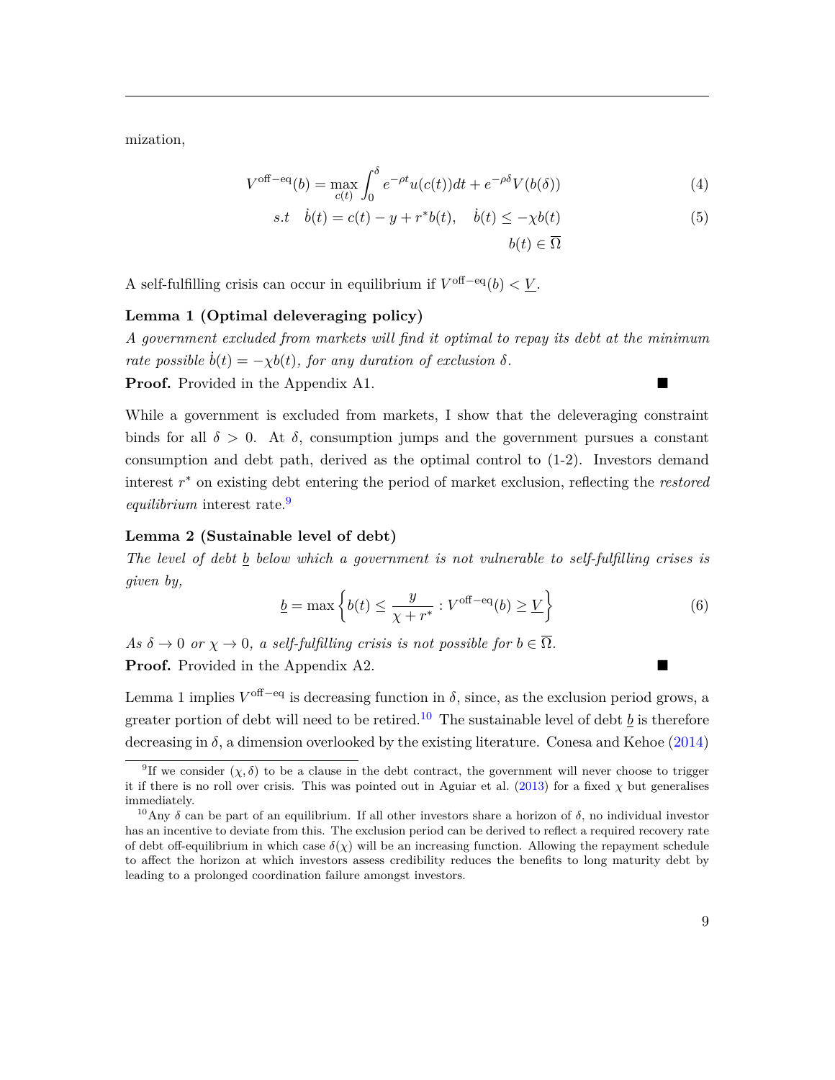mization,

$$
V^{\text{off-eq}}(b) = \max_{c(t)} \int_0^{\delta} e^{-\rho t} u(c(t)) dt + e^{-\rho \delta} V(b(\delta))
$$
\n(4)

$$
s.t \quad \dot{b}(t) = c(t) - y + r^*b(t), \quad \dot{b}(t) \le -\chi b(t)
$$

$$
b(t) \in \overline{\Omega}
$$
 (5)

A self-fulfilling crisis can occur in equilibrium if  $V^{\text{off}-\text{eq}}(b) < V$ .

### **Lemma 1 (Optimal deleveraging policy)**

*A government excluded from markets will find it optimal to repay its debt at the minimum rate possible*  $\dot{b}(t) = -\chi b(t)$ *, for any duration of exclusion*  $\delta$ *.* **Proof.** Provided in the Appendix A1.

While a government is excluded from markets, I show that the deleveraging constraint binds for all  $\delta > 0$ . At  $\delta$ , consumption jumps and the government pursues a constant consumption and debt path, derived as the optimal control to (1-2). Investors demand interest *r* <sup>∗</sup> on existing debt entering the period of market exclusion, reflecting the *restored equilibrium* interest rate.[9](#page-9-0)

### **Lemma 2 (Sustainable level of debt)**

*The level of debt b below which a government is not vulnerable to self-fulfilling crises is given by,*

$$
\underline{b} = \max\left\{b(t) \le \frac{y}{\chi + r^*} : V^{\text{off-eq}}(b) \ge \underline{V}\right\} \tag{6}
$$

*As*  $\delta \to 0$  *or*  $\chi \to 0$ *, a self-fulfilling crisis is not possible for*  $b \in \overline{\Omega}$ *.* **Proof.** Provided in the Appendix A2.

Lemma 1 implies  $V^{\text{off}-\text{eq}}$  is decreasing function in  $\delta$ , since, as the exclusion period grows, a greater portion of debt will need to be retired.<sup>[10](#page-9-1)</sup> The sustainable level of debt  $\underline{b}$  is therefore decreasing in  $\delta$ , a dimension overlooked by the existing literature. Conesa and Kehoe [\(2014\)](#page-30-7)

<span id="page-9-0"></span><sup>&</sup>lt;sup>9</sup>If we consider  $(\chi, \delta)$  to be a clause in the debt contract, the government will never choose to trigger it if there is no roll over crisis. This was pointed out in Aguiar et al.  $(2013)$  for a fixed  $\chi$  but generalises immediately.

<span id="page-9-1"></span><sup>&</sup>lt;sup>10</sup>Any *δ* can be part of an equilibrium. If all other investors share a horizon of *δ*, no individual investor has an incentive to deviate from this. The exclusion period can be derived to reflect a required recovery rate of debt off-equilibrium in which case  $\delta(\chi)$  will be an increasing function. Allowing the repayment schedule to affect the horizon at which investors assess credibility reduces the benefits to long maturity debt by leading to a prolonged coordination failure amongst investors.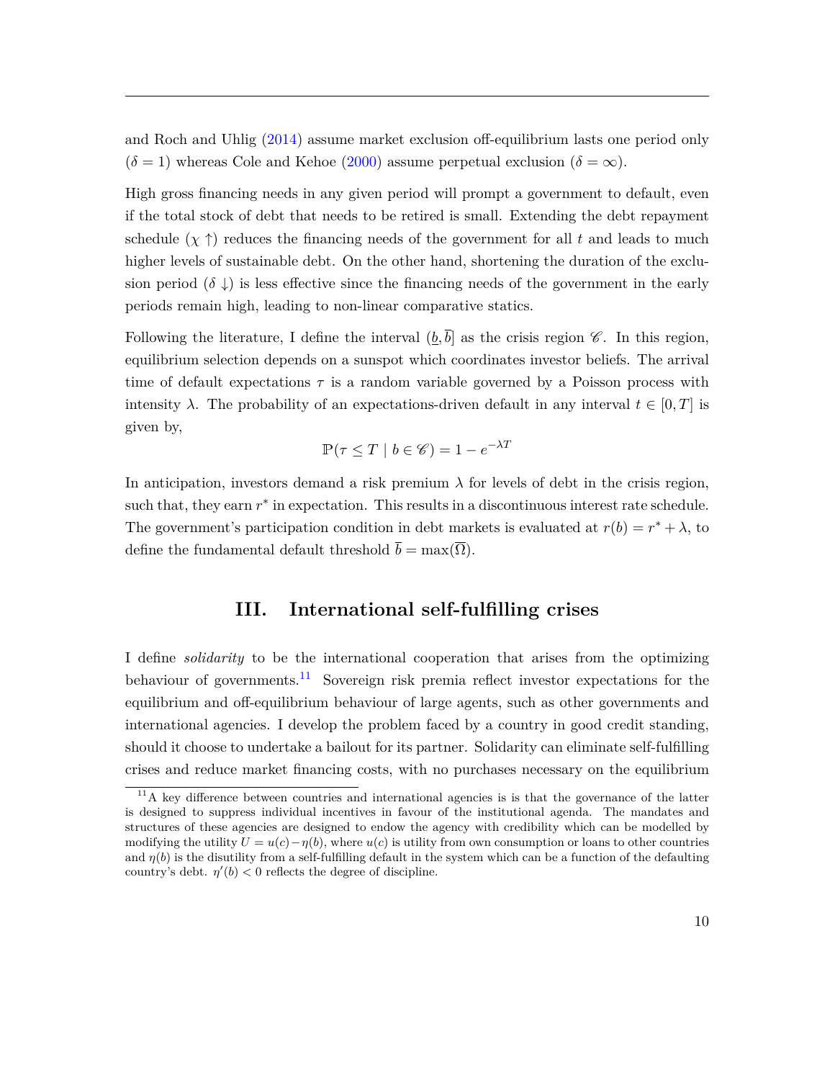and Roch and Uhlig [\(2014\)](#page-31-2) assume market exclusion off-equilibrium lasts one period only  $(\delta = 1)$  whereas Cole and Kehoe [\(2000\)](#page-30-0) assume perpetual exclusion ( $\delta = \infty$ ).

High gross financing needs in any given period will prompt a government to default, even if the total stock of debt that needs to be retired is small. Extending the debt repayment schedule  $(\chi \uparrow)$  reduces the financing needs of the government for all t and leads to much higher levels of sustainable debt. On the other hand, shortening the duration of the exclusion period  $(\delta \downarrow)$  is less effective since the financing needs of the government in the early periods remain high, leading to non-linear comparative statics.

Following the literature, I define the interval  $(\underline{b}, \overline{b}]$  as the crisis region  $\mathscr{C}$ . In this region, equilibrium selection depends on a sunspot which coordinates investor beliefs. The arrival time of default expectations *τ* is a random variable governed by a Poisson process with intensity  $\lambda$ . The probability of an expectations-driven default in any interval  $t \in [0, T]$  is given by,

$$
\mathbb{P}(\tau \le T \mid b \in \mathscr{C}) = 1 - e^{-\lambda T}
$$

In anticipation, investors demand a risk premium  $\lambda$  for levels of debt in the crisis region, such that, they earn  $r^*$  in expectation. This results in a discontinuous interest rate schedule. The government's participation condition in debt markets is evaluated at  $r(b) = r^* + \lambda$ , to define the fundamental default threshold  $\bar{b} = \max(\overline{\Omega})$ .

### **III. International self-fulfilling crises**

I define *solidarity* to be the international cooperation that arises from the optimizing behaviour of governments.<sup>[11](#page-10-0)</sup> Sovereign risk premia reflect investor expectations for the equilibrium and off-equilibrium behaviour of large agents, such as other governments and international agencies. I develop the problem faced by a country in good credit standing, should it choose to undertake a bailout for its partner. Solidarity can eliminate self-fulfilling crises and reduce market financing costs, with no purchases necessary on the equilibrium

<span id="page-10-0"></span> $11A$  key difference between countries and international agencies is is that the governance of the latter is designed to suppress individual incentives in favour of the institutional agenda. The mandates and structures of these agencies are designed to endow the agency with credibility which can be modelled by modifying the utility  $U = u(c) - \eta(b)$ , where  $u(c)$  is utility from own consumption or loans to other countries and  $\eta(b)$  is the disutility from a self-fulfilling default in the system which can be a function of the defaulting country's debt.  $\eta'(b) < 0$  reflects the degree of discipline.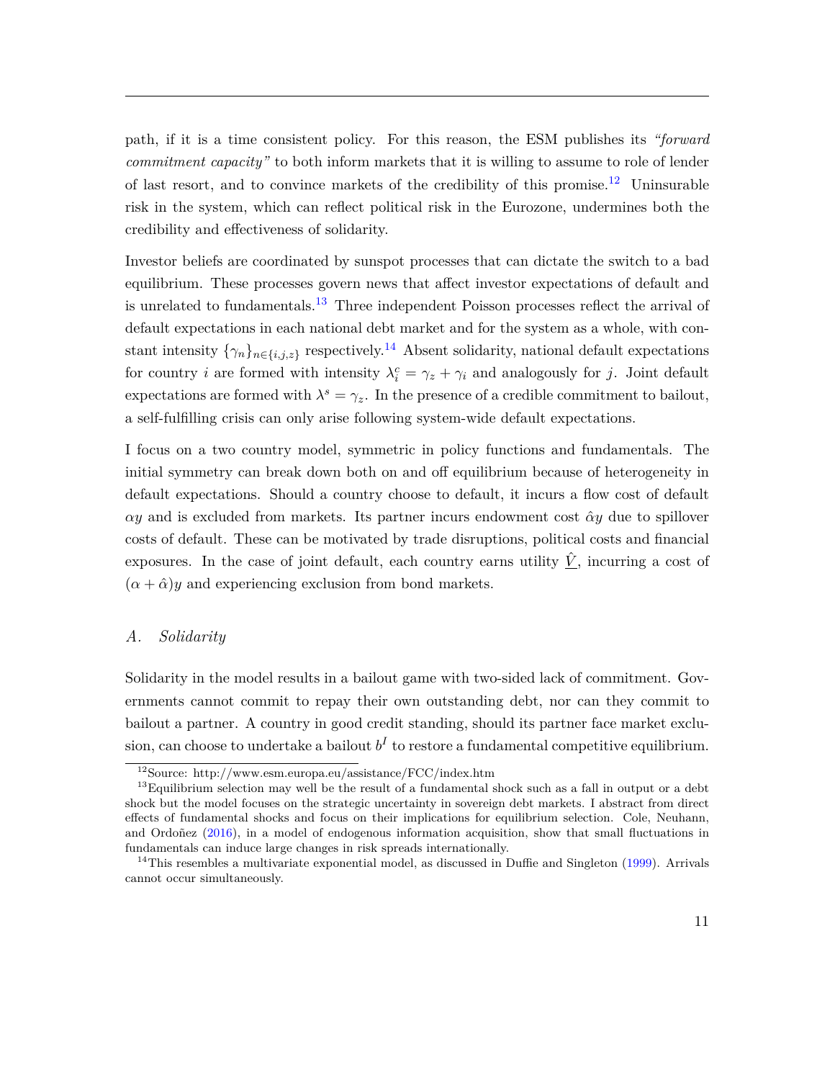path, if it is a time consistent policy. For this reason, the ESM publishes its *"forward commitment capacity"* to both inform markets that it is willing to assume to role of lender of last resort, and to convince markets of the credibility of this promise.[12](#page-11-0) Uninsurable risk in the system, which can reflect political risk in the Eurozone, undermines both the credibility and effectiveness of solidarity.

Investor beliefs are coordinated by sunspot processes that can dictate the switch to a bad equilibrium. These processes govern news that affect investor expectations of default and is unrelated to fundamentals.[13](#page-11-1) Three independent Poisson processes reflect the arrival of default expectations in each national debt market and for the system as a whole, with constant intensity  $\{\gamma_n\}_{n \in \{i,j,z\}}$  respectively.<sup>[14](#page-11-2)</sup> Absent solidarity, national default expectations for country *i* are formed with intensity  $\lambda_i^c = \gamma_z + \gamma_i$  and analogously for *j*. Joint default expectations are formed with  $\lambda^s = \gamma_z$ . In the presence of a credible commitment to bailout, a self-fulfilling crisis can only arise following system-wide default expectations.

I focus on a two country model, symmetric in policy functions and fundamentals. The initial symmetry can break down both on and off equilibrium because of heterogeneity in default expectations. Should a country choose to default, it incurs a flow cost of default  $\alpha y$  and is excluded from markets. Its partner incurs endowment cost  $\hat{\alpha} y$  due to spillover costs of default. These can be motivated by trade disruptions, political costs and financial exposures. In the case of joint default, each country earns utility  $\hat{V}$ , incurring a cost of  $(\alpha + \hat{\alpha})y$  and experiencing exclusion from bond markets.

### *A. Solidarity*

Solidarity in the model results in a bailout game with two-sided lack of commitment. Governments cannot commit to repay their own outstanding debt, nor can they commit to bailout a partner. A country in good credit standing, should its partner face market exclusion, can choose to undertake a bailout  $b<sup>I</sup>$  to restore a fundamental competitive equilibrium.

<span id="page-11-1"></span><span id="page-11-0"></span><sup>12</sup>Source: http://www.esm.europa.eu/assistance/FCC/index.htm

 $13$ Equilibrium selection may well be the result of a fundamental shock such as a fall in output or a debt shock but the model focuses on the strategic uncertainty in sovereign debt markets. I abstract from direct effects of fundamental shocks and focus on their implications for equilibrium selection. Cole, Neuhann, and Ordoñez [\(2016\)](#page-30-10), in a model of endogenous information acquisition, show that small fluctuations in fundamentals can induce large changes in risk spreads internationally.

<span id="page-11-2"></span> $14$ This resembles a multivariate exponential model, as discussed in Duffie and Singleton [\(1999\)](#page-30-11). Arrivals cannot occur simultaneously.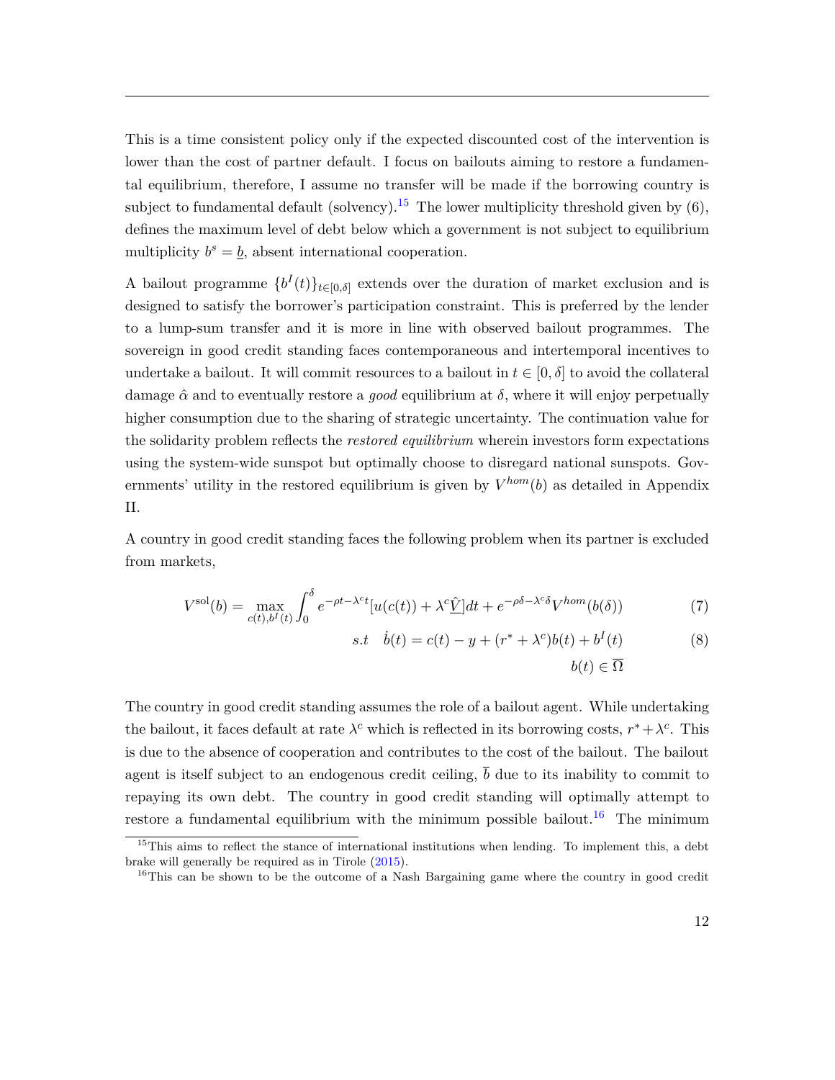This is a time consistent policy only if the expected discounted cost of the intervention is lower than the cost of partner default. I focus on bailouts aiming to restore a fundamental equilibrium, therefore, I assume no transfer will be made if the borrowing country is subject to fundamental default (solvency).<sup>[15](#page-12-0)</sup> The lower multiplicity threshold given by  $(6)$ , defines the maximum level of debt below which a government is not subject to equilibrium multiplicity  $b^s = \underline{b}$ , absent international cooperation.

A bailout programme  ${b<sup>I</sup>(t)}_{t\in[0,\delta]}$  extends over the duration of market exclusion and is designed to satisfy the borrower's participation constraint. This is preferred by the lender to a lump-sum transfer and it is more in line with observed bailout programmes. The sovereign in good credit standing faces contemporaneous and intertemporal incentives to undertake a bailout. It will commit resources to a bailout in  $t \in [0, \delta]$  to avoid the collateral damage  $\hat{\alpha}$  and to eventually restore a *good* equilibrium at  $\delta$ , where it will enjoy perpetually higher consumption due to the sharing of strategic uncertainty. The continuation value for the solidarity problem reflects the *restored equilibrium* wherein investors form expectations using the system-wide sunspot but optimally choose to disregard national sunspots. Governments' utility in the restored equilibrium is given by  $V^{hom}(b)$  as detailed in Appendix II.

A country in good credit standing faces the following problem when its partner is excluded from markets,

$$
V^{\text{sol}}(b) = \max_{c(t), b^I(t)} \int_0^\delta e^{-\rho t - \lambda^c t} [u(c(t)) + \lambda^c \hat{L}] dt + e^{-\rho \delta - \lambda^c \delta} V^{hom}(b(\delta)) \tag{7}
$$

$$
s.t \quad \dot{b}(t) = c(t) - y + (r^* + \lambda^c)b(t) + b^I(t) \tag{8}
$$

$$
b(t) \in \overline{\Omega}
$$

The country in good credit standing assumes the role of a bailout agent. While undertaking the bailout, it faces default at rate  $\lambda^c$  which is reflected in its borrowing costs,  $r^* + \lambda^c$ . This is due to the absence of cooperation and contributes to the cost of the bailout. The bailout agent is itself subject to an endogenous credit ceiling,  $\bar{b}$  due to its inability to commit to repaying its own debt. The country in good credit standing will optimally attempt to restore a fundamental equilibrium with the minimum possible bailout.<sup>[16](#page-12-1)</sup> The minimum

<span id="page-12-0"></span><sup>&</sup>lt;sup>15</sup>This aims to reflect the stance of international institutions when lending. To implement this, a debt brake will generally be required as in Tirole [\(2015\)](#page-31-0).

<span id="page-12-1"></span> $16$ This can be shown to be the outcome of a Nash Bargaining game where the country in good credit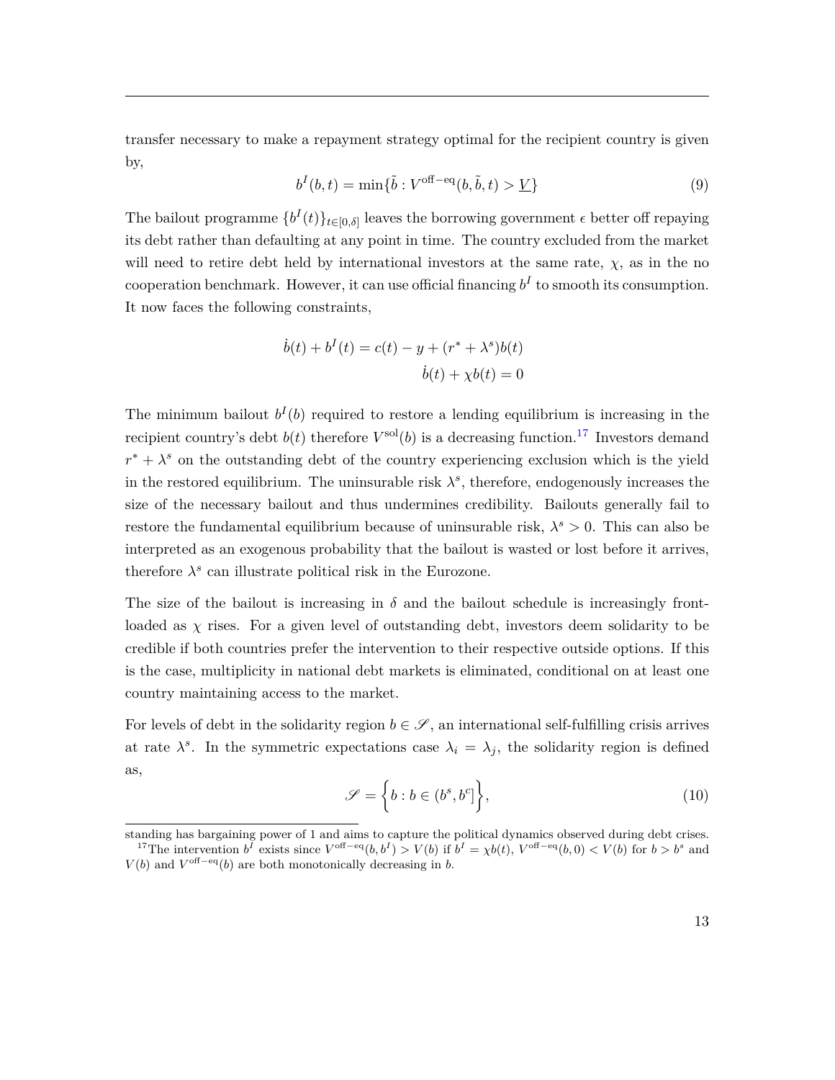transfer necessary to make a repayment strategy optimal for the recipient country is given by,

$$
b^{I}(b,t) = \min\{\tilde{b}: V^{\text{off}-\text{eq}}(b,\tilde{b},t) > \underline{V}\}\
$$
\n(9)

The bailout programme  ${b<sup>I</sup>(t)}_{t\in[0,\delta]}$  leaves the borrowing government  $\epsilon$  better off repaying its debt rather than defaulting at any point in time. The country excluded from the market will need to retire debt held by international investors at the same rate,  $\chi$ , as in the no cooperation benchmark. However, it can use official financing  $b<sup>I</sup>$  to smooth its consumption. It now faces the following constraints,

$$
\dot{b}(t) + b^{I}(t) = c(t) - y + (r^* + \lambda^s)b(t)
$$

$$
\dot{b}(t) + \chi b(t) = 0
$$

The minimum bailout  $b<sup>I</sup>(b)$  required to restore a lending equilibrium is increasing in the recipient country's debt  $b(t)$  therefore  $V^{\text{sol}}(b)$  is a decreasing function.<sup>[17](#page-13-0)</sup> Investors demand  $r^* + \lambda^s$  on the outstanding debt of the country experiencing exclusion which is the yield in the restored equilibrium. The uninsurable risk  $\lambda^s$ , therefore, endogenously increases the size of the necessary bailout and thus undermines credibility. Bailouts generally fail to restore the fundamental equilibrium because of uninsurable risk,  $\lambda^s > 0$ . This can also be interpreted as an exogenous probability that the bailout is wasted or lost before it arrives, therefore  $\lambda^s$  can illustrate political risk in the Eurozone.

The size of the bailout is increasing in  $\delta$  and the bailout schedule is increasingly frontloaded as  $\chi$  rises. For a given level of outstanding debt, investors deem solidarity to be credible if both countries prefer the intervention to their respective outside options. If this is the case, multiplicity in national debt markets is eliminated, conditional on at least one country maintaining access to the market.

For levels of debt in the solidarity region  $b \in \mathscr{S}$ , an international self-fulfilling crisis arrives at rate  $\lambda^s$ . In the symmetric expectations case  $\lambda_i = \lambda_j$ , the solidarity region is defined as,

$$
\mathscr{S} = \left\{ b : b \in (b^s, b^c] \right\},\tag{10}
$$

<span id="page-13-0"></span>standing has bargaining power of 1 and aims to capture the political dynamics observed during debt crises. <sup>17</sup>The intervention  $b^I$  exists since  $V^{\text{off-eq}}(b,b^I) > V(b)$  if  $b^I = \chi b(t), V^{\text{off-eq}}(b,0) < V(b)$  for  $b > b^s$  and

 $V(b)$  and  $V^{\text{off-eq}}(b)$  are both monotonically decreasing in *b*.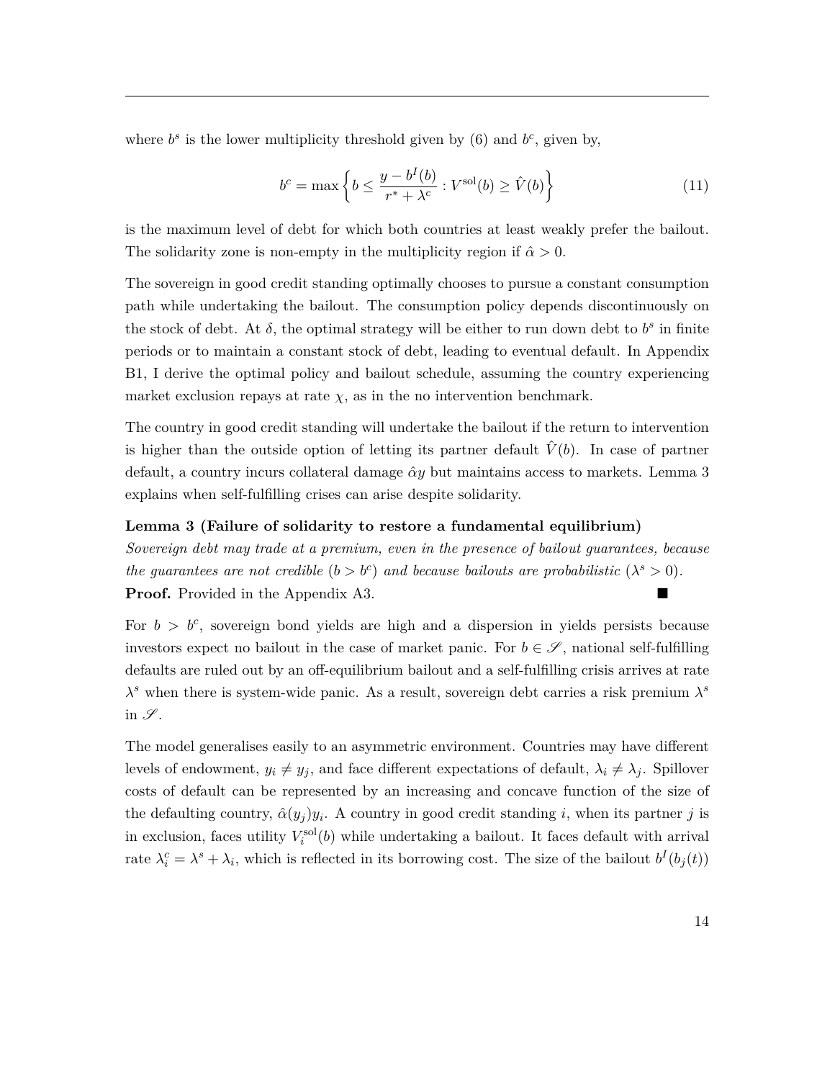where  $b^s$  is the lower multiplicity threshold given by (6) and  $b^c$ , given by,

$$
b^{c} = \max\left\{b \le \frac{y - b^{I}(b)}{r^{*} + \lambda^{c}} : V^{\text{sol}}(b) \ge \hat{V}(b)\right\}
$$
 (11)

is the maximum level of debt for which both countries at least weakly prefer the bailout. The solidarity zone is non-empty in the multiplicity region if  $\hat{\alpha} > 0$ .

The sovereign in good credit standing optimally chooses to pursue a constant consumption path while undertaking the bailout. The consumption policy depends discontinuously on the stock of debt. At  $\delta$ , the optimal strategy will be either to run down debt to  $b^s$  in finite periods or to maintain a constant stock of debt, leading to eventual default. In Appendix B1, I derive the optimal policy and bailout schedule, assuming the country experiencing market exclusion repays at rate  $\chi$ , as in the no intervention benchmark.

The country in good credit standing will undertake the bailout if the return to intervention is higher than the outside option of letting its partner default  $\hat{V}(b)$ . In case of partner default, a country incurs collateral damage  $\hat{\alpha}y$  but maintains access to markets. Lemma 3 explains when self-fulfilling crises can arise despite solidarity.

#### **Lemma 3 (Failure of solidarity to restore a fundamental equilibrium)**

*Sovereign debt may trade at a premium, even in the presence of bailout guarantees, because the guarantees are not credible*  $(b > b^c)$  *and because bailouts are probabilistic*  $(\lambda^s > 0)$ *.* **Proof.** Provided in the Appendix A3.

For  $b > b^c$ , sovereign bond yields are high and a dispersion in yields persists because investors expect no bailout in the case of market panic. For  $b \in \mathscr{S}$ , national self-fulfilling defaults are ruled out by an off-equilibrium bailout and a self-fulfilling crisis arrives at rate  $\lambda^s$  when there is system-wide panic. As a result, sovereign debt carries a risk premium  $\lambda^s$ in  $\mathscr{S}$ .

The model generalises easily to an asymmetric environment. Countries may have different levels of endowment,  $y_i \neq y_j$ , and face different expectations of default,  $\lambda_i \neq \lambda_j$ . Spillover costs of default can be represented by an increasing and concave function of the size of the defaulting country,  $\hat{\alpha}(y_j)y_i$ . A country in good credit standing *i*, when its partner *j* is in exclusion, faces utility  $V_i^{\text{sol}}(b)$  while undertaking a bailout. It faces default with arrival rate  $\lambda_i^c = \lambda^s + \lambda_i$ , which is reflected in its borrowing cost. The size of the bailout  $b^I(b_j(t))$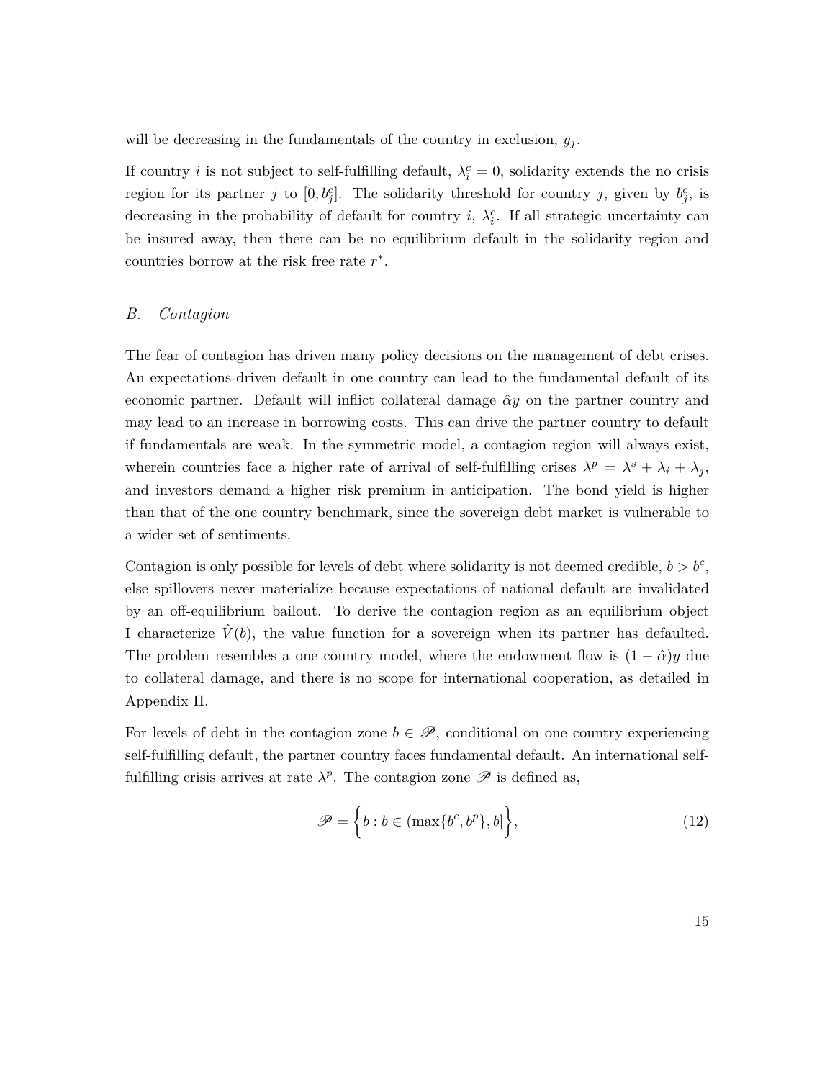will be decreasing in the fundamentals of the country in exclusion,  $y_j$ .

If country *i* is not subject to self-fulfilling default,  $\lambda_i^c = 0$ , solidarity extends the no crisis region for its partner *j* to  $[0, b_j^c]$ . The solidarity threshold for country *j*, given by  $b_j^c$ , is decreasing in the probability of default for country *i*,  $\lambda_i^c$ . If all strategic uncertainty can be insured away, then there can be no equilibrium default in the solidarity region and countries borrow at the risk free rate *r* ∗ .

### *B. Contagion*

The fear of contagion has driven many policy decisions on the management of debt crises. An expectations-driven default in one country can lead to the fundamental default of its economic partner. Default will inflict collateral damage ˆ*αy* on the partner country and may lead to an increase in borrowing costs. This can drive the partner country to default if fundamentals are weak. In the symmetric model, a contagion region will always exist, wherein countries face a higher rate of arrival of self-fulfilling crises  $\lambda^p = \lambda^s + \lambda_i + \lambda_j$ , and investors demand a higher risk premium in anticipation. The bond yield is higher than that of the one country benchmark, since the sovereign debt market is vulnerable to a wider set of sentiments.

Contagion is only possible for levels of debt where solidarity is not deemed credible,  $b > b^c$ , else spillovers never materialize because expectations of national default are invalidated by an off-equilibrium bailout. To derive the contagion region as an equilibrium object I characterize  $\hat{V}(b)$ , the value function for a sovereign when its partner has defaulted. The problem resembles a one country model, where the endowment flow is  $(1 - \hat{\alpha})y$  due to collateral damage, and there is no scope for international cooperation, as detailed in Appendix II.

For levels of debt in the contagion zone  $b \in \mathscr{P}$ , conditional on one country experiencing self-fulfilling default, the partner country faces fundamental default. An international selffulfilling crisis arrives at rate  $\lambda^p$ . The contagion zone  $\mathscr P$  is defined as,

$$
\mathscr{P} = \left\{ b : b \in (\max\{b^c, b^p\}, \overline{b}] \right\},\tag{12}
$$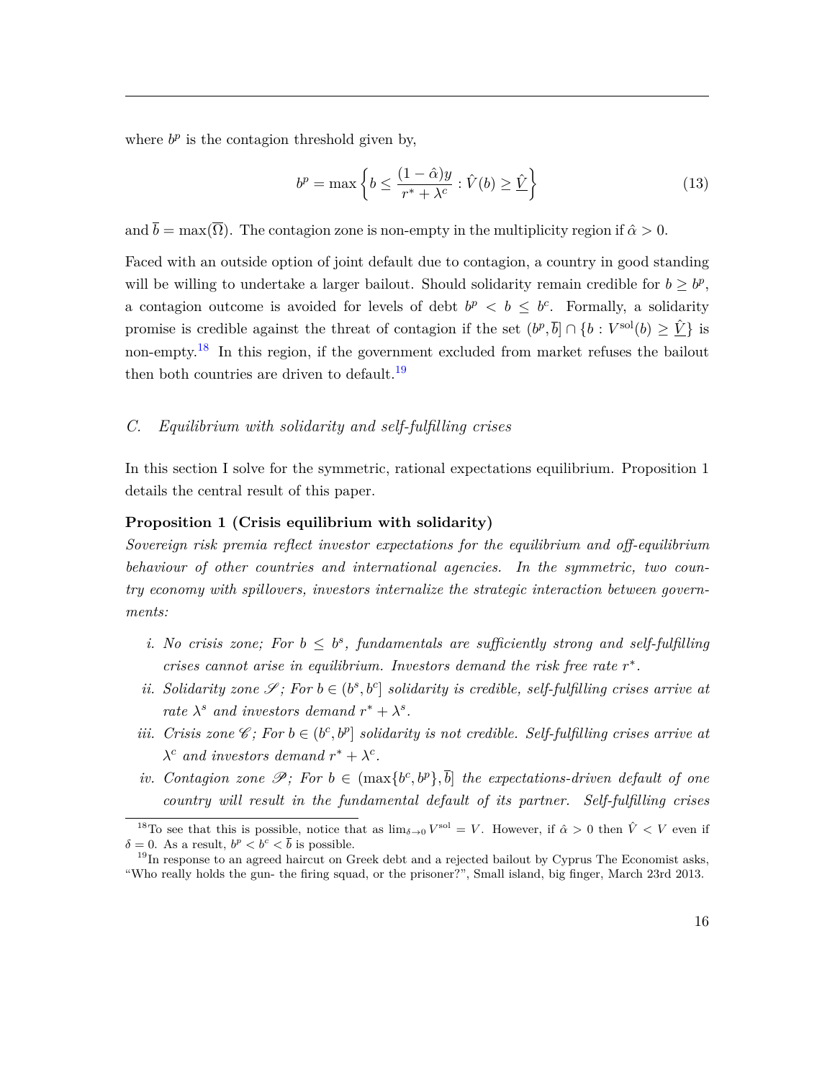where  $b^p$  is the contagion threshold given by,

$$
b^{p} = \max\left\{b \le \frac{(1 - \hat{\alpha})y}{r^* + \lambda^c} : \hat{V}(b) \ge \hat{\underline{V}}\right\}
$$
\n(13)

and  $\bar{b} = \max(\bar{\Omega})$ . The contagion zone is non-empty in the multiplicity region if  $\hat{\alpha} > 0$ .

Faced with an outside option of joint default due to contagion, a country in good standing will be willing to undertake a larger bailout. Should solidarity remain credible for  $b \geq b^p$ , a contagion outcome is avoided for levels of debt  $b^p < b \leq b^c$ . Formally, a solidarity promise is credible against the threat of contagion if the set  $(b^p, \bar{b}] \cap \{b : V^{\text{sol}}(b) \geq \hat{V}\}\)$  is non-empty.<sup>[18](#page-16-0)</sup> In this region, if the government excluded from market refuses the bailout then both countries are driven to default.<sup>[19](#page-16-1)</sup>

### *C. Equilibrium with solidarity and self-fulfilling crises*

In this section I solve for the symmetric, rational expectations equilibrium. Proposition 1 details the central result of this paper.

### **Proposition 1 (Crisis equilibrium with solidarity)**

*Sovereign risk premia reflect investor expectations for the equilibrium and off-equilibrium behaviour of other countries and international agencies. In the symmetric, two country economy with spillovers, investors internalize the strategic interaction between governments:*

- *i.* No crisis zone; For  $b \leq b^s$ , fundamentals are sufficiently strong and self-fulfilling *crises cannot arise in equilibrium. Investors demand the risk free rate*  $r^*$ .
- *ii. Solidarity zone*  $S$ *;* For  $b \in (b^s, b^c]$  *solidarity is credible, self-fulfilling crises arrive at rate*  $\lambda^s$  *and investors demand*  $r^* + \lambda^s$ *.*
- *iii.* Crisis zone  $\mathscr{C}$ ; For  $b \in (b^c, b^p]$  solidarity is not credible. Self-fulfilling crises arrive at  $\lambda^c$  *and investors demand*  $r^* + \lambda^c$ .
- *iv. Contagion zone*  $\mathscr{P}$ ; For  $b \in (\max\{b^c, b^p\}, \overline{b}]$  the expectations-driven default of one *country will result in the fundamental default of its partner. Self-fulfilling crises*

<span id="page-16-0"></span><sup>&</sup>lt;sup>18</sup>To see that this is possible, notice that as  $\lim_{\delta\to 0} V^{\text{sol}} = V$ . However, if  $\hat{\alpha} > 0$  then  $\hat{V} < V$  even if  $\delta = 0$ . As a result,  $b^p < b^c < \overline{b}$  is possible.

<span id="page-16-1"></span> $19$ In response to an agreed haircut on Greek debt and a rejected bailout by Cyprus The Economist asks, "Who really holds the gun- the firing squad, or the prisoner?", Small island, big finger, March 23rd 2013.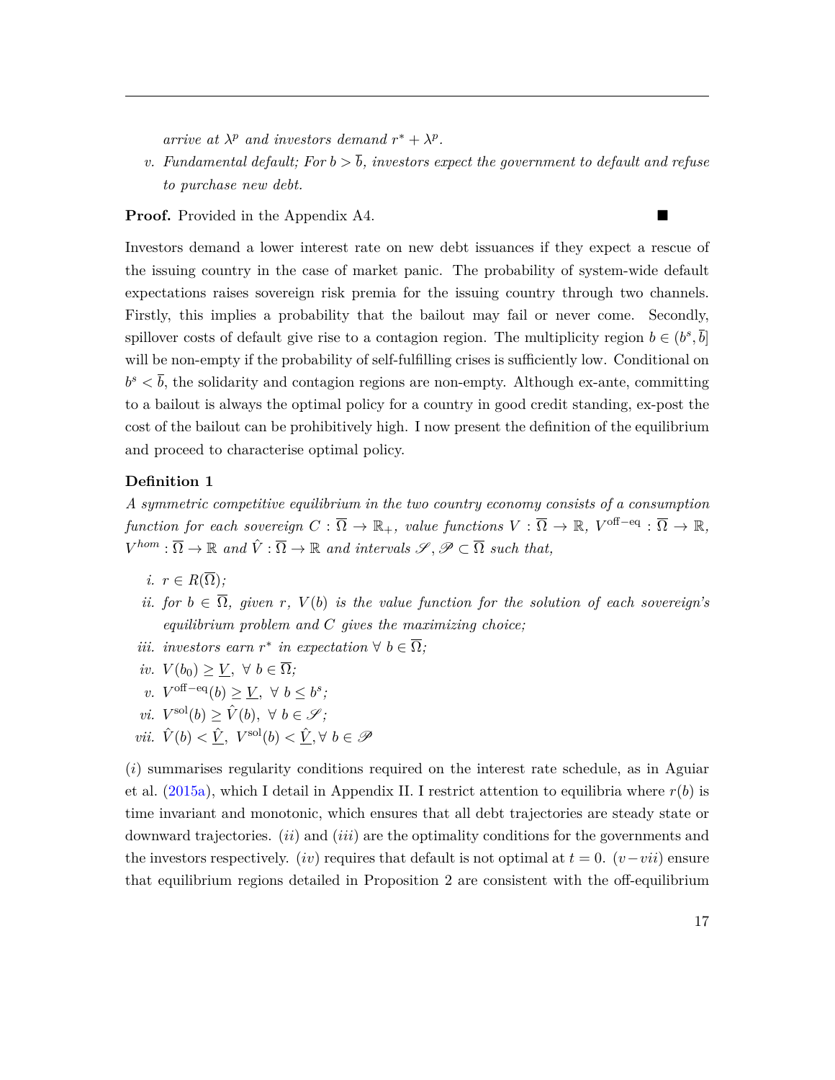*arrive at*  $\lambda^p$  *and investors demand*  $r^* + \lambda^p$ *.* 

*v.* Fundamental default; For  $b > \overline{b}$ , investors expect the government to default and refuse *to purchase new debt.*

### **Proof.** Provided in the Appendix A4.

Investors demand a lower interest rate on new debt issuances if they expect a rescue of the issuing country in the case of market panic. The probability of system-wide default expectations raises sovereign risk premia for the issuing country through two channels. Firstly, this implies a probability that the bailout may fail or never come. Secondly, spillover costs of default give rise to a contagion region. The multiplicity region  $b \in (b^s, \overline{b}]$ will be non-empty if the probability of self-fulfilling crises is sufficiently low. Conditional on  $b^s < \overline{b}$ , the solidarity and contagion regions are non-empty. Although ex-ante, committing to a bailout is always the optimal policy for a country in good credit standing, ex-post the cost of the bailout can be prohibitively high. I now present the definition of the equilibrium and proceed to characterise optimal policy.

### **Definition 1**

*A symmetric competitive equilibrium in the two country economy consists of a consumption*  $function for each sovereign C: \overline{\Omega} \to \mathbb{R}_+$ , value functions  $V: \overline{\Omega} \to \mathbb{R}$ ,  $V^{\text{off}-\text{eq}}: \overline{\Omega} \to \mathbb{R}$ ,  $V^{hom}: \overline{\Omega} \to \mathbb{R}$  and  $\hat{V}: \overline{\Omega} \to \mathbb{R}$  and intervals  $\mathscr{S}, \mathscr{P} \subset \overline{\Omega}$  such that,

*i.*  $r \in R(\overline{\Omega})$ ;

- *ii. for*  $b \in \overline{\Omega}$ *, given r*,  $V(b)$  *is the value function for the solution of each sovereign's equilibrium problem and C gives the maximizing choice;*
- *iii. investors* earn  $r^*$  *in expectation*  $\forall$   $b \in \overline{\Omega}$ *;*
- $iv. V(b_0) \geq V, \forall b \in \overline{\Omega}$ ;
- *v.*  $V^{\text{off-eq}}(b) \geq V$ ,  $\forall b \leq b^s$ ;
- $vi. V^{\text{sol}}(b) \geq \hat{V}(b), \ \forall \ b \in \mathscr{S};$
- $vii. \ \hat{V}(b) < \hat{V}$ ,  $V^{\text{sol}}(b) < \hat{V}$ ,  $\forall b \in \mathscr{P}$

(*i*) summarises regularity conditions required on the interest rate schedule, as in Aguiar et al.  $(2015a)$ , which I detail in Appendix II. I restrict attention to equilibria where  $r(b)$  is time invariant and monotonic, which ensures that all debt trajectories are steady state or downward trajectories. (*ii*) and (*iii*) are the optimality conditions for the governments and the investors respectively. (*iv*) requires that default is not optimal at  $t = 0$ . (*v*−*vii*) ensure that equilibrium regions detailed in Proposition 2 are consistent with the off-equilibrium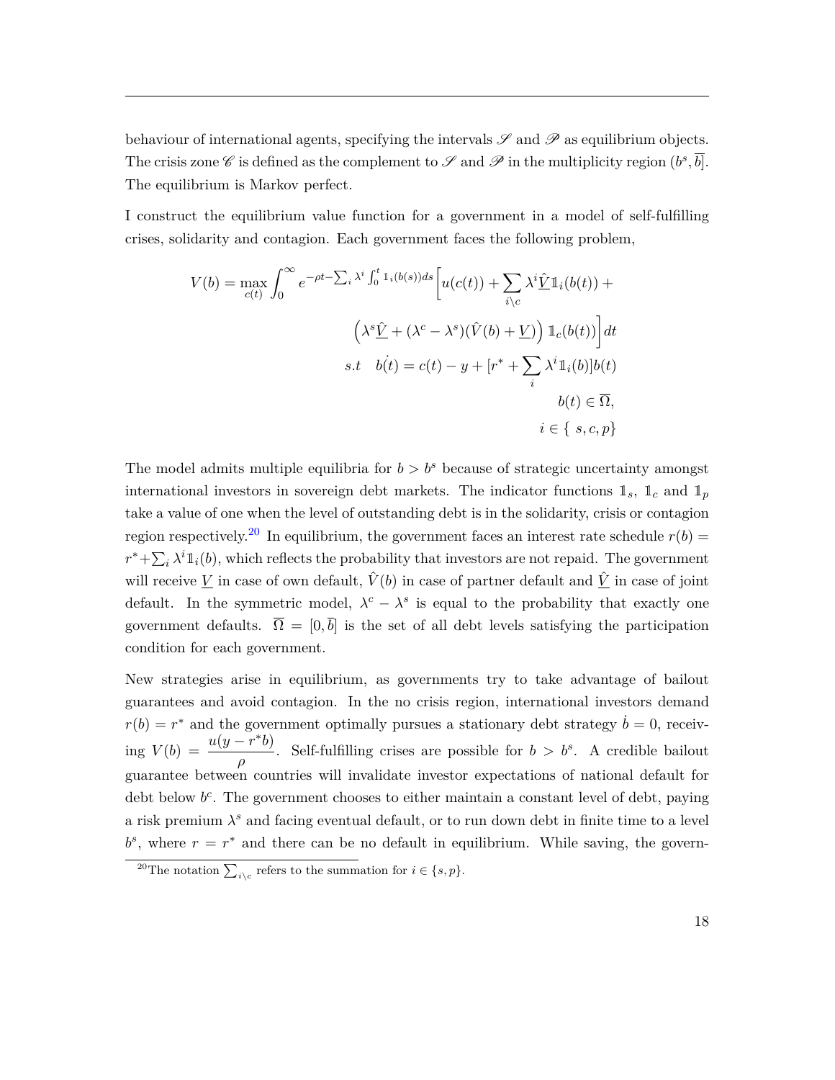behaviour of international agents, specifying the intervals  $\mathscr S$  and  $\mathscr P$  as equilibrium objects. The crisis zone  $\mathscr{C}$  is defined as the complement to  $\mathscr{S}$  and  $\mathscr{P}$  in the multiplicity region  $(b^s, \overline{b}]$ . The equilibrium is Markov perfect.

I construct the equilibrium value function for a government in a model of self-fulfilling crises, solidarity and contagion. Each government faces the following problem,

$$
V(b) = \max_{c(t)} \int_0^\infty e^{-\rho t - \sum_i \lambda^i \int_0^t \mathbb{1}_i(b(s))ds} \left[ u(c(t)) + \sum_{i \backslash c} \lambda^i \hat{\underline{V}} \mathbb{1}_i(b(t)) + \right. \\
\left. \left( \lambda^s \hat{\underline{V}} + (\lambda^c - \lambda^s)(\hat{V}(b) + \underline{V}) \right) \mathbb{1}_c(b(t)) \right] dt
$$
\n
$$
s.t \quad b(t) = c(t) - y + [r^* + \sum_i \lambda^i \mathbb{1}_i(b)]b(t)
$$
\n
$$
b(t) \in \overline{\Omega},
$$
\n
$$
i \in \{s, c, p\}
$$

The model admits multiple equilibria for  $b > b^s$  because of strategic uncertainty amongst international investors in sovereign debt markets. The indicator functions  $\mathbb{1}_s$ ,  $\mathbb{1}_c$  and  $\mathbb{1}_p$ take a value of one when the level of outstanding debt is in the solidarity, crisis or contagion region respectively.<sup>[20](#page-18-0)</sup> In equilibrium, the government faces an interest rate schedule  $r(b)$  =  $r^* + \sum_i \lambda^i \mathbb{1}_i(b)$ , which reflects the probability that investors are not repaid. The government will receive  $\underline{V}$  in case of own default,  $\hat{V}(b)$  in case of partner default and  $\underline{\hat{V}}$  in case of joint default. In the symmetric model,  $\lambda^c - \lambda^s$  is equal to the probability that exactly one government defaults.  $\overline{\Omega} = [0, \overline{b}]$  is the set of all debt levels satisfying the participation condition for each government.

New strategies arise in equilibrium, as governments try to take advantage of bailout guarantees and avoid contagion. In the no crisis region, international investors demand  $r(b) = r^*$  and the government optimally pursues a stationary debt strategy  $\dot{b} = 0$ , receiv- $\lim_{b \to \infty} V(b) = \frac{u(y - r^*b)}{2}$  $\frac{(a)}{p}$ . Self-fulfilling crises are possible for  $b > b^s$ . A credible bailout guarantee between countries will invalidate investor expectations of national default for debt below  $b^c$ . The government chooses to either maintain a constant level of debt, paying a risk premium *λ <sup>s</sup>* and facing eventual default, or to run down debt in finite time to a level  $b^s$ , where  $r = r^*$  and there can be no default in equilibrium. While saving, the govern-

<span id="page-18-0"></span><sup>&</sup>lt;sup>20</sup>The notation  $\sum_{i\setminus c}$  refers to the summation for  $i \in \{s, p\}.$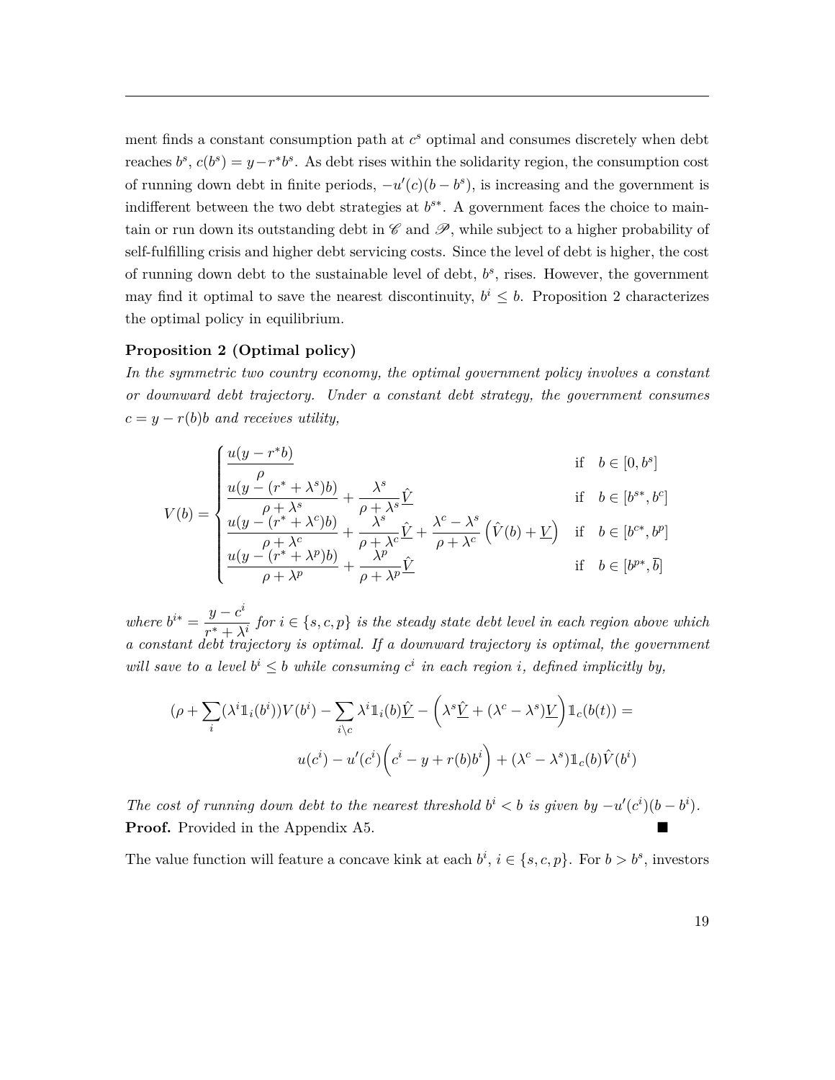ment finds a constant consumption path at  $c^s$  optimal and consumes discretely when debt reaches  $b^s$ ,  $c(b^s) = y - r^*b^s$ . As debt rises within the solidarity region, the consumption cost of running down debt in finite periods,  $-u'(c)(b-b^s)$ , is increasing and the government is indifferent between the two debt strategies at  $b^{s*}$ . A government faces the choice to maintain or run down its outstanding debt in  $\mathscr C$  and  $\mathscr P$ , while subject to a higher probability of self-fulfilling crisis and higher debt servicing costs. Since the level of debt is higher, the cost of running down debt to the sustainable level of debt,  $b^s$ , rises. However, the government may find it optimal to save the nearest discontinuity,  $b^i \leq b$ . Proposition 2 characterizes the optimal policy in equilibrium.

### **Proposition 2 (Optimal policy)**

*In the symmetric two country economy, the optimal government policy involves a constant or downward debt trajectory. Under a constant debt strategy, the government consumes*  $c = y - r(b)b$  *and receives utility,* 

$$
V(b) = \begin{cases} \frac{u(y - r^*b)}{\rho} & \text{if } b \in [0, b^s] \\ \frac{u(y - (r^* + \lambda^s)b)}{\rho + \lambda^s} + \frac{\lambda^s}{\rho + \lambda^s} \hat{V} & \text{if } b \in [b^{s*}, b^c] \\ \frac{u(y - (r^* + \lambda^c)b)}{\rho + \lambda^c} + \frac{\lambda^s}{\rho + \lambda^c} \hat{V} + \frac{\lambda^c - \lambda^s}{\rho + \lambda^c} \left(\hat{V}(b) + \underline{V}\right) & \text{if } b \in [b^{c*}, b^p] \\ \frac{u(y - (r^* + \lambda^p)b)}{\rho + \lambda^p} + \frac{\lambda^p}{\rho + \lambda^p} \hat{V} & \text{if } b \in [b^{p*}, \bar{b}] \end{cases}
$$

 $where b^{i*} = \frac{y - c^i}{x + c^i}$  $\frac{g}{r^* + \lambda^i}$  for  $i \in \{s, c, p\}$  *is the steady state debt level in each region above which a constant debt trajectory is optimal. If a downward trajectory is optimal, the government will save to a level*  $b^i \leq b$  *while consuming*  $c^i$  *in each region i*, defined *implicitly* by,

$$
(\rho + \sum_{i} (\lambda^{i} \mathbb{1}_{i}(b^{i})) V(b^{i}) - \sum_{i \backslash c} \lambda^{i} \mathbb{1}_{i}(b) \hat{\underline{V}} - (\lambda^{s} \hat{\underline{V}} + (\lambda^{c} - \lambda^{s}) \underline{V}) \mathbb{1}_{c}(b(t)) =
$$
  

$$
u(c^{i}) - u'(c^{i}) (c^{i} - y + r(b)b^{i}) + (\lambda^{c} - \lambda^{s}) \mathbb{1}_{c}(b) \hat{V}(b^{i})
$$

*The cost of running down debt to the nearest threshold*  $b^i < b$  *is given by*  $-u'(c^i)(b - b^i)$ *.* **Proof.** Provided in the Appendix A5.

The value function will feature a concave kink at each  $b^i$ ,  $i \in \{s, c, p\}$ . For  $b > b^s$ , investors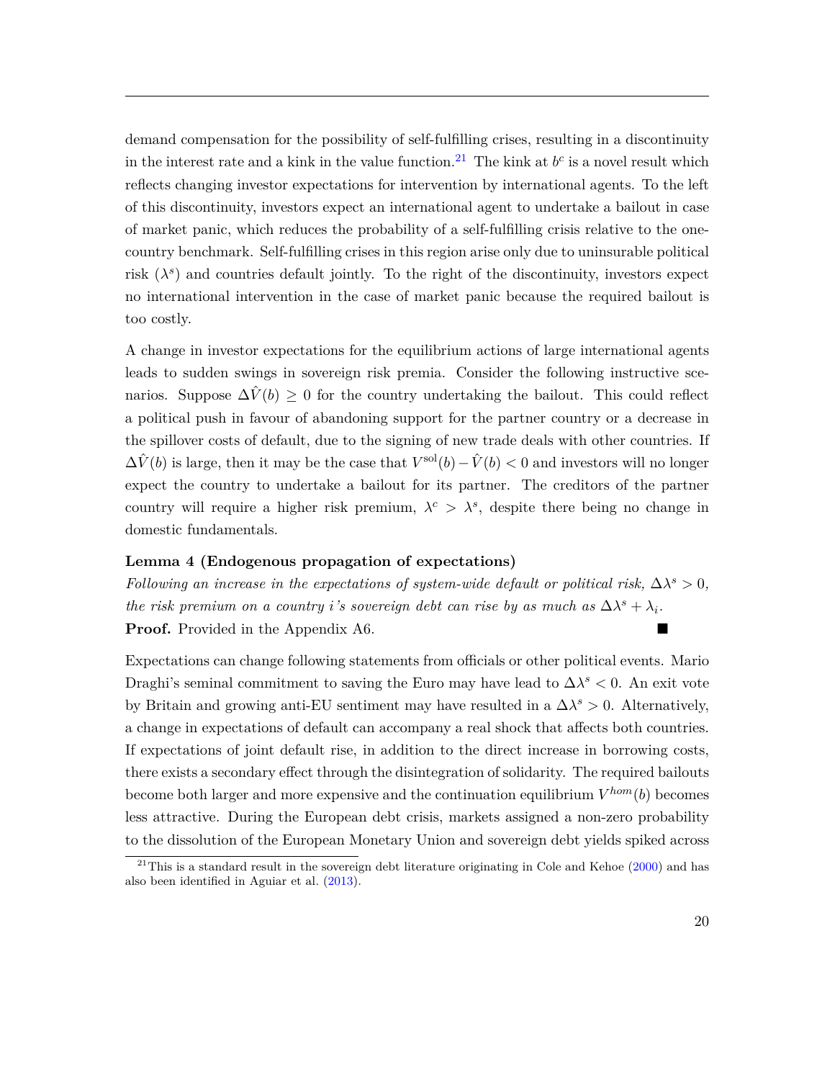demand compensation for the possibility of self-fulfilling crises, resulting in a discontinuity in the interest rate and a kink in the value function.<sup>[21](#page-20-0)</sup> The kink at  $b^c$  is a novel result which reflects changing investor expectations for intervention by international agents. To the left of this discontinuity, investors expect an international agent to undertake a bailout in case of market panic, which reduces the probability of a self-fulfilling crisis relative to the onecountry benchmark. Self-fulfilling crises in this region arise only due to uninsurable political risk  $(\lambda^s)$  and countries default jointly. To the right of the discontinuity, investors expect no international intervention in the case of market panic because the required bailout is too costly.

A change in investor expectations for the equilibrium actions of large international agents leads to sudden swings in sovereign risk premia. Consider the following instructive scenarios. Suppose  $\Delta \hat{V}(b) \geq 0$  for the country undertaking the bailout. This could reflect a political push in favour of abandoning support for the partner country or a decrease in the spillover costs of default, due to the signing of new trade deals with other countries. If  $\Delta \hat{V}$ (*b*) is large, then it may be the case that  $V^{\text{sol}}(b) - \hat{V}(b) < 0$  and investors will no longer expect the country to undertake a bailout for its partner. The creditors of the partner country will require a higher risk premium,  $\lambda^c > \lambda^s$ , despite there being no change in domestic fundamentals.

### **Lemma 4 (Endogenous propagation of expectations)**

*Following an increase in the expectations of system-wide default or political risk,*  $\Delta \lambda^s > 0$ , *the risk premium on a country <i>i*'s sovereign debt can rise by as much as  $\Delta \lambda^s + \lambda_i$ . **Proof.** Provided in the Appendix A6.

Expectations can change following statements from officials or other political events. Mario Draghi's seminal commitment to saving the Euro may have lead to  $\Delta \lambda^s < 0$ . An exit vote by Britain and growing anti-EU sentiment may have resulted in a  $\Delta \lambda^s > 0$ . Alternatively, a change in expectations of default can accompany a real shock that affects both countries. If expectations of joint default rise, in addition to the direct increase in borrowing costs, there exists a secondary effect through the disintegration of solidarity. The required bailouts become both larger and more expensive and the continuation equilibrium  $V^{hom}(b)$  becomes less attractive. During the European debt crisis, markets assigned a non-zero probability to the dissolution of the European Monetary Union and sovereign debt yields spiked across

<span id="page-20-0"></span><sup>&</sup>lt;sup>21</sup>This is a standard result in the sovereign debt literature originating in Cole and Kehoe  $(2000)$  and has also been identified in Aguiar et al. [\(2013\)](#page-29-8).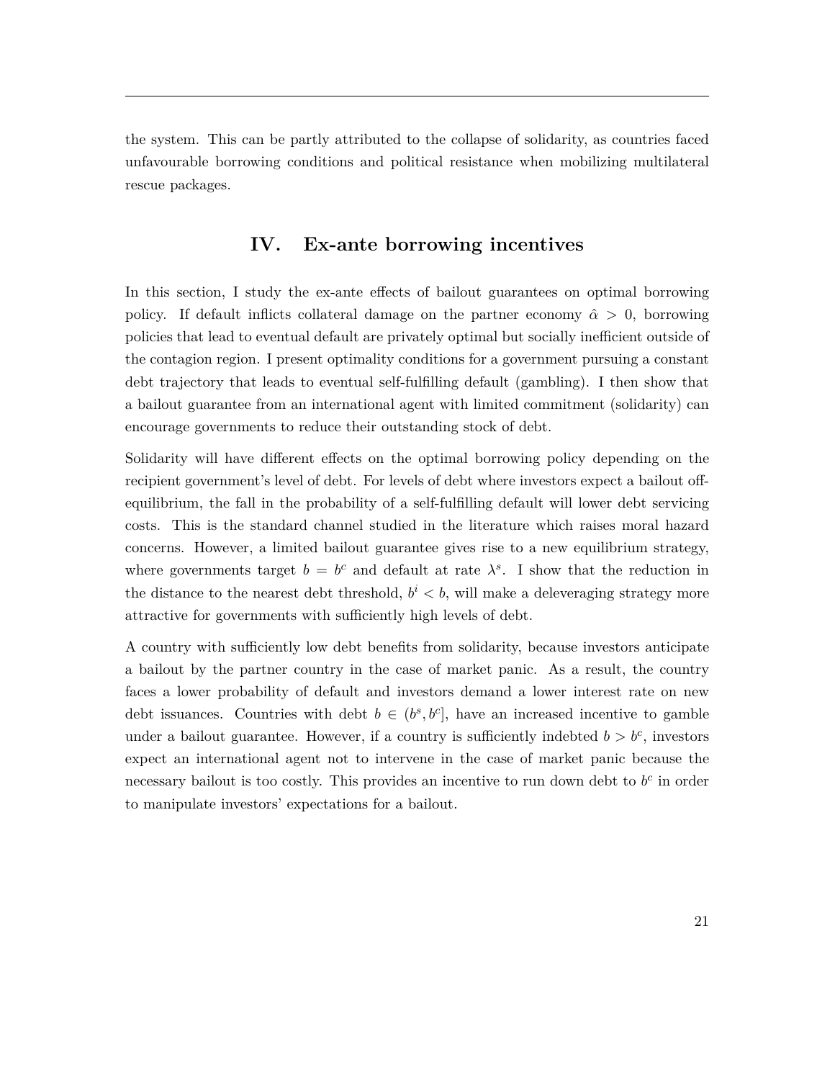the system. This can be partly attributed to the collapse of solidarity, as countries faced unfavourable borrowing conditions and political resistance when mobilizing multilateral rescue packages.

### **IV. Ex-ante borrowing incentives**

In this section, I study the ex-ante effects of bailout guarantees on optimal borrowing policy. If default inflicts collateral damage on the partner economy  $\hat{\alpha} > 0$ , borrowing policies that lead to eventual default are privately optimal but socially inefficient outside of the contagion region. I present optimality conditions for a government pursuing a constant debt trajectory that leads to eventual self-fulfilling default (gambling). I then show that a bailout guarantee from an international agent with limited commitment (solidarity) can encourage governments to reduce their outstanding stock of debt.

Solidarity will have different effects on the optimal borrowing policy depending on the recipient government's level of debt. For levels of debt where investors expect a bailout offequilibrium, the fall in the probability of a self-fulfilling default will lower debt servicing costs. This is the standard channel studied in the literature which raises moral hazard concerns. However, a limited bailout guarantee gives rise to a new equilibrium strategy, where governments target  $b = b^c$  and default at rate  $\lambda^s$ . I show that the reduction in the distance to the nearest debt threshold,  $b^i < b$ , will make a deleveraging strategy more attractive for governments with sufficiently high levels of debt.

A country with sufficiently low debt benefits from solidarity, because investors anticipate a bailout by the partner country in the case of market panic. As a result, the country faces a lower probability of default and investors demand a lower interest rate on new debt issuances. Countries with debt  $b \in (b^s, b^c]$ , have an increased incentive to gamble under a bailout guarantee. However, if a country is sufficiently indebted  $b > b^c$ , investors expect an international agent not to intervene in the case of market panic because the necessary bailout is too costly. This provides an incentive to run down debt to  $b^c$  in order to manipulate investors' expectations for a bailout.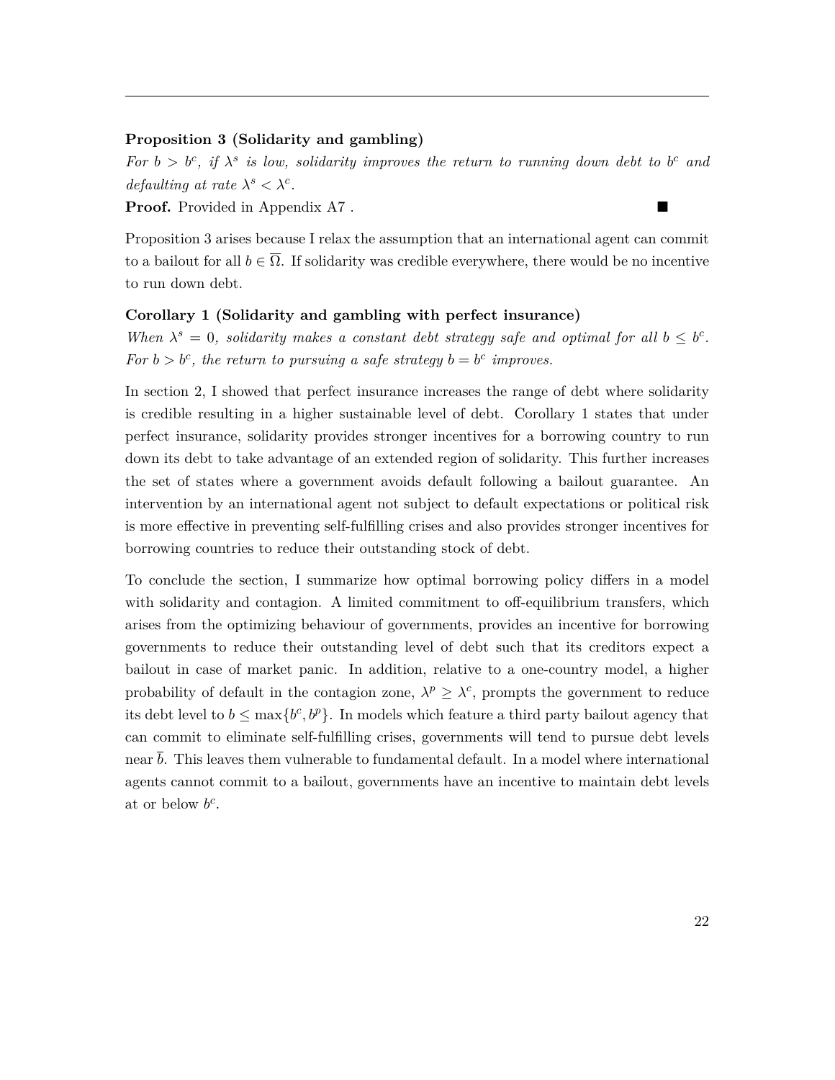### **Proposition 3 (Solidarity and gambling)**

*For*  $b > b^c$ , *if*  $\lambda^s$  *is low, solidarity improves the return to running down debt to*  $b^c$  *and defaulting at rate*  $\lambda^s < \lambda^c$ .

**Proof.** Provided in Appendix A7.

Proposition 3 arises because I relax the assumption that an international agent can commit to a bailout for all  $b \in \overline{\Omega}$ . If solidarity was credible everywhere, there would be no incentive to run down debt.

### **Corollary 1 (Solidarity and gambling with perfect insurance)**

*When*  $\lambda^s = 0$ , solidarity makes a constant debt strategy safe and optimal for all  $b \leq b^c$ . *For*  $b > b^c$ , the return to pursuing a safe strategy  $b = b^c$  improves.

In section 2, I showed that perfect insurance increases the range of debt where solidarity is credible resulting in a higher sustainable level of debt. Corollary 1 states that under perfect insurance, solidarity provides stronger incentives for a borrowing country to run down its debt to take advantage of an extended region of solidarity. This further increases the set of states where a government avoids default following a bailout guarantee. An intervention by an international agent not subject to default expectations or political risk is more effective in preventing self-fulfilling crises and also provides stronger incentives for borrowing countries to reduce their outstanding stock of debt.

To conclude the section, I summarize how optimal borrowing policy differs in a model with solidarity and contagion. A limited commitment to off-equilibrium transfers, which arises from the optimizing behaviour of governments, provides an incentive for borrowing governments to reduce their outstanding level of debt such that its creditors expect a bailout in case of market panic. In addition, relative to a one-country model, a higher probability of default in the contagion zone,  $\lambda^p \geq \lambda^c$ , prompts the government to reduce its debt level to  $b \leq \max\{b^c, b^p\}$ . In models which feature a third party bailout agency that can commit to eliminate self-fulfilling crises, governments will tend to pursue debt levels near  $\bar{b}$ . This leaves them vulnerable to fundamental default. In a model where international agents cannot commit to a bailout, governments have an incentive to maintain debt levels at or below  $b^c$ .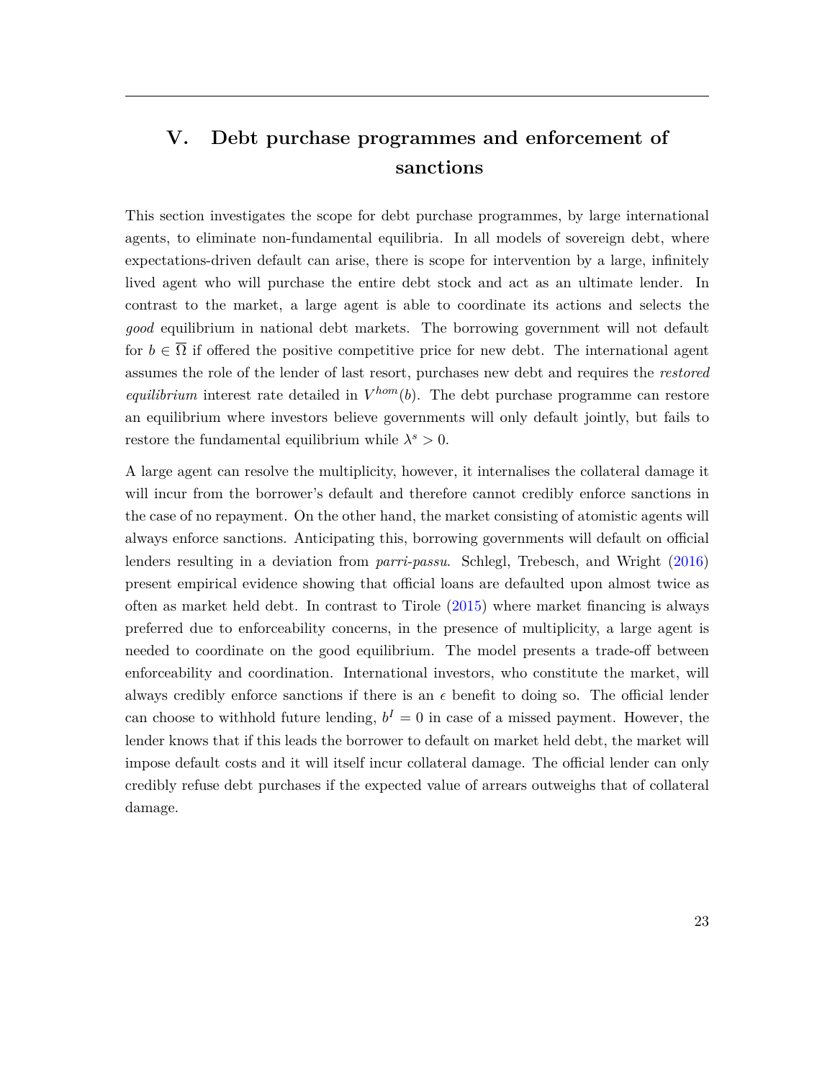# **V. Debt purchase programmes and enforcement of sanctions**

This section investigates the scope for debt purchase programmes, by large international agents, to eliminate non-fundamental equilibria. In all models of sovereign debt, where expectations-driven default can arise, there is scope for intervention by a large, infinitely lived agent who will purchase the entire debt stock and act as an ultimate lender. In contrast to the market, a large agent is able to coordinate its actions and selects the *good* equilibrium in national debt markets. The borrowing government will not default for  $b \in \overline{\Omega}$  if offered the positive competitive price for new debt. The international agent assumes the role of the lender of last resort, purchases new debt and requires the *restored equilibrium* interest rate detailed in  $V^{hom}(b)$ . The debt purchase programme can restore an equilibrium where investors believe governments will only default jointly, but fails to restore the fundamental equilibrium while  $\lambda^s > 0$ .

A large agent can resolve the multiplicity, however, it internalises the collateral damage it will incur from the borrower's default and therefore cannot credibly enforce sanctions in the case of no repayment. On the other hand, the market consisting of atomistic agents will always enforce sanctions. Anticipating this, borrowing governments will default on official lenders resulting in a deviation from *parri-passu*. Schlegl, Trebesch, and Wright [\(2016\)](#page-31-1) present empirical evidence showing that official loans are defaulted upon almost twice as often as market held debt. In contrast to Tirole [\(2015\)](#page-31-0) where market financing is always preferred due to enforceability concerns, in the presence of multiplicity, a large agent is needed to coordinate on the good equilibrium. The model presents a trade-off between enforceability and coordination. International investors, who constitute the market, will always credibly enforce sanctions if there is an  $\epsilon$  benefit to doing so. The official lender can choose to withhold future lending,  $b^I = 0$  in case of a missed payment. However, the lender knows that if this leads the borrower to default on market held debt, the market will impose default costs and it will itself incur collateral damage. The official lender can only credibly refuse debt purchases if the expected value of arrears outweighs that of collateral damage.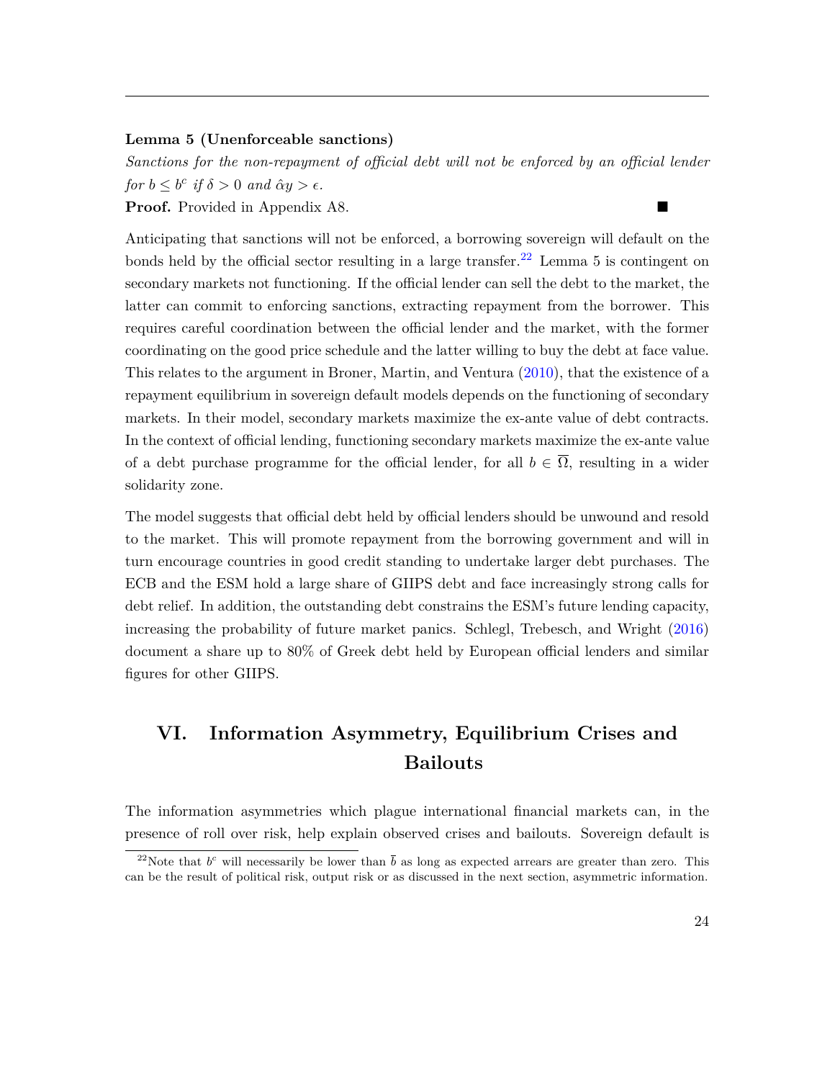### **Lemma 5 (Unenforceable sanctions)**

*Sanctions for the non-repayment of official debt will not be enforced by an official lender for*  $b \leq b^c$  *if*  $\delta > 0$  *and*  $\hat{\alpha}y > \epsilon$ *.* 

**Proof.** Provided in Appendix A8.

Anticipating that sanctions will not be enforced, a borrowing sovereign will default on the bonds held by the official sector resulting in a large transfer.<sup>[22](#page-24-0)</sup> Lemma 5 is contingent on secondary markets not functioning. If the official lender can sell the debt to the market, the latter can commit to enforcing sanctions, extracting repayment from the borrower. This requires careful coordination between the official lender and the market, with the former coordinating on the good price schedule and the latter willing to buy the debt at face value. This relates to the argument in Broner, Martin, and Ventura [\(2010\)](#page-29-9), that the existence of a repayment equilibrium in sovereign default models depends on the functioning of secondary markets. In their model, secondary markets maximize the ex-ante value of debt contracts. In the context of official lending, functioning secondary markets maximize the ex-ante value of a debt purchase programme for the official lender, for all  $b \in \overline{\Omega}$ , resulting in a wider solidarity zone.

The model suggests that official debt held by official lenders should be unwound and resold to the market. This will promote repayment from the borrowing government and will in turn encourage countries in good credit standing to undertake larger debt purchases. The ECB and the ESM hold a large share of GIIPS debt and face increasingly strong calls for debt relief. In addition, the outstanding debt constrains the ESM's future lending capacity, increasing the probability of future market panics. Schlegl, Trebesch, and Wright [\(2016\)](#page-31-1) document a share up to 80% of Greek debt held by European official lenders and similar figures for other GIIPS.

## **VI. Information Asymmetry, Equilibrium Crises and Bailouts**

The information asymmetries which plague international financial markets can, in the presence of roll over risk, help explain observed crises and bailouts. Sovereign default is

<span id="page-24-0"></span><sup>&</sup>lt;sup>22</sup>Note that  $b^c$  will necessarily be lower than  $\bar{b}$  as long as expected arrears are greater than zero. This can be the result of political risk, output risk or as discussed in the next section, asymmetric information.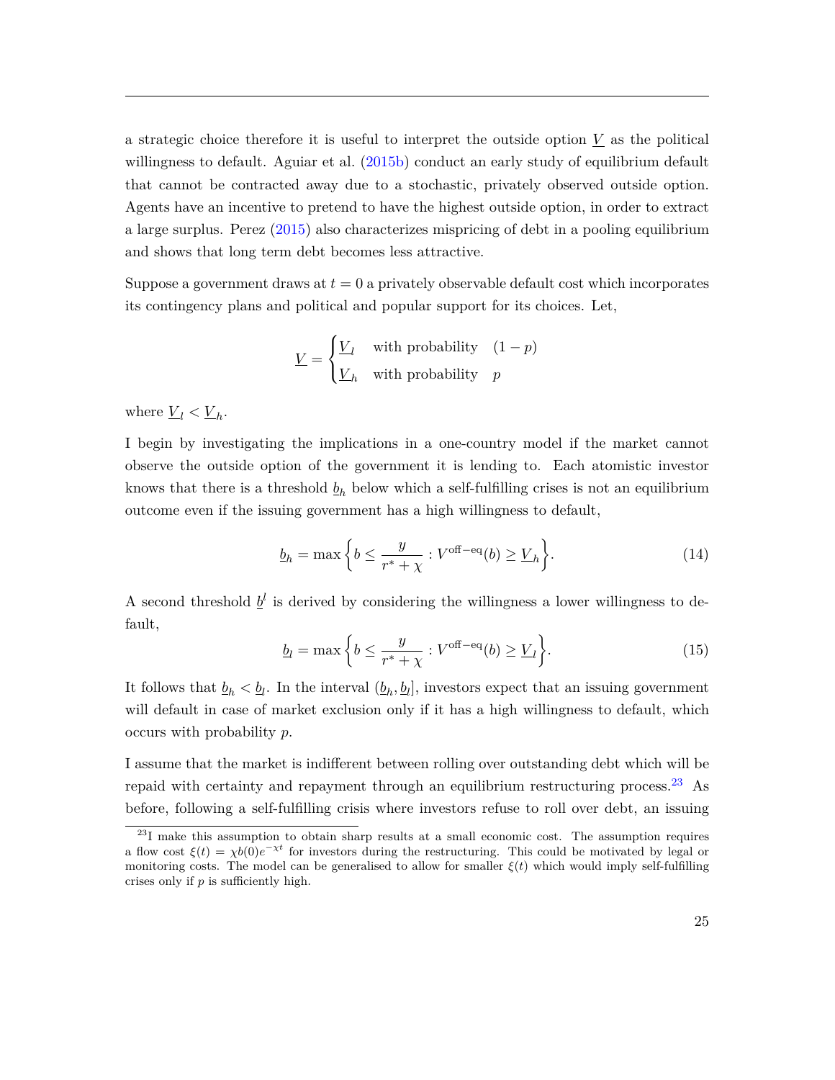a strategic choice therefore it is useful to interpret the outside option *V* as the political willingness to default. Aguiar et al. [\(2015b\)](#page-29-10) conduct an early study of equilibrium default that cannot be contracted away due to a stochastic, privately observed outside option. Agents have an incentive to pretend to have the highest outside option, in order to extract a large surplus. Perez [\(2015\)](#page-31-4) also characterizes mispricing of debt in a pooling equilibrium and shows that long term debt becomes less attractive.

Suppose a government draws at  $t = 0$  a privately observable default cost which incorporates its contingency plans and political and popular support for its choices. Let,

$$
\underline{V} = \begin{cases} \underline{V}_l & \text{with probability} & (1-p) \\ \underline{V}_h & \text{with probability} & p \end{cases}
$$

where  $\underline{V}_l < \underline{V}_h$ .

I begin by investigating the implications in a one-country model if the market cannot observe the outside option of the government it is lending to. Each atomistic investor knows that there is a threshold  $b_h$  below which a self-fulfilling crises is not an equilibrium outcome even if the issuing government has a high willingness to default,

$$
\underline{b}_h = \max\left\{b \le \frac{y}{r^* + \chi} : V^{\text{off}-\text{eq}}(b) \ge \underline{V}_h\right\}.
$$
 (14)

A second threshold  $\underline{b}^l$  is derived by considering the willingness a lower willingness to default,

$$
\underline{b}_l = \max\bigg\{b \le \frac{y}{r^* + \chi} : V^{\text{off}-\text{eq}}(b) \ge \underline{V}_l \bigg\}.
$$
 (15)

It follows that  $\underline{b}_h < \underline{b}_l$ . In the interval  $(b_h, b_l]$ , investors expect that an issuing government will default in case of market exclusion only if it has a high willingness to default, which occurs with probability *p*.

I assume that the market is indifferent between rolling over outstanding debt which will be repaid with certainty and repayment through an equilibrium restructuring process.<sup>[23](#page-25-0)</sup> As before, following a self-fulfilling crisis where investors refuse to roll over debt, an issuing

<span id="page-25-0"></span><sup>&</sup>lt;sup>23</sup>I make this assumption to obtain sharp results at a small economic cost. The assumption requires a flow cost  $\xi(t) = \chi b(0)e^{-\chi t}$  for investors during the restructuring. This could be motivated by legal or monitoring costs. The model can be generalised to allow for smaller  $\xi(t)$  which would imply self-fulfilling crises only if *p* is sufficiently high.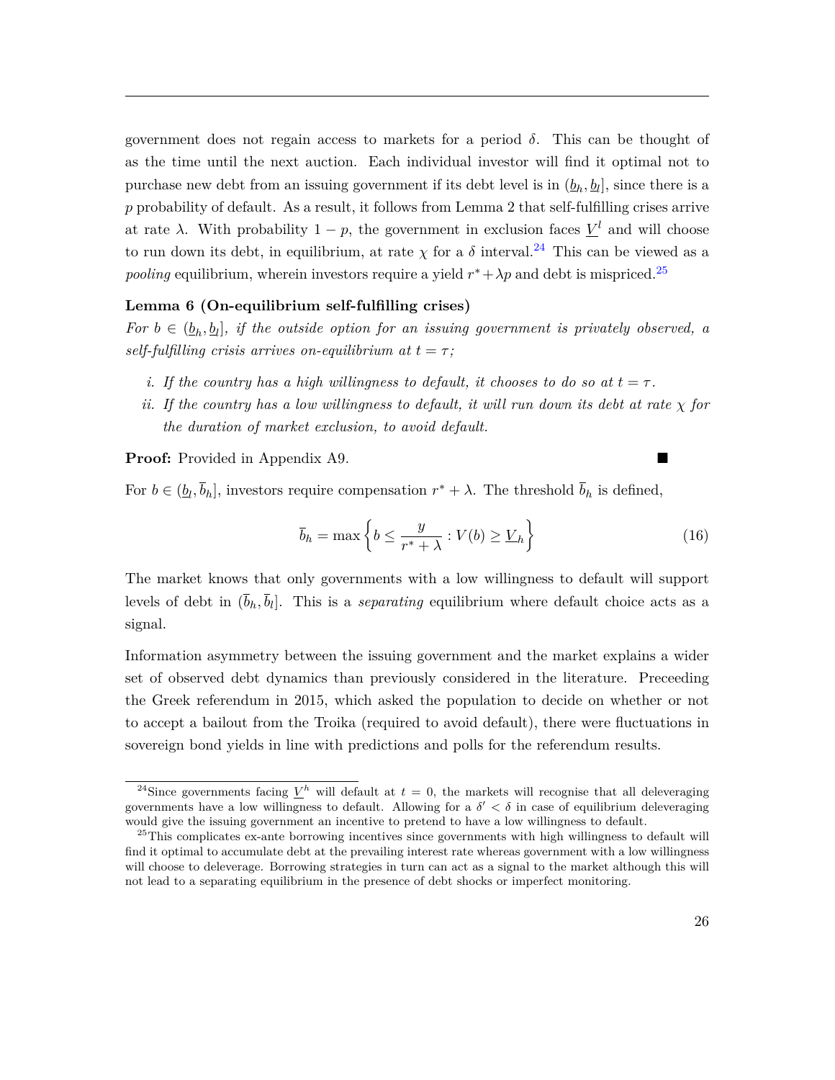government does not regain access to markets for a period *δ*. This can be thought of as the time until the next auction. Each individual investor will find it optimal not to purchase new debt from an issuing government if its debt level is in  $(\underline{b}_h, \underline{b}_l]$ , since there is a *p* probability of default. As a result, it follows from Lemma 2 that self-fulfilling crises arrive at rate  $\lambda$ . With probability  $1 - p$ , the government in exclusion faces  $\underline{V}^l$  and will choose to run down its debt, in equilibrium, at rate  $\chi$  for a  $\delta$  interval.<sup>[24](#page-26-0)</sup> This can be viewed as a *pooling* equilibrium, wherein investors require a yield  $r^* + \lambda p$  and debt is mispriced.<sup>[25](#page-26-1)</sup>

### **Lemma 6 (On-equilibrium self-fulfilling crises)**

*For*  $b \in (\underline{b}_h, \underline{b}_l]$ , if the outside option for an issuing government is privately observed, a *self-fulfilling crisis arrives on-equilibrium at*  $t = \tau$ ;

- *i.* If the country has a high willingness to default, it chooses to do so at  $t = \tau$ .
- *ii.* If the country has a low willingness to default, it will run down its debt at rate  $\chi$  *for the duration of market exclusion, to avoid default.*

**Proof:** Provided in Appendix A9.

For  $b \in (\underline{b}_l, \overline{b}_h]$ , investors require compensation  $r^* + \lambda$ . The threshold  $\overline{b}_h$  is defined,

$$
\overline{b}_h = \max\left\{b \le \frac{y}{r^* + \lambda} : V(b) \ge \underline{V}_h\right\} \tag{16}
$$

The market knows that only governments with a low willingness to default will support levels of debt in  $(b_h, \overline{b}_l]$ . This is a *separating* equilibrium where default choice acts as a signal.

Information asymmetry between the issuing government and the market explains a wider set of observed debt dynamics than previously considered in the literature. Preceeding the Greek referendum in 2015, which asked the population to decide on whether or not to accept a bailout from the Troika (required to avoid default), there were fluctuations in sovereign bond yields in line with predictions and polls for the referendum results.

<span id="page-26-0"></span><sup>&</sup>lt;sup>24</sup>Since governments facing  $\underline{V}^h$  will default at  $t=0$ , the markets will recognise that all deleveraging governments have a low willingness to default. Allowing for a  $\delta' < \delta$  in case of equilibrium deleveraging would give the issuing government an incentive to pretend to have a low willingness to default.

<span id="page-26-1"></span><sup>&</sup>lt;sup>25</sup>This complicates ex-ante borrowing incentives since governments with high willingness to default will find it optimal to accumulate debt at the prevailing interest rate whereas government with a low willingness will choose to deleverage. Borrowing strategies in turn can act as a signal to the market although this will not lead to a separating equilibrium in the presence of debt shocks or imperfect monitoring.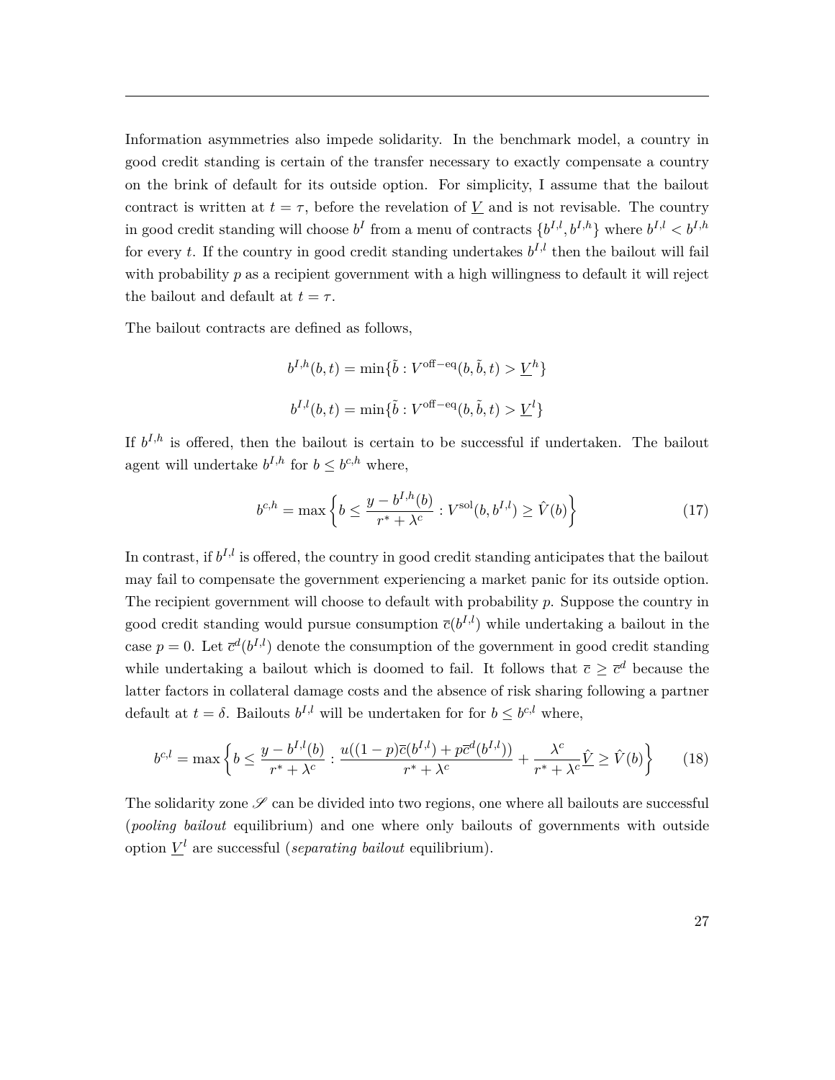Information asymmetries also impede solidarity. In the benchmark model, a country in good credit standing is certain of the transfer necessary to exactly compensate a country on the brink of default for its outside option. For simplicity, I assume that the bailout contract is written at  $t = \tau$ , before the revelation of  $\underline{V}$  and is not revisable. The country in good credit standing will choose  $b^I$  from a menu of contracts  $\{b^{I,l}, b^{I,h}\}$  where  $b^{I,l} < b^{I,h}$ for every *t*. If the country in good credit standing undertakes  $b^{I,l}$  then the bailout will fail with probability *p* as a recipient government with a high willingness to default it will reject the bailout and default at  $t = \tau$ .

The bailout contracts are defined as follows,

$$
b^{I,h}(b,t) = \min\{\tilde{b} : V^{\text{off-eq}}(b,\tilde{b},t) > \underline{V}^h\}
$$
  

$$
b^{I,l}(b,t) = \min\{\tilde{b} : V^{\text{off-eq}}(b,\tilde{b},t) > \underline{V}^l\}
$$

If  $b^{I,h}$  is offered, then the bailout is certain to be successful if undertaken. The bailout agent will undertake  $b^{I,h}$  for  $b \leq b^{c,h}$  where,

$$
b^{c,h} = \max \left\{ b \le \frac{y - b^{I,h}(b)}{r^* + \lambda^c} : V^{\text{sol}}(b, b^{I,l}) \ge \hat{V}(b) \right\}
$$
 (17)

In contrast, if  $b^{I,l}$  is offered, the country in good credit standing anticipates that the bailout may fail to compensate the government experiencing a market panic for its outside option. The recipient government will choose to default with probability *p*. Suppose the country in good credit standing would pursue consumption  $\bar{c}(b^{I,l})$  while undertaking a bailout in the case  $p = 0$ . Let  $\bar{c}^d(b^{I,l})$  denote the consumption of the government in good credit standing while undertaking a bailout which is doomed to fail. It follows that  $\bar{c} \geq \bar{c}^d$  because the latter factors in collateral damage costs and the absence of risk sharing following a partner default at  $t = \delta$ . Bailouts  $b^{I,l}$  will be undertaken for for  $b \leq b^{c,l}$  where,

$$
b^{c,l} = \max \left\{ b \le \frac{y - b^{I,l}(b)}{r^* + \lambda^c} : \frac{u((1 - p)\overline{c}(b^{I,l}) + p\overline{c}^d(b^{I,l}))}{r^* + \lambda^c} + \frac{\lambda^c}{r^* + \lambda^c} \hat{V} \ge \hat{V}(b) \right\}
$$
(18)

The solidarity zone  $\mathscr S$  can be divided into two regions, one where all bailouts are successful (*pooling bailout* equilibrium) and one where only bailouts of governments with outside option  $\underline{V}^l$  are successful (*separating bailout* equilibrium).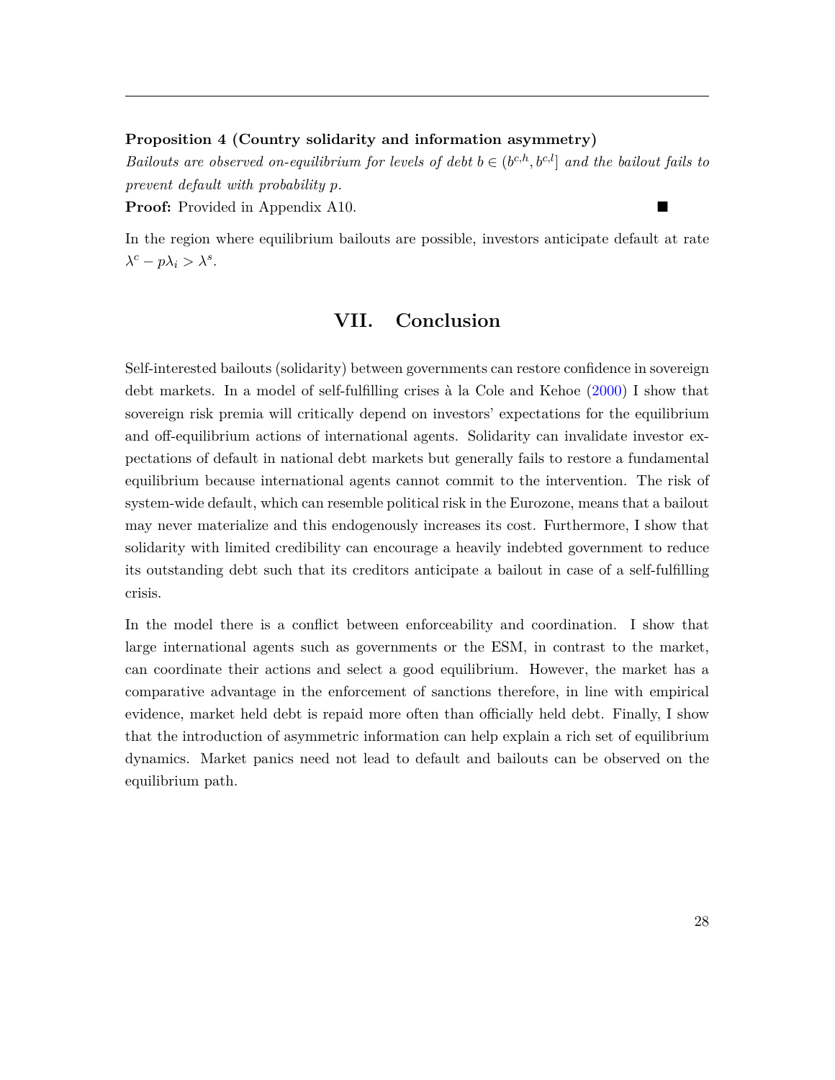### **Proposition 4 (Country solidarity and information asymmetry)**

*Bailouts are observed on-equilibrium for levels of debt*  $b \in (b^{c,h}, b^{c,l}]$  *and the bailout fails to prevent default with probability p.*

**Proof:** Provided in Appendix A10.

In the region where equilibrium bailouts are possible, investors anticipate default at rate  $\lambda^c - p\lambda_i > \lambda^s$ .

### **VII. Conclusion**

Self-interested bailouts (solidarity) between governments can restore confidence in sovereign debt markets. In a model of self-fulfilling crises à la Cole and Kehoe [\(2000\)](#page-30-0) I show that sovereign risk premia will critically depend on investors' expectations for the equilibrium and off-equilibrium actions of international agents. Solidarity can invalidate investor expectations of default in national debt markets but generally fails to restore a fundamental equilibrium because international agents cannot commit to the intervention. The risk of system-wide default, which can resemble political risk in the Eurozone, means that a bailout may never materialize and this endogenously increases its cost. Furthermore, I show that solidarity with limited credibility can encourage a heavily indebted government to reduce its outstanding debt such that its creditors anticipate a bailout in case of a self-fulfilling crisis.

In the model there is a conflict between enforceability and coordination. I show that large international agents such as governments or the ESM, in contrast to the market, can coordinate their actions and select a good equilibrium. However, the market has a comparative advantage in the enforcement of sanctions therefore, in line with empirical evidence, market held debt is repaid more often than officially held debt. Finally, I show that the introduction of asymmetric information can help explain a rich set of equilibrium dynamics. Market panics need not lead to default and bailouts can be observed on the equilibrium path.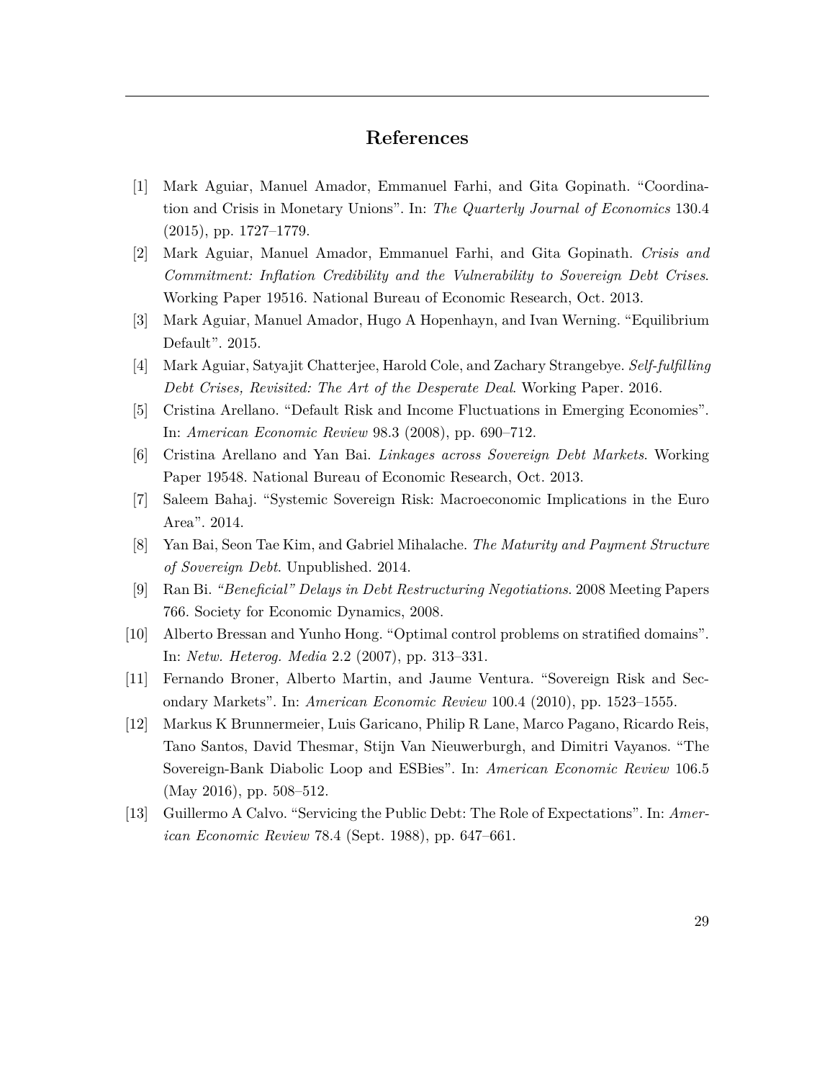### **References**

- <span id="page-29-5"></span>[1] Mark Aguiar, Manuel Amador, Emmanuel Farhi, and Gita Gopinath. "Coordination and Crisis in Monetary Unions". In: *The Quarterly Journal of Economics* 130.4 (2015), pp. 1727–1779.
- <span id="page-29-8"></span>[2] Mark Aguiar, Manuel Amador, Emmanuel Farhi, and Gita Gopinath. *Crisis and Commitment: Inflation Credibility and the Vulnerability to Sovereign Debt Crises*. Working Paper 19516. National Bureau of Economic Research, Oct. 2013.
- <span id="page-29-10"></span>[3] Mark Aguiar, Manuel Amador, Hugo A Hopenhayn, and Ivan Werning. "Equilibrium Default". 2015.
- <span id="page-29-1"></span>[4] Mark Aguiar, Satyajit Chatterjee, Harold Cole, and Zachary Strangebye. *Self-fulfilling Debt Crises, Revisited: The Art of the Desperate Deal*. Working Paper. 2016.
- <span id="page-29-3"></span>[5] Cristina Arellano. "Default Risk and Income Fluctuations in Emerging Economies". In: *American Economic Review* 98.3 (2008), pp. 690–712.
- <span id="page-29-4"></span>[6] Cristina Arellano and Yan Bai. *Linkages across Sovereign Debt Markets*. Working Paper 19548. National Bureau of Economic Research, Oct. 2013.
- <span id="page-29-2"></span>[7] Saleem Bahaj. "Systemic Sovereign Risk: Macroeconomic Implications in the Euro Area". 2014.
- <span id="page-29-7"></span>[8] Yan Bai, Seon Tae Kim, and Gabriel Mihalache. *The Maturity and Payment Structure of Sovereign Debt*. Unpublished. 2014.
- <span id="page-29-6"></span>[9] Ran Bi. *"Beneficial" Delays in Debt Restructuring Negotiations*. 2008 Meeting Papers 766. Society for Economic Dynamics, 2008.
- <span id="page-29-11"></span>[10] Alberto Bressan and Yunho Hong. "Optimal control problems on stratified domains". In: *Netw. Heterog. Media* 2.2 (2007), pp. 313–331.
- <span id="page-29-9"></span>[11] Fernando Broner, Alberto Martin, and Jaume Ventura. "Sovereign Risk and Secondary Markets". In: *American Economic Review* 100.4 (2010), pp. 1523–1555.
- <span id="page-29-12"></span>[12] Markus K Brunnermeier, Luis Garicano, Philip R Lane, Marco Pagano, Ricardo Reis, Tano Santos, David Thesmar, Stijn Van Nieuwerburgh, and Dimitri Vayanos. "The Sovereign-Bank Diabolic Loop and ESBies". In: *American Economic Review* 106.5 (May 2016), pp. 508–512.
- <span id="page-29-0"></span>[13] Guillermo A Calvo. "Servicing the Public Debt: The Role of Expectations". In: *American Economic Review* 78.4 (Sept. 1988), pp. 647–661.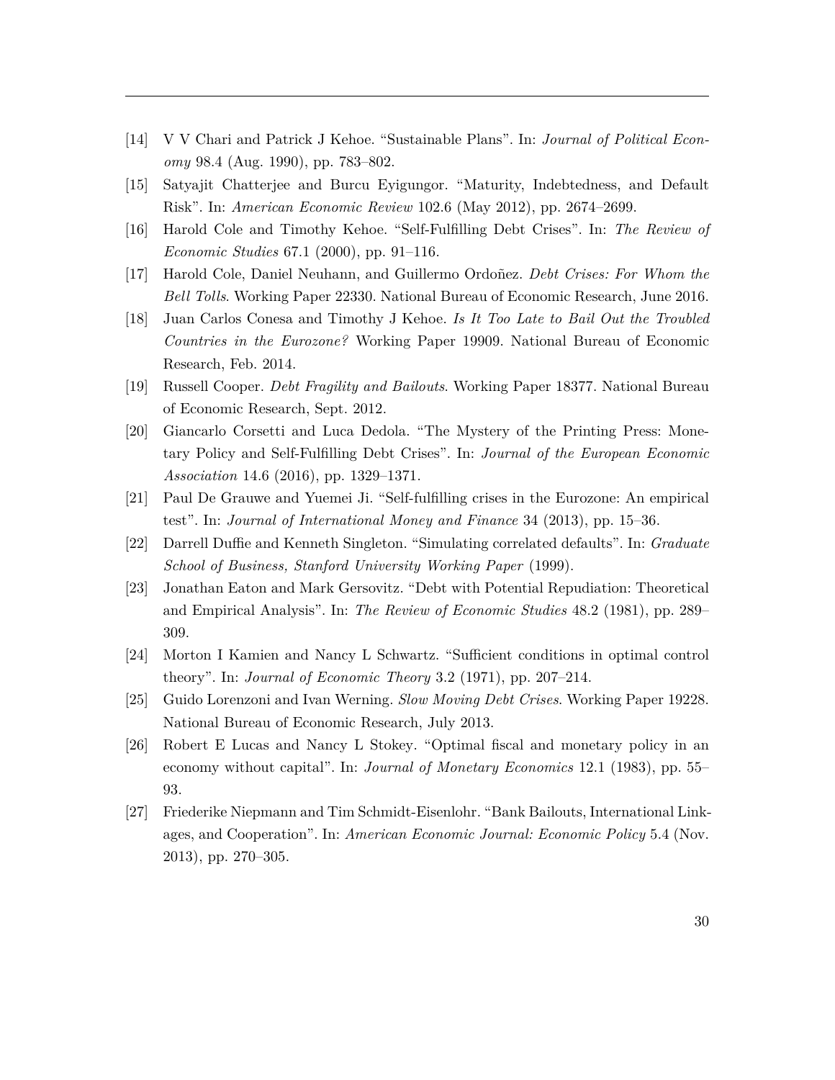- <span id="page-30-3"></span>[14] V V Chari and Patrick J Kehoe. "Sustainable Plans". In: *Journal of Political Economy* 98.4 (Aug. 1990), pp. 783–802.
- <span id="page-30-9"></span>[15] Satyajit Chatterjee and Burcu Eyigungor. "Maturity, Indebtedness, and Default Risk". In: *American Economic Review* 102.6 (May 2012), pp. 2674–2699.
- <span id="page-30-0"></span>[16] Harold Cole and Timothy Kehoe. "Self-Fulfilling Debt Crises". In: *The Review of Economic Studies* 67.1 (2000), pp. 91–116.
- <span id="page-30-10"></span>[17] Harold Cole, Daniel Neuhann, and Guillermo Ordo˜nez. *Debt Crises: For Whom the Bell Tolls*. Working Paper 22330. National Bureau of Economic Research, June 2016.
- <span id="page-30-7"></span>[18] Juan Carlos Conesa and Timothy J Kehoe. *Is It Too Late to Bail Out the Troubled Countries in the Eurozone?* Working Paper 19909. National Bureau of Economic Research, Feb. 2014.
- <span id="page-30-8"></span>[19] Russell Cooper. *Debt Fragility and Bailouts*. Working Paper 18377. National Bureau of Economic Research, Sept. 2012.
- <span id="page-30-6"></span>[20] Giancarlo Corsetti and Luca Dedola. "The Mystery of the Printing Press: Monetary Policy and Self-Fulfilling Debt Crises". In: *Journal of the European Economic Association* 14.6 (2016), pp. 1329–1371.
- <span id="page-30-1"></span>[21] Paul De Grauwe and Yuemei Ji. "Self-fulfilling crises in the Eurozone: An empirical test". In: *Journal of International Money and Finance* 34 (2013), pp. 15–36.
- <span id="page-30-11"></span>[22] Darrell Duffie and Kenneth Singleton. "Simulating correlated defaults". In: *Graduate School of Business, Stanford University Working Paper* (1999).
- <span id="page-30-4"></span>[23] Jonathan Eaton and Mark Gersovitz. "Debt with Potential Repudiation: Theoretical and Empirical Analysis". In: *The Review of Economic Studies* 48.2 (1981), pp. 289– 309.
- <span id="page-30-12"></span>[24] Morton I Kamien and Nancy L Schwartz. "Sufficient conditions in optimal control theory". In: *Journal of Economic Theory* 3.2 (1971), pp. 207–214.
- <span id="page-30-5"></span>[25] Guido Lorenzoni and Ivan Werning. *Slow Moving Debt Crises*. Working Paper 19228. National Bureau of Economic Research, July 2013.
- <span id="page-30-2"></span>[26] Robert E Lucas and Nancy L Stokey. "Optimal fiscal and monetary policy in an economy without capital". In: *Journal of Monetary Economics* 12.1 (1983), pp. 55– 93.
- [27] Friederike Niepmann and Tim Schmidt-Eisenlohr. "Bank Bailouts, International Linkages, and Cooperation". In: *American Economic Journal: Economic Policy* 5.4 (Nov. 2013), pp. 270–305.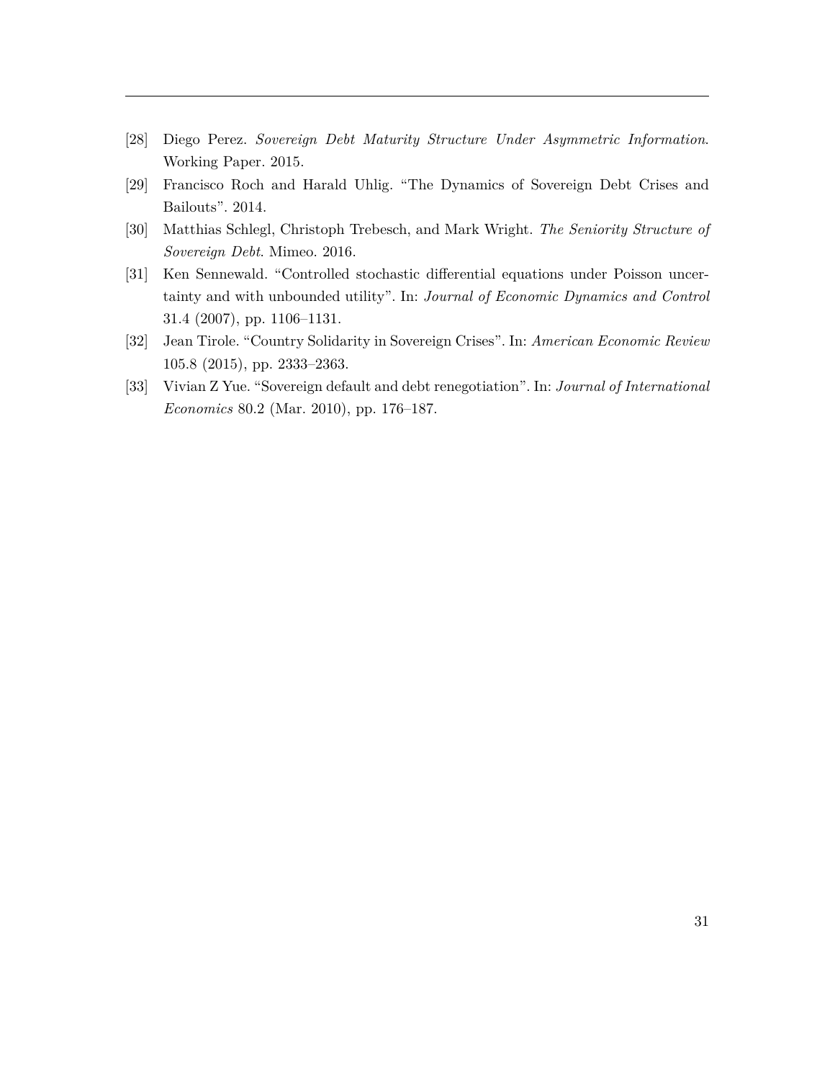- <span id="page-31-4"></span>[28] Diego Perez. *Sovereign Debt Maturity Structure Under Asymmetric Information*. Working Paper. 2015.
- <span id="page-31-2"></span>[29] Francisco Roch and Harald Uhlig. "The Dynamics of Sovereign Debt Crises and Bailouts". 2014.
- <span id="page-31-1"></span>[30] Matthias Schlegl, Christoph Trebesch, and Mark Wright. *The Seniority Structure of Sovereign Debt*. Mimeo. 2016.
- <span id="page-31-5"></span>[31] Ken Sennewald. "Controlled stochastic differential equations under Poisson uncertainty and with unbounded utility". In: *Journal of Economic Dynamics and Control* 31.4 (2007), pp. 1106–1131.
- <span id="page-31-0"></span>[32] Jean Tirole. "Country Solidarity in Sovereign Crises". In: *American Economic Review* 105.8 (2015), pp. 2333–2363.
- <span id="page-31-3"></span>[33] Vivian Z Yue. "Sovereign default and debt renegotiation". In: *Journal of International Economics* 80.2 (Mar. 2010), pp. 176–187.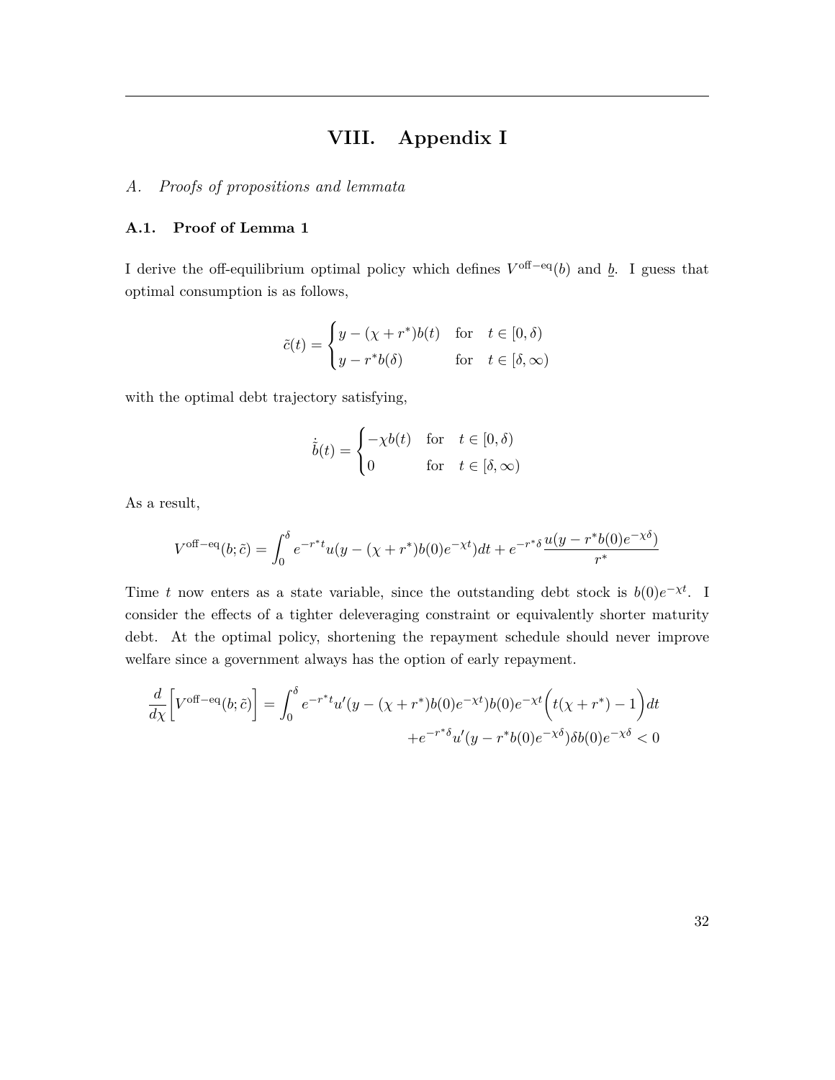## **VIII. Appendix I**

### *A. Proofs of propositions and lemmata*

### **A.1. Proof of Lemma 1**

I derive the off-equilibrium optimal policy which defines *V* off−eq(*b*) and *b*. I guess that optimal consumption is as follows,

$$
\tilde{c}(t) = \begin{cases} y - (\chi + r^*)b(t) & \text{for } t \in [0, \delta) \\ y - r^*b(\delta) & \text{for } t \in [\delta, \infty) \end{cases}
$$

with the optimal debt trajectory satisfying,

$$
\dot{\tilde{b}}(t) = \begin{cases}\n-\chi b(t) & \text{for } t \in [0, \delta) \\
0 & \text{for } t \in [\delta, \infty)\n\end{cases}
$$

As a result,

$$
V^{\text{off-eq}}(b; \tilde{c}) = \int_0^{\delta} e^{-r^*t} u(y - (\chi + r^*)b(0)e^{-\chi t}) dt + e^{-r^* \delta} \frac{u(y - r^*b(0)e^{-\chi \delta})}{r^*}
$$

Time *t* now enters as a state variable, since the outstanding debt stock is  $b(0)e^{-\chi t}$ . I consider the effects of a tighter deleveraging constraint or equivalently shorter maturity debt. At the optimal policy, shortening the repayment schedule should never improve welfare since a government always has the option of early repayment.

$$
\frac{d}{d\chi} \left[ V^{\text{off-eq}}(b; \tilde{c}) \right] = \int_0^{\delta} e^{-r^*t} u'(y - (\chi + r^*)b(0)e^{-\chi t}) b(0)e^{-\chi t} \left( t(\chi + r^*) - 1 \right) dt
$$

$$
+ e^{-r^* \delta} u'(y - r^* b(0)e^{-\chi \delta}) \delta b(0)e^{-\chi \delta} < 0
$$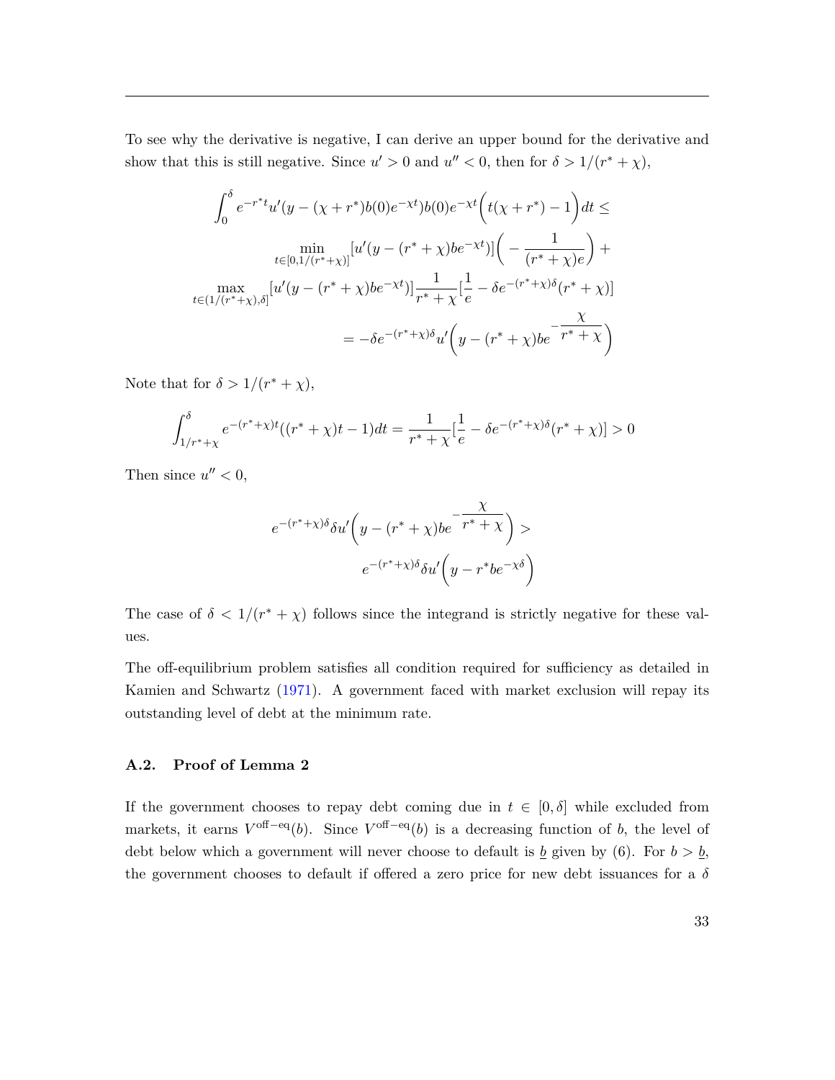To see why the derivative is negative, I can derive an upper bound for the derivative and show that this is still negative. Since  $u' > 0$  and  $u'' < 0$ , then for  $\delta > 1/(r^* + \chi)$ ,

$$
\int_0^{\delta} e^{-r^*t} u'(y - (\chi + r^*)b(0)e^{-\chi t})b(0)e^{-\chi t} \left(t(\chi + r^*) - 1\right) dt \le
$$
  
\n
$$
\min_{t \in [0,1/(r^*+\chi))} [u'(y - (r^* + \chi)be^{-\chi t})] \left(-\frac{1}{(r^* + \chi)e}\right) +
$$
  
\n
$$
\max_{t \in (1/(r^*+\chi),\delta]} [u'(y - (r^* + \chi)be^{-\chi t})] \frac{1}{r^* + \chi} \left[\frac{1}{e} - \delta e^{-(r^*+\chi)\delta}(r^* + \chi)\right]
$$
  
\n
$$
= -\delta e^{-(r^*+\chi)\delta} u'\left(y - (r^* + \chi)be^{-\frac{\chi}{r^* + \chi}}\right)
$$

Note that for  $\delta > 1/(r^* + \chi)$ ,

$$
\int_{1/r^* + \chi}^{\delta} e^{-(r^* + \chi)t} ((r^* + \chi)t - 1) dt = \frac{1}{r^* + \chi} \left[ \frac{1}{e} - \delta e^{-(r^* + \chi)\delta} (r^* + \chi) \right] > 0
$$

Then since  $u'' < 0$ ,

$$
e^{-(r^*+\chi)\delta}\delta u'\left(y-(r^*+\chi)be^{-\frac{\chi}{r^*+\chi}}\right) > e^{-(r^*+\chi)\delta}\delta u'\left(y-r^*be^{-\chi\delta}\right)
$$

The case of  $\delta < 1/(r^* + \chi)$  follows since the integrand is strictly negative for these values.

The off-equilibrium problem satisfies all condition required for sufficiency as detailed in Kamien and Schwartz [\(1971\)](#page-30-12). A government faced with market exclusion will repay its outstanding level of debt at the minimum rate.

### **A.2. Proof of Lemma 2**

If the government chooses to repay debt coming due in  $t \in [0, \delta]$  while excluded from markets, it earns  $V^{\text{off}-\text{eq}}(b)$ . Since  $V^{\text{off}-\text{eq}}(b)$  is a decreasing function of *b*, the level of debt below which a government will never choose to default is  $\underline{b}$  given by (6). For  $b > \underline{b}$ , the government chooses to default if offered a zero price for new debt issuances for a *δ*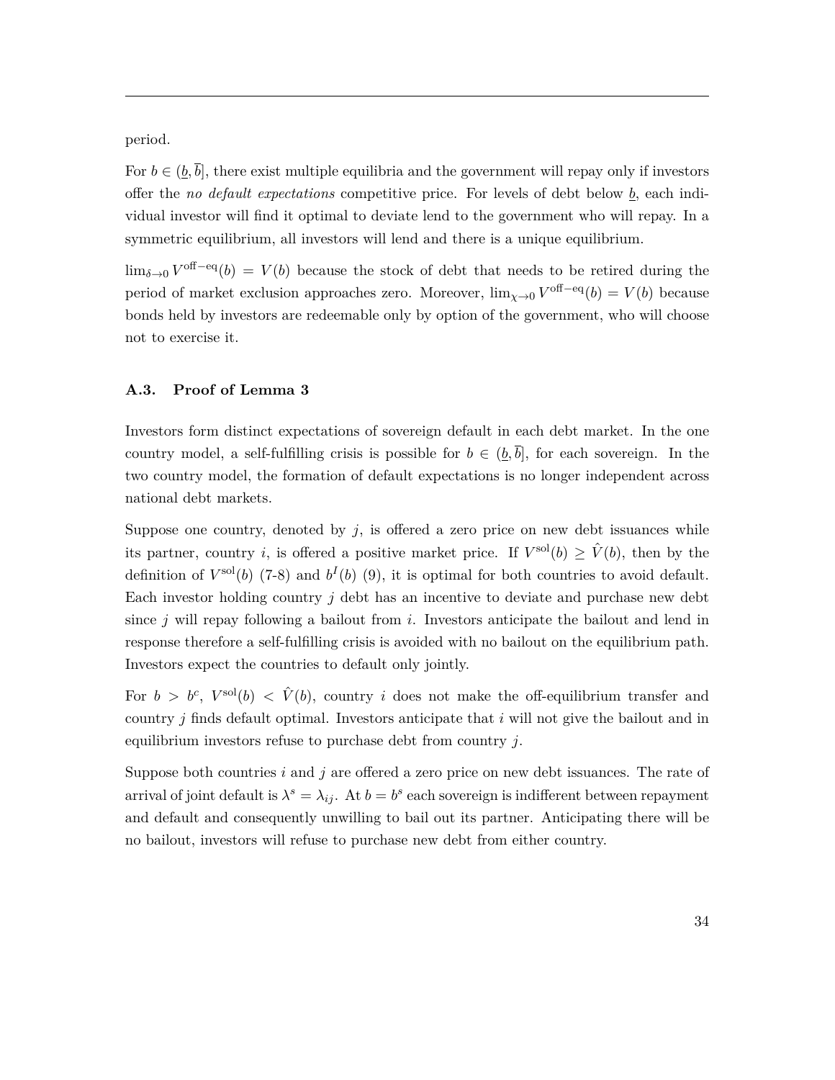period.

For  $b \in (\underline{b}, \overline{b})$ , there exist multiple equilibria and the government will repay only if investors offer the *no default expectations* competitive price. For levels of debt below *b*, each individual investor will find it optimal to deviate lend to the government who will repay. In a symmetric equilibrium, all investors will lend and there is a unique equilibrium.

 $\lim_{\delta \to 0} V^{\text{off}-\text{eq}}(b) = V(b)$  because the stock of debt that needs to be retired during the period of market exclusion approaches zero. Moreover,  $\lim_{\chi \to 0} V^{\text{off}-\text{eq}}(b) = V(b)$  because bonds held by investors are redeemable only by option of the government, who will choose not to exercise it.

### **A.3. Proof of Lemma 3**

Investors form distinct expectations of sovereign default in each debt market. In the one country model, a self-fulfilling crisis is possible for  $b \in (b, \overline{b}]$ , for each sovereign. In the two country model, the formation of default expectations is no longer independent across national debt markets.

Suppose one country, denoted by  $j$ , is offered a zero price on new debt issuances while its partner, country *i*, is offered a positive market price. If  $V^{\text{sol}}(b) \geq \hat{V}(b)$ , then by the definition of  $V^{\text{sol}}(b)$  (7-8) and  $b^{I}(b)$  (9), it is optimal for both countries to avoid default. Each investor holding country *j* debt has an incentive to deviate and purchase new debt since *j* will repay following a bailout from *i*. Investors anticipate the bailout and lend in response therefore a self-fulfilling crisis is avoided with no bailout on the equilibrium path. Investors expect the countries to default only jointly.

For  $b > b^c$ ,  $V^{\text{sol}}(b) < \hat{V}(b)$ , country *i* does not make the off-equilibrium transfer and country *j* finds default optimal. Investors anticipate that *i* will not give the bailout and in equilibrium investors refuse to purchase debt from country *j*.

Suppose both countries *i* and *j* are offered a zero price on new debt issuances. The rate of arrival of joint default is  $\lambda^s = \lambda_{ij}$ . At  $b = b^s$  each sovereign is indifferent between repayment and default and consequently unwilling to bail out its partner. Anticipating there will be no bailout, investors will refuse to purchase new debt from either country.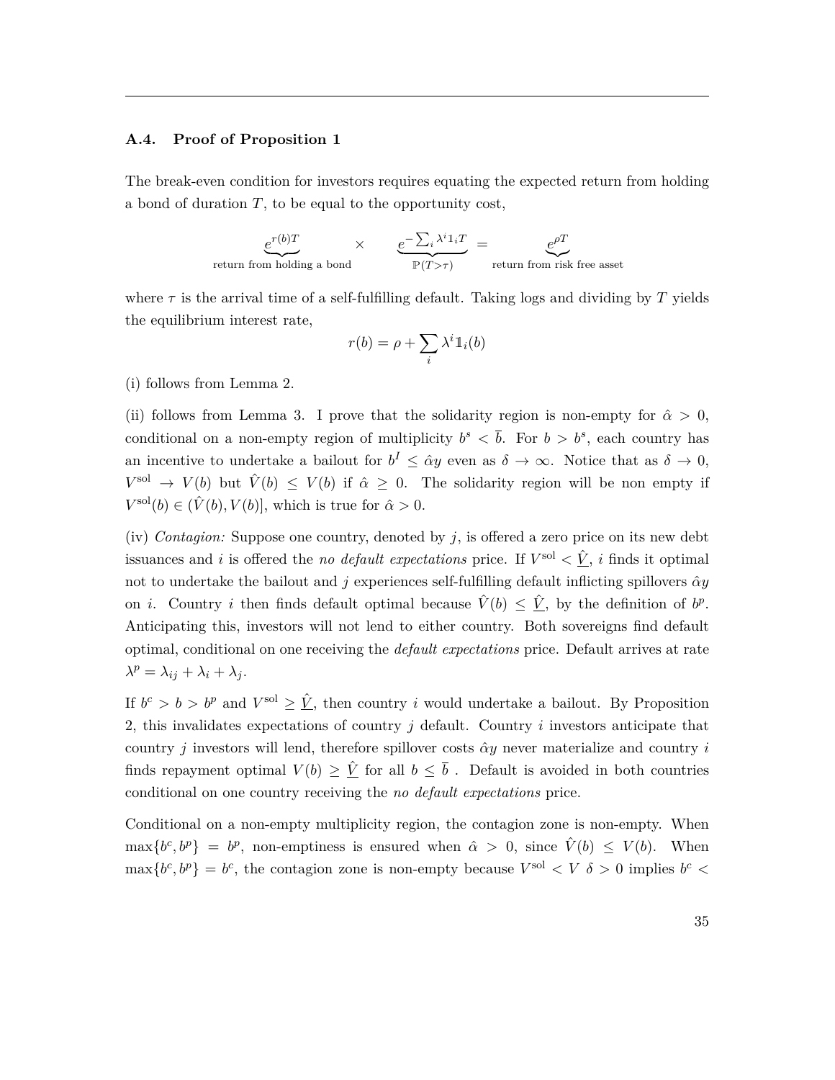### **A.4. Proof of Proposition 1**

The break-even condition for investors requires equating the expected return from holding a bond of duration *T*, to be equal to the opportunity cost,

$$
e^{r(b)T} \times \underbrace{e^{-\sum_i \lambda^i 1_i T}}_{\mathbb{P}(T>\tau)} = \underbrace{e^{\rho T}}_{\text{return from risk free asset}}
$$

where  $\tau$  is the arrival time of a self-fulfilling default. Taking logs and dividing by  $T$  yields the equilibrium interest rate,

$$
r(b) = \rho + \sum_{i} \lambda^{i} \mathbb{1}_{i}(b)
$$

(i) follows from Lemma 2.

(ii) follows from Lemma 3. I prove that the solidarity region is non-empty for  $\hat{\alpha} > 0$ , conditional on a non-empty region of multiplicity  $b^s < \bar{b}$ . For  $b > b^s$ , each country has an incentive to undertake a bailout for  $b^I \leq \hat{\alpha} y$  even as  $\delta \to \infty$ . Notice that as  $\delta \to 0$ ,  $V^{\text{sol}} \to V(b)$  but  $\hat{V}(b) \leq V(b)$  if  $\hat{\alpha} \geq 0$ . The solidarity region will be non empty if  $V^{\text{sol}}(b) \in (\hat{V}(b), V(b)],$  which is true for  $\hat{\alpha} > 0$ .

(iv) *Contagion:* Suppose one country, denoted by *j*, is offered a zero price on its new debt issuances and *i* is offered the *no default expectations* price. If  $V^{\text{sol}} < \hat{V}$ , *i* finds it optimal not to undertake the bailout and  $j$  experiences self-fulfilling default inflicting spillovers  $\hat{\alpha}y$ on *i*. Country *i* then finds default optimal because  $\hat{V}(b) \leq \hat{V}$ , by the definition of  $b^p$ . Anticipating this, investors will not lend to either country. Both sovereigns find default optimal, conditional on one receiving the *default expectations* price. Default arrives at rate  $\lambda^p = \lambda_{ij} + \lambda_i + \lambda_j$ .

If  $b^c > b > b^p$  and  $V^{sol} \geq \hat{V}$ , then country *i* would undertake a bailout. By Proposition 2, this invalidates expectations of country *j* default. Country *i* investors anticipate that country *j* investors will lend, therefore spillover costs  $\hat{\alpha}y$  never materialize and country *i* finds repayment optimal  $V(b) \geq \hat{V}$  for all  $b \leq \bar{b}$ . Default is avoided in both countries conditional on one country receiving the *no default expectations* price.

Conditional on a non-empty multiplicity region, the contagion zone is non-empty. When  $\max\{b^c, b^p\} = b^p$ , non-emptiness is ensured when  $\hat{\alpha} > 0$ , since  $\hat{V}(b) \le V(b)$ . When  $\max\{b^c, b^p\} = b^c$ , the contagion zone is non-empty because  $V^{sol} < V \delta > 0$  implies  $b^c <$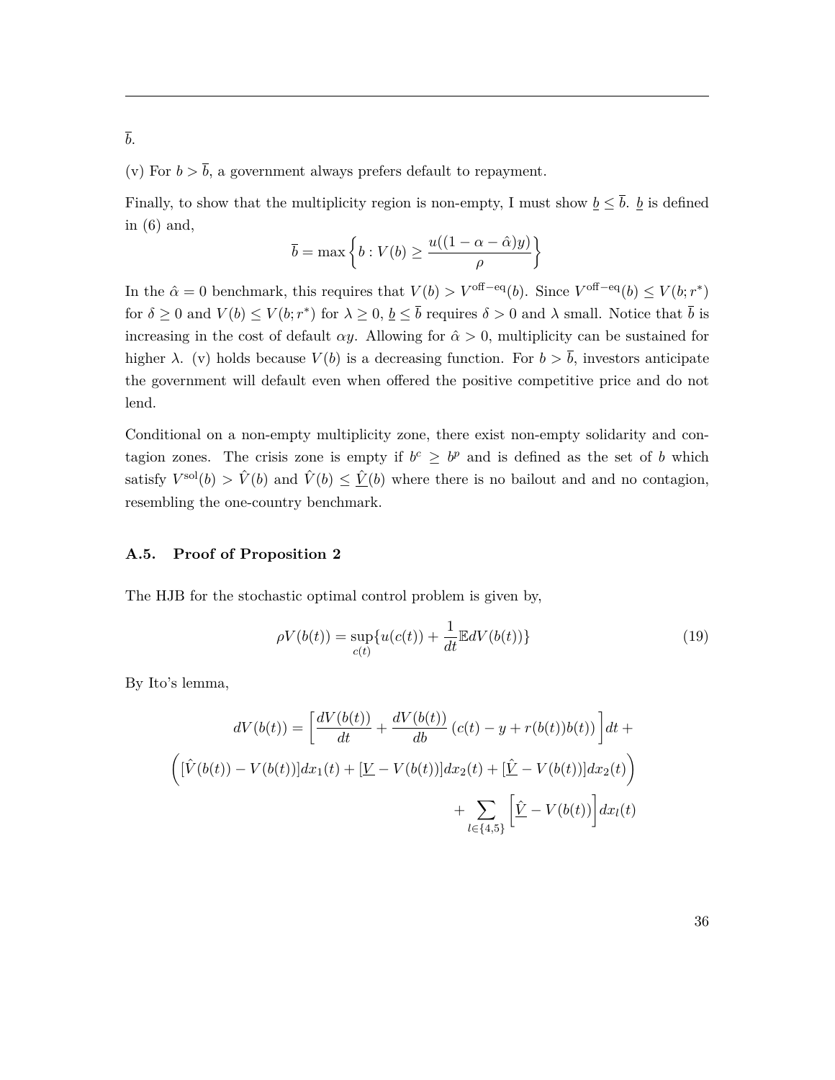(v) For  $b > \overline{b}$ , a government always prefers default to repayment.

Finally, to show that the multiplicity region is non-empty, I must show  $\underline{b} \leq \overline{b}$ .  $\underline{b}$  is defined in (6) and,

$$
\overline{b} = \max \left\{ b : V(b) \ge \frac{u((1 - \alpha - \hat{\alpha})y)}{\rho} \right\}
$$

In the  $\hat{\alpha} = 0$  benchmark, this requires that  $V(b) > V^{\text{off}-\text{eq}}(b)$ . Since  $V^{\text{off}-\text{eq}}(b) \leq V(b; r^*)$ for  $\delta \geq 0$  and  $V(b) \leq V(b; r^*)$  for  $\lambda \geq 0, \underline{b} \leq \overline{b}$  requires  $\delta > 0$  and  $\lambda$  small. Notice that  $\overline{b}$  is increasing in the cost of default  $\alpha y$ . Allowing for  $\hat{\alpha} > 0$ , multiplicity can be sustained for higher  $\lambda$ . (v) holds because  $V(b)$  is a decreasing function. For  $b > \overline{b}$ , investors anticipate the government will default even when offered the positive competitive price and do not lend.

Conditional on a non-empty multiplicity zone, there exist non-empty solidarity and contagion zones. The crisis zone is empty if  $b^c \geq b^p$  and is defined as the set of *b* which satisfy  $V^{\text{sol}}(b) > \hat{V}(b)$  and  $\hat{V}(b) \leq \hat{V}(b)$  where there is no bailout and and no contagion, resembling the one-country benchmark.

### **A.5. Proof of Proposition 2**

The HJB for the stochastic optimal control problem is given by,

$$
\rho V(b(t)) = \sup_{c(t)} \{ u(c(t)) + \frac{1}{dt} \mathbb{E} dV(b(t)) \}
$$
\n(19)

By Ito's lemma,

$$
dV(b(t)) = \left[\frac{dV(b(t))}{dt} + \frac{dV(b(t))}{db}(c(t) - y + r(b(t))b(t))\right]dt +
$$

$$
\left([\hat{V}(b(t)) - V(b(t))]dx_1(t) + [\underline{V} - V(b(t))]dx_2(t) + [\underline{\hat{V}} - V(b(t))]dx_2(t)\right)
$$

$$
+ \sum_{l \in \{4,5\}} \left[\underline{\hat{V}} - V(b(t))\right]dx_l(t)
$$

*b*.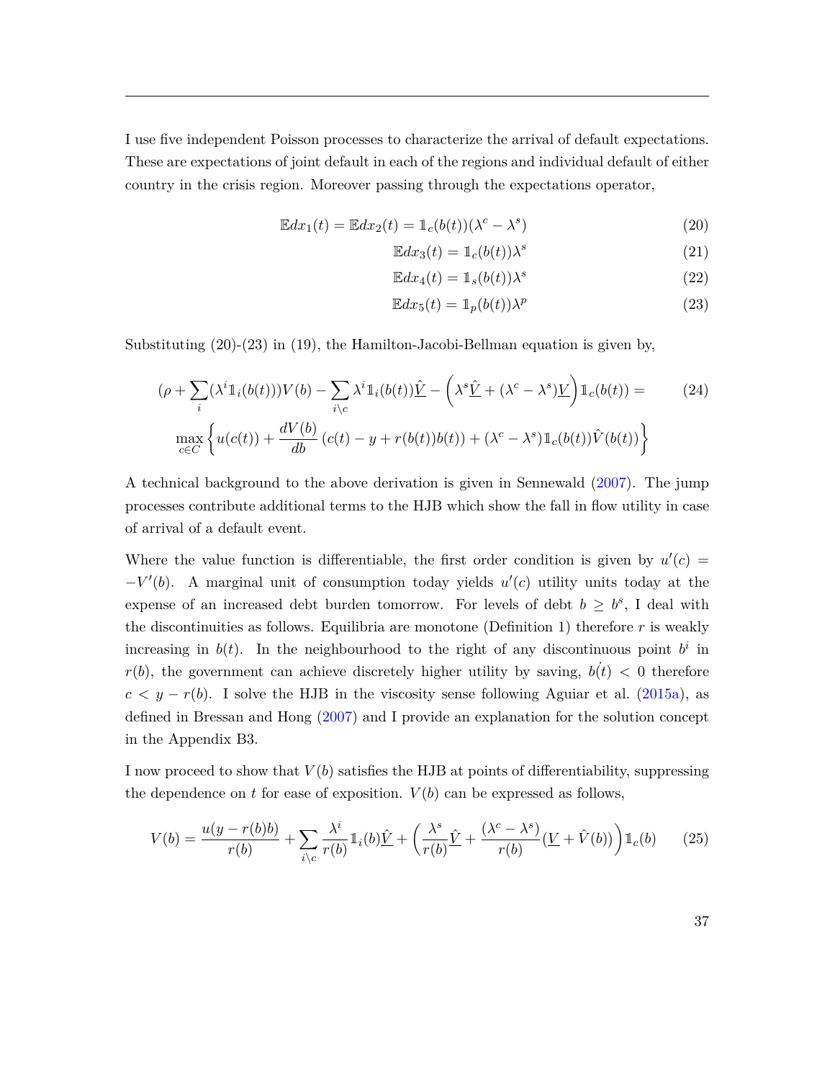I use five independent Poisson processes to characterize the arrival of default expectations. These are expectations of joint default in each of the regions and individual default of either country in the crisis region. Moreover passing through the expectations operator,

$$
\mathbb{E}dx_1(t) = \mathbb{E}dx_2(t) = \mathbb{1}_c(b(t))(\lambda^c - \lambda^s)
$$
\n(20)

$$
\mathbb{E}dx_3(t) = \mathbb{1}_c(b(t))\lambda^s \tag{21}
$$

$$
\mathbb{E}dx_4(t) = \mathbb{1}_s(b(t))\lambda^s \tag{22}
$$

$$
\mathbb{E}dx_5(t) = \mathbb{1}_p(b(t))\lambda^p \tag{23}
$$

Substituting (20)-(23) in (19), the Hamilton-Jacobi-Bellman equation is given by,

$$
(\rho + \sum_{i} (\lambda^{i} \mathbb{1}_{i}(b(t)))V(b) - \sum_{i \backslash c} \lambda^{i} \mathbb{1}_{i}(b(t))\hat{\underline{V}} - (\lambda^{s}\hat{\underline{V}} + (\lambda^{c} - \lambda^{s})\underline{V})\mathbb{1}_{c}(b(t)) =
$$
\n
$$
\max_{c \in C} \left\{ u(c(t)) + \frac{dV(b)}{db}(c(t) - y + r(b(t))b(t)) + (\lambda^{c} - \lambda^{s})\mathbb{1}_{c}(b(t))\hat{V}(b(t)) \right\}
$$
\n(24)

A technical background to the above derivation is given in Sennewald [\(2007\)](#page-31-5). The jump processes contribute additional terms to the HJB which show the fall in flow utility in case of arrival of a default event.

Where the value function is differentiable, the first order condition is given by  $u'(c)$  $-V'(b)$ . A marginal unit of consumption today yields  $u'(c)$  utility units today at the expense of an increased debt burden tomorrow. For levels of debt  $b \geq b^s$ , I deal with the discontinuities as follows. Equilibria are monotone (Definition 1) therefore  $r$  is weakly increasing in  $b(t)$ . In the neighbourhood to the right of any discontinuous point  $b^i$  in *r*(*b*), the government can achieve discretely higher utility by saving,  $\dot{b}(t) < 0$  therefore  $c < y - r(b)$ . I solve the HJB in the viscosity sense following Aguiar et al. [\(2015a\)](#page-29-5), as defined in Bressan and Hong [\(2007\)](#page-29-11) and I provide an explanation for the solution concept in the Appendix B3.

I now proceed to show that  $V(b)$  satisfies the HJB at points of differentiability, suppressing the dependence on  $t$  for ease of exposition.  $V(b)$  can be expressed as follows,

$$
V(b) = \frac{u(y - r(b)b)}{r(b)} + \sum_{i \backslash c} \frac{\lambda^i}{r(b)} \mathbb{1}_i(b)\hat{\underline{V}} + \left(\frac{\lambda^s}{r(b)}\hat{\underline{V}} + \frac{(\lambda^c - \lambda^s)}{r(b)}(\underline{V} + \hat{V}(b))\right) \mathbb{1}_c(b) \tag{25}
$$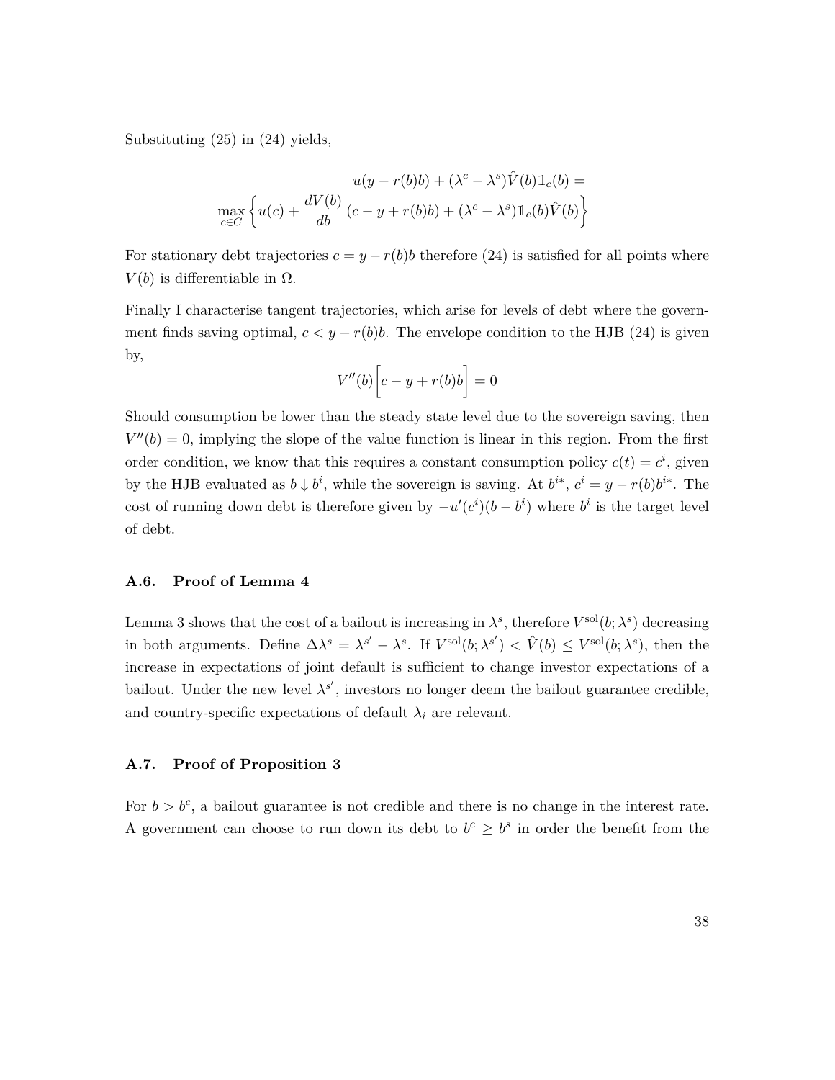Substituting (25) in (24) yields,

$$
u(y - r(b)b) + (\lambda^c - \lambda^s)\hat{V}(b)1_c(b) =
$$
  

$$
\max_{c \in C} \left\{ u(c) + \frac{dV(b)}{db} (c - y + r(b)b) + (\lambda^c - \lambda^s)1_c(b)\hat{V}(b) \right\}
$$

For stationary debt trajectories  $c = y - r(b)b$  therefore (24) is satisfied for all points where *V*(*b*) is differentiable in  $\overline{\Omega}$ .

Finally I characterise tangent trajectories, which arise for levels of debt where the government finds saving optimal,  $c < y - r(b)b$ . The envelope condition to the HJB (24) is given by,

$$
V''(b)\left[c - y + r(b)b\right] = 0
$$

Should consumption be lower than the steady state level due to the sovereign saving, then  $V''(b) = 0$ , implying the slope of the value function is linear in this region. From the first order condition, we know that this requires a constant consumption policy  $c(t) = c^i$ , given by the HJB evaluated as  $b \downarrow b^i$ , while the sovereign is saving. At  $b^{i*}$ ,  $c^i = y - r(b)b^{i*}$ . The cost of running down debt is therefore given by  $-u'(c^i)(b - b^i)$  where  $b^i$  is the target level of debt.

### **A.6. Proof of Lemma 4**

Lemma 3 shows that the cost of a bailout is increasing in  $\lambda^s$ , therefore  $V^{\text{sol}}(b; \lambda^s)$  decreasing in both arguments. Define  $\Delta \lambda^s = \lambda^{s'} - \lambda^s$ . If  $V^{\text{sol}}(b; \lambda^{s'}) < \hat{V}(b) \leq V^{\text{sol}}(b; \lambda^s)$ , then the increase in expectations of joint default is sufficient to change investor expectations of a bailout. Under the new level  $\lambda^{s'}$ , investors no longer deem the bailout guarantee credible, and country-specific expectations of default  $\lambda_i$  are relevant.

### **A.7. Proof of Proposition 3**

For  $b > b^c$ , a bailout guarantee is not credible and there is no change in the interest rate. A government can choose to run down its debt to  $b^c \geq b^s$  in order the benefit from the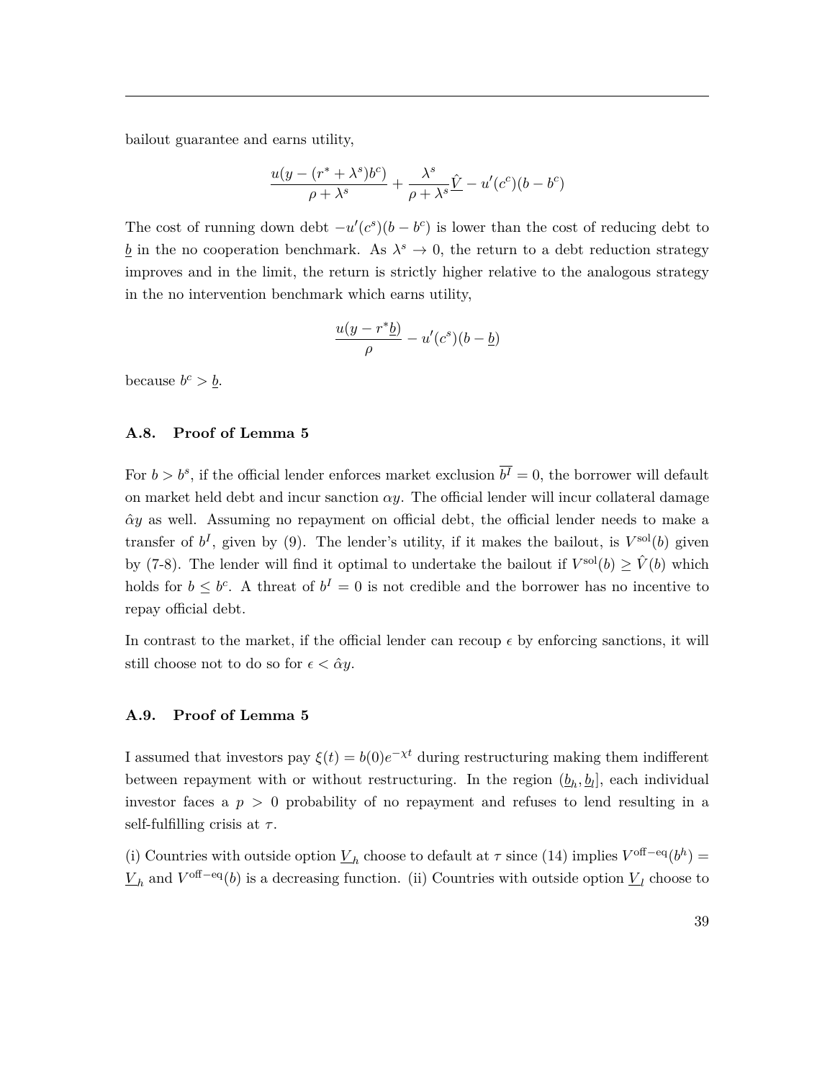bailout guarantee and earns utility,

$$
\frac{u(y-(r^*+\lambda^s)b^c)}{\rho+\lambda^s}+\frac{\lambda^s}{\rho+\lambda^s}\hat{\underline{V}}-u'(c^c)(b-b^c)
$$

The cost of running down debt  $-u'(c^s)(b-b^c)$  is lower than the cost of reducing debt to  $\underline{b}$  in the no cooperation benchmark. As  $\lambda^s \to 0$ , the return to a debt reduction strategy improves and in the limit, the return is strictly higher relative to the analogous strategy in the no intervention benchmark which earns utility,

$$
\frac{u(y-r^*\underline{b})}{\rho}-u'(c^s)(b-\underline{b})
$$

because  $b^c > \underline{b}$ .

### **A.8. Proof of Lemma 5**

For  $b > b^s$ , if the official lender enforces market exclusion  $\overline{b^I} = 0$ , the borrower will default on market held debt and incur sanction  $\alpha y$ . The official lender will incur collateral damage  $\hat{\alpha}$ *y* as well. Assuming no repayment on official debt, the official lender needs to make a transfer of  $b^I$ , given by (9). The lender's utility, if it makes the bailout, is  $V^{\text{sol}}(b)$  given by (7-8). The lender will find it optimal to undertake the bailout if  $V^{\text{sol}}(b) \geq \hat{V}(b)$  which holds for  $b \leq b^c$ . A threat of  $b^I = 0$  is not credible and the borrower has no incentive to repay official debt.

In contrast to the market, if the official lender can recoup  $\epsilon$  by enforcing sanctions, it will still choose not to do so for  $\epsilon < \hat{\alpha}y$ .

#### **A.9. Proof of Lemma 5**

I assumed that investors pay  $\xi(t) = b(0)e^{-\chi t}$  during restructuring making them indifferent between repayment with or without restructuring. In the region  $(b_h, b_l]$ , each individual investor faces a *p >* 0 probability of no repayment and refuses to lend resulting in a self-fulfilling crisis at *τ* .

(i) Countries with outside option  $\underline{V}_h$  choose to default at  $\tau$  since (14) implies  $V^{\text{off}-\text{eq}}(b^h)$  =  $\underline{V}_h$  and  $V^{\text{off}-\text{eq}}(b)$  is a decreasing function. (ii) Countries with outside option  $\underline{V}_l$  choose to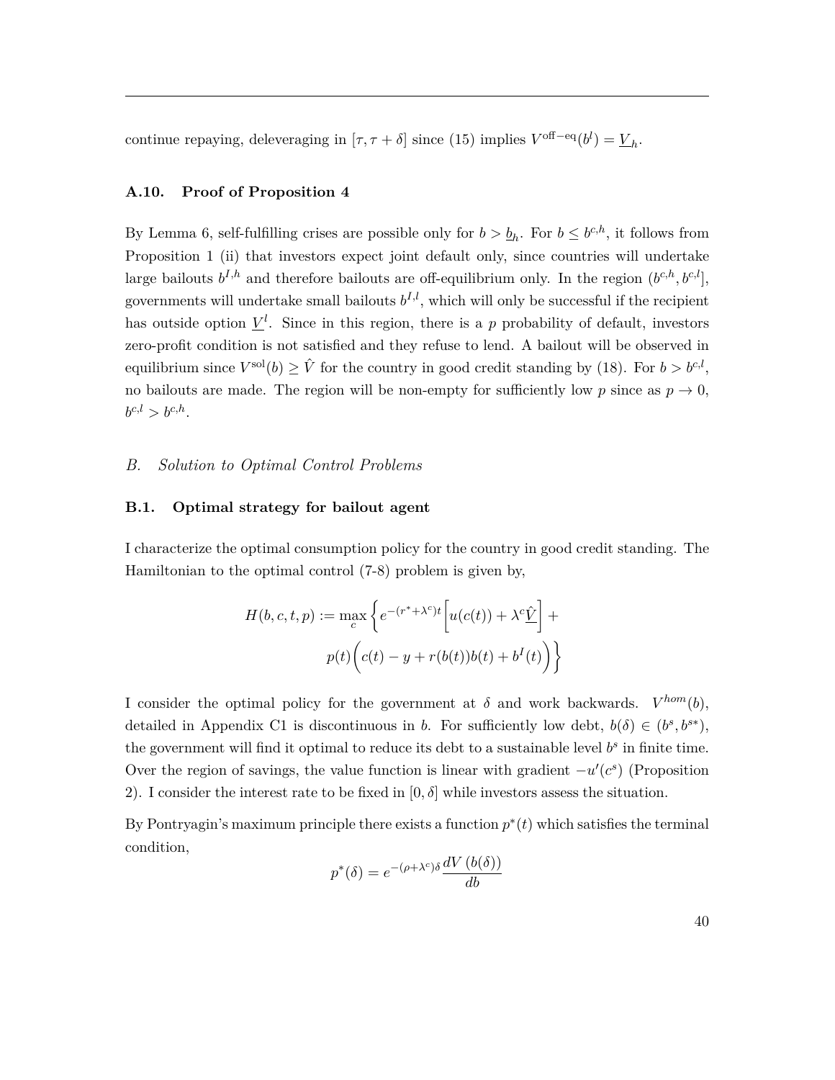continue repaying, deleveraging in  $[\tau, \tau + \delta]$  since (15) implies  $V^{\text{off}-\text{eq}}(b^l) = \underline{V}_h$ .

### **A.10. Proof of Proposition 4**

By Lemma 6, self-fulfilling crises are possible only for  $b > b_h$ . For  $b \leq b^{c,h}$ , it follows from Proposition 1 (ii) that investors expect joint default only, since countries will undertake large bailouts  $b^{I,h}$  and therefore bailouts are off-equilibrium only. In the region  $(b^{c,h}, b^{c,l})$ , governments will undertake small bailouts  $b^{I,l}$ , which will only be successful if the recipient has outside option  $\underline{V}^l$ . Since in this region, there is a p probability of default, investors zero-profit condition is not satisfied and they refuse to lend. A bailout will be observed in equilibrium since  $V^{\text{sol}}(b) \geq \hat{V}$  for the country in good credit standing by (18). For  $b > b^{c,l}$ , no bailouts are made. The region will be non-empty for sufficiently low p since as  $p \to 0$ ,  $b^{c,l} > b^{c,h}.$ 

### *B. Solution to Optimal Control Problems*

#### **B.1. Optimal strategy for bailout agent**

I characterize the optimal consumption policy for the country in good credit standing. The Hamiltonian to the optimal control (7-8) problem is given by,

$$
H(b, c, t, p) := \max_{c} \left\{ e^{-(r^* + \lambda^c)t} \left[ u(c(t)) + \lambda^c \hat{\underline{V}} \right] +
$$

$$
p(t) \left( c(t) - y + r(b(t))b(t) + b^I(t) \right) \right\}
$$

I consider the optimal policy for the government at  $\delta$  and work backwards.  $V^{hom}(b)$ , detailed in Appendix C1 is discontinuous in *b*. For sufficiently low debt,  $b(\delta) \in (b^s, b^{s*})$ , the government will find it optimal to reduce its debt to a sustainable level *b s* in finite time. Over the region of savings, the value function is linear with gradient  $-u'(c^s)$  (Proposition 2). I consider the interest rate to be fixed in  $[0, \delta]$  while investors assess the situation.

By Pontryagin's maximum principle there exists a function  $p^*(t)$  which satisfies the terminal condition,

$$
p^*(\delta) = e^{-(\rho + \lambda^c)\delta} \frac{dV(b(\delta))}{db}
$$

40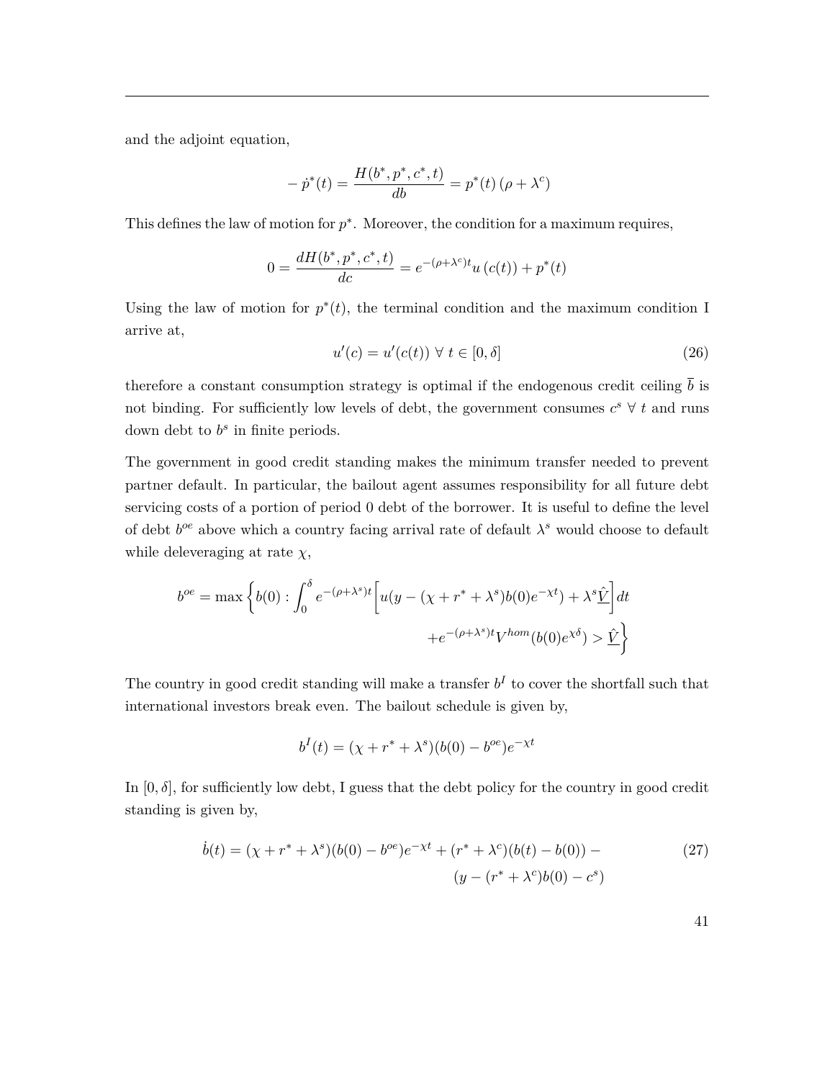and the adjoint equation,

$$
- \dot{p}^*(t) = \frac{H(b^*, p^*, c^*, t)}{db} = p^*(t) (\rho + \lambda^c)
$$

This defines the law of motion for  $p^*$ . Moreover, the condition for a maximum requires,

$$
0 = \frac{dH(b^*, p^*, c^*, t)}{dc} = e^{-(\rho + \lambda^c)t} u(c(t)) + p^*(t)
$$

Using the law of motion for  $p^*(t)$ , the terminal condition and the maximum condition I arrive at,

$$
u'(c) = u'(c(t)) \forall t \in [0, \delta]
$$
\n(26)

therefore a constant consumption strategy is optimal if the endogenous credit ceiling  $\bar{b}$  is not binding. For sufficiently low levels of debt, the government consumes  $c^s \forall t$  and runs down debt to  $b^s$  in finite periods.

The government in good credit standing makes the minimum transfer needed to prevent partner default. In particular, the bailout agent assumes responsibility for all future debt servicing costs of a portion of period 0 debt of the borrower. It is useful to define the level of debt *b oe* above which a country facing arrival rate of default *λ <sup>s</sup>* would choose to default while deleveraging at rate  $\chi$ ,

$$
b^{oe} = \max \left\{ b(0) : \int_0^{\delta} e^{-(\rho + \lambda^s)t} \left[ u(y - (\chi + r^* + \lambda^s) b(0) e^{-\chi t}) + \lambda^s \hat{\underline{V}} \right] dt \right\}
$$

$$
+ e^{-(\rho + \lambda^s)t} V^{hom}(b(0) e^{\chi \delta}) > \hat{\underline{V}} \right\}
$$

The country in good credit standing will make a transfer  $b<sup>I</sup>$  to cover the shortfall such that international investors break even. The bailout schedule is given by,

$$
b^{I}(t) = (\chi + r^* + \lambda^s)(b(0) - b^{oe})e^{-\chi t}
$$

In  $[0, \delta]$ , for sufficiently low debt, I guess that the debt policy for the country in good credit standing is given by,

$$
\dot{b}(t) = (\chi + r^* + \lambda^s)(b(0) - b^{oe})e^{-\chi t} + (r^* + \lambda^c)(b(t) - b(0)) -
$$
  

$$
(y - (r^* + \lambda^c)b(0) - c^s)
$$
 (27)

41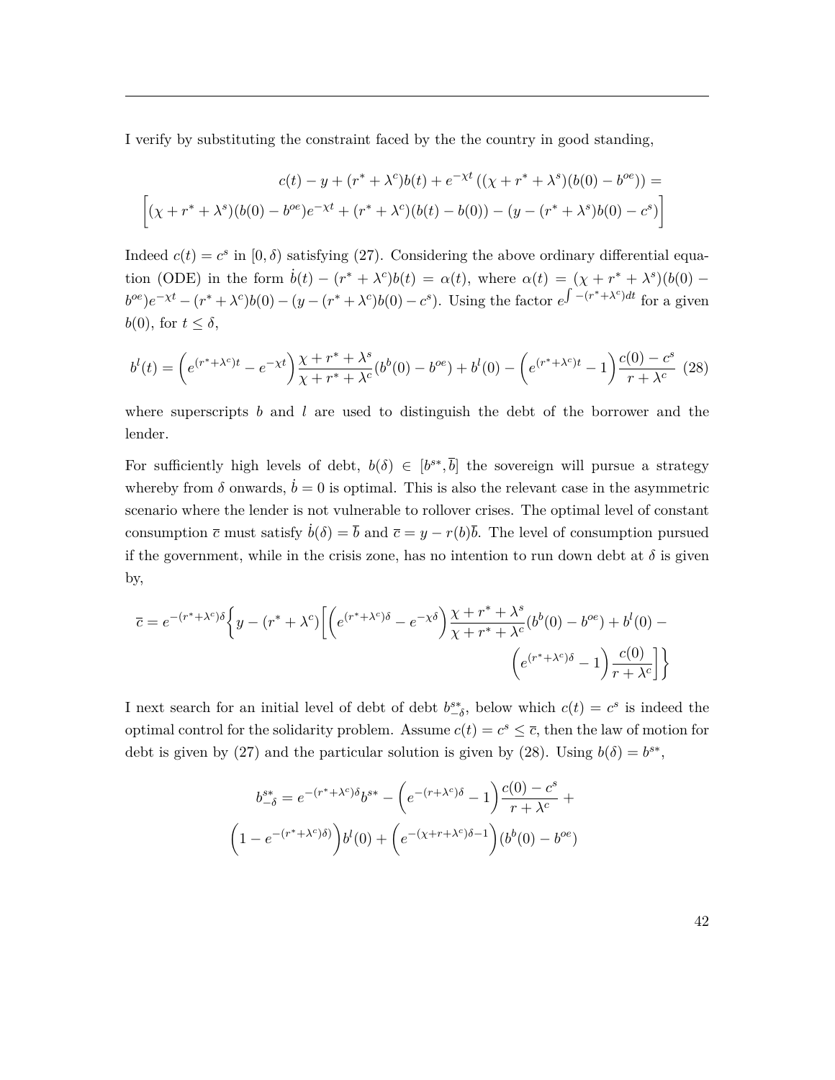I verify by substituting the constraint faced by the the country in good standing,

$$
c(t) - y + (r^* + \lambda^c)b(t) + e^{-\chi t} ((\chi + r^* + \lambda^s)(b(0) - b^{oe})) =
$$
  

$$
[(\chi + r^* + \lambda^s)(b(0) - b^{oe})e^{-\chi t} + (r^* + \lambda^c)(b(t) - b(0)) - (y - (r^* + \lambda^s)b(0) - c^s)]
$$

Indeed  $c(t) = c^s$  in  $[0, \delta)$  satisfying (27). Considering the above ordinary differential equation (ODE) in the form  $\dot{b}(t) - (r^* + \lambda^c)b(t) = \alpha(t)$ , where  $\alpha(t) = (\chi + r^* + \lambda^s)(b(0)$  $b^{\circ}(b^{\circ})e^{-\chi t} - (r^* + \lambda^c)b(0) - (y - (r^* + \lambda^c)b(0) - c^s)$ . Using the factor  $e^{\int -(r^* + \lambda^c)dt}$  for a given *b*(0), for  $t \leq \delta$ ,

$$
b^{l}(t) = \left(e^{(r^{*}+\lambda^{c})t} - e^{-\chi t}\right) \frac{\chi + r^{*} + \lambda^{s}}{\chi + r^{*} + \lambda^{c}} (b^{b}(0) - b^{oe}) + b^{l}(0) - \left(e^{(r^{*}+\lambda^{c})t} - 1\right) \frac{c(0) - c^{s}}{r + \lambda^{c}} (28)
$$

where superscripts *b* and *l* are used to distinguish the debt of the borrower and the lender.

For sufficiently high levels of debt,  $b(\delta) \in [b^{s*}, \overline{b}]$  the sovereign will pursue a strategy whereby from  $\delta$  onwards,  $\dot{b} = 0$  is optimal. This is also the relevant case in the asymmetric scenario where the lender is not vulnerable to rollover crises. The optimal level of constant consumption  $\bar{c}$  must satisfy  $\dot{b}(\delta) = \bar{b}$  and  $\bar{c} = y - r(b)\bar{b}$ . The level of consumption pursued if the government, while in the crisis zone, has no intention to run down debt at  $\delta$  is given by,

$$
\overline{c} = e^{-(r^* + \lambda^c)\delta} \left\{ y - (r^* + \lambda^c) \left[ \left( e^{(r^* + \lambda^c)\delta} - e^{-\chi\delta} \right) \frac{\chi + r^* + \lambda^s}{\chi + r^* + \lambda^c} (b^b(0) - b^{oe}) + b^l(0) - \left( e^{(r^* + \lambda^c)\delta} - 1 \right) \frac{c(0)}{r + \lambda^c} \right] \right\}
$$

I next search for an initial level of debt of debt  $b_{-\delta}^{s*}$ , below which  $c(t) = c^s$  is indeed the optimal control for the solidarity problem. Assume  $c(t) = c^s \leq \overline{c}$ , then the law of motion for debt is given by (27) and the particular solution is given by (28). Using  $b(\delta) = b^{s*}$ ,

$$
b_{-\delta}^{s*} = e^{-(r^* + \lambda^c)\delta} b^{s*} - \left( e^{-(r + \lambda^c)\delta} - 1 \right) \frac{c(0) - c^s}{r + \lambda^c} +
$$

$$
\left( 1 - e^{-(r^* + \lambda^c)\delta} \right) b^l(0) + \left( e^{-(\chi + r + \lambda^c)\delta - 1} \right) (b^b(0) - b^{oe})
$$

42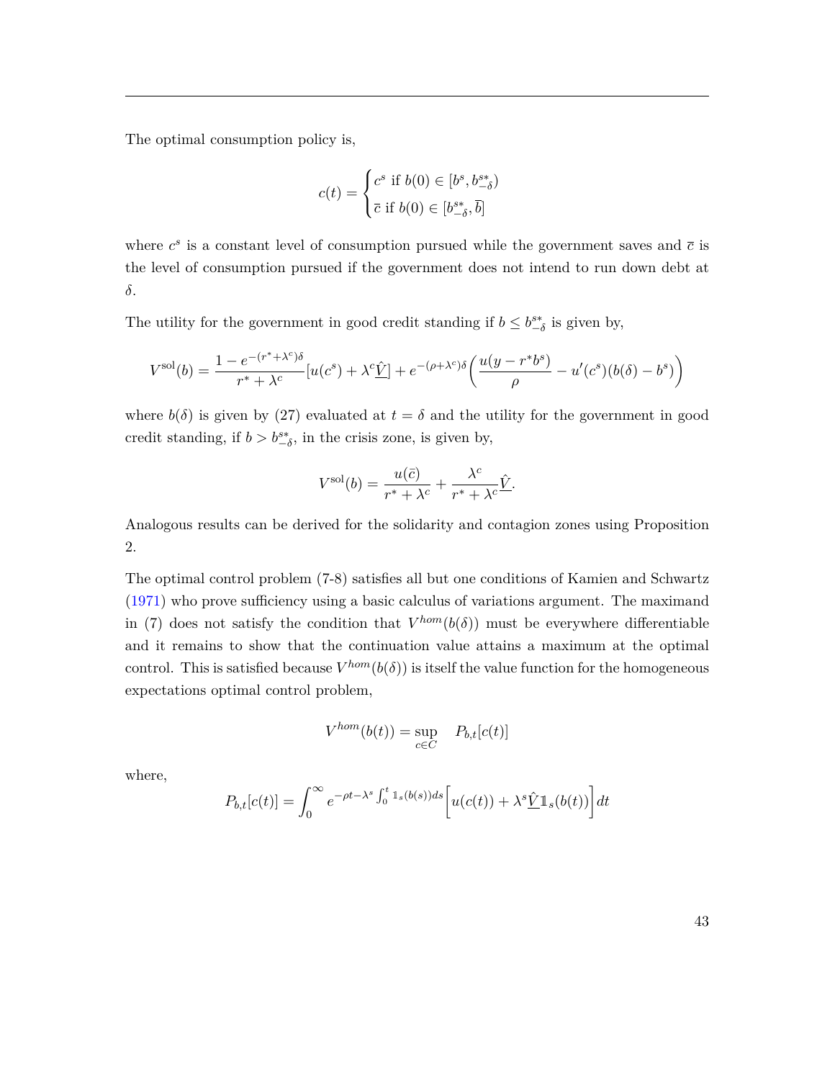The optimal consumption policy is,

$$
c(t) = \begin{cases} c^s \text{ if } b(0) \in [b^s, b^{s*}_{-\delta})\\ \bar{c} \text{ if } b(0) \in [b^{s*}_{-\delta}, \bar{b}] \end{cases}
$$

where  $c^s$  is a constant level of consumption pursued while the government saves and  $\bar{c}$  is the level of consumption pursued if the government does not intend to run down debt at *δ*.

The utility for the government in good credit standing if  $b \leq b^{s*}_{-\delta}$  is given by,

$$
V^{\text{sol}}(b) = \frac{1 - e^{-(r^* + \lambda^c)\delta}}{r^* + \lambda^c} [u(c^s) + \lambda^c \hat{V}] + e^{-(\rho + \lambda^c)\delta} \left( \frac{u(y - r^*b^s)}{\rho} - u'(c^s)(b(\delta) - b^s) \right)
$$

where  $b(\delta)$  is given by (27) evaluated at  $t = \delta$  and the utility for the government in good credit standing, if  $b > b^{s*}_{-\delta}$ , in the crisis zone, is given by,

$$
V^{\text{sol}}(b) = \frac{u(\bar{c})}{r^* + \lambda^c} + \frac{\lambda^c}{r^* + \lambda^c} \hat{V}.
$$

Analogous results can be derived for the solidarity and contagion zones using Proposition 2.

The optimal control problem (7-8) satisfies all but one conditions of Kamien and Schwartz [\(1971\)](#page-30-12) who prove sufficiency using a basic calculus of variations argument. The maximand in (7) does not satisfy the condition that  $V^{hom}(b(\delta))$  must be everywhere differentiable and it remains to show that the continuation value attains a maximum at the optimal control. This is satisfied because  $V^{hom}(b(\delta))$  is itself the value function for the homogeneous expectations optimal control problem,

$$
V^{hom}(b(t)) = \sup_{c \in C} P_{b,t}[c(t)]
$$

where,

$$
P_{b,t}[c(t)] = \int_0^\infty e^{-\rho t - \lambda^s \int_0^t \mathbb{1}_s(b(s))ds} \left[ u(c(t)) + \lambda^s \hat{\underline{V}} \mathbb{1}_s(b(t)) \right] dt
$$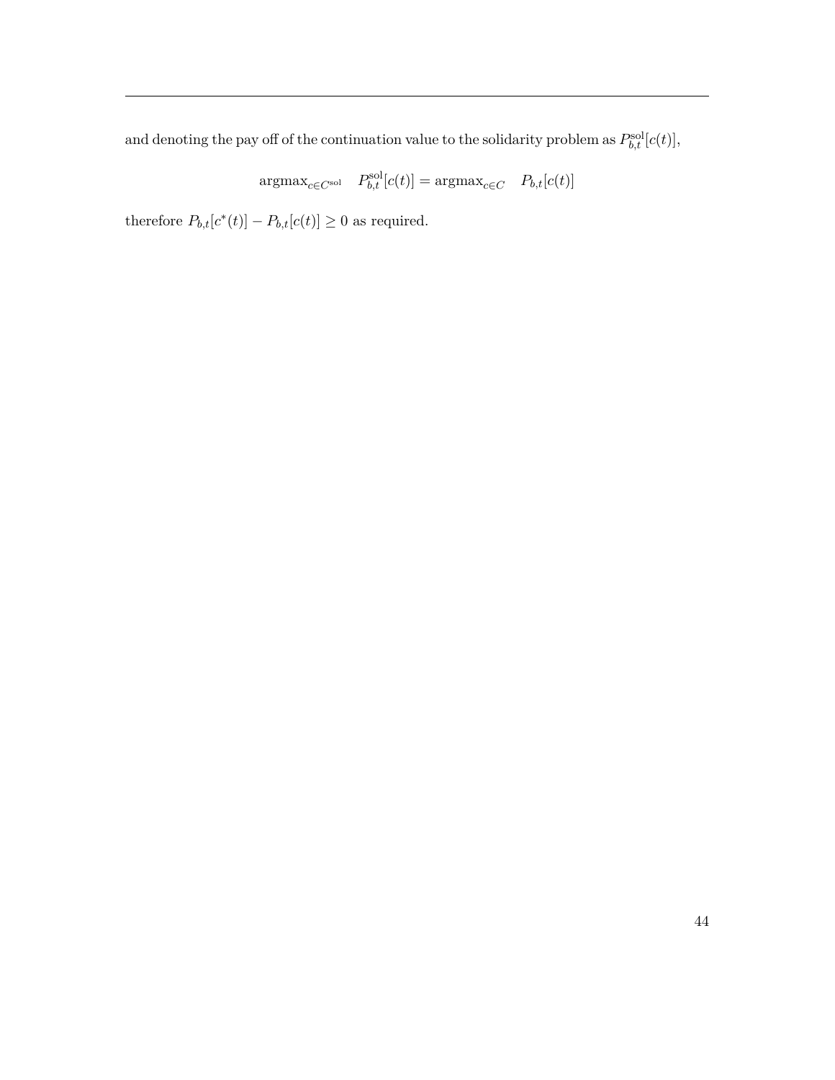and denoting the pay off of the continuation value to the solidarity problem as  $P_{b,t}^{\text{sol}}[c(t)]$ ,

$$
\operatorname{argmax}_{c \in C^{\text{sol}}} \quad P_{b,t}^{\text{sol}}[c(t)] = \operatorname{argmax}_{c \in C} \quad P_{b,t}[c(t)]
$$

therefore  $P_{b,t}[c^*(t)] - P_{b,t}[c(t)] \geq 0$  as required.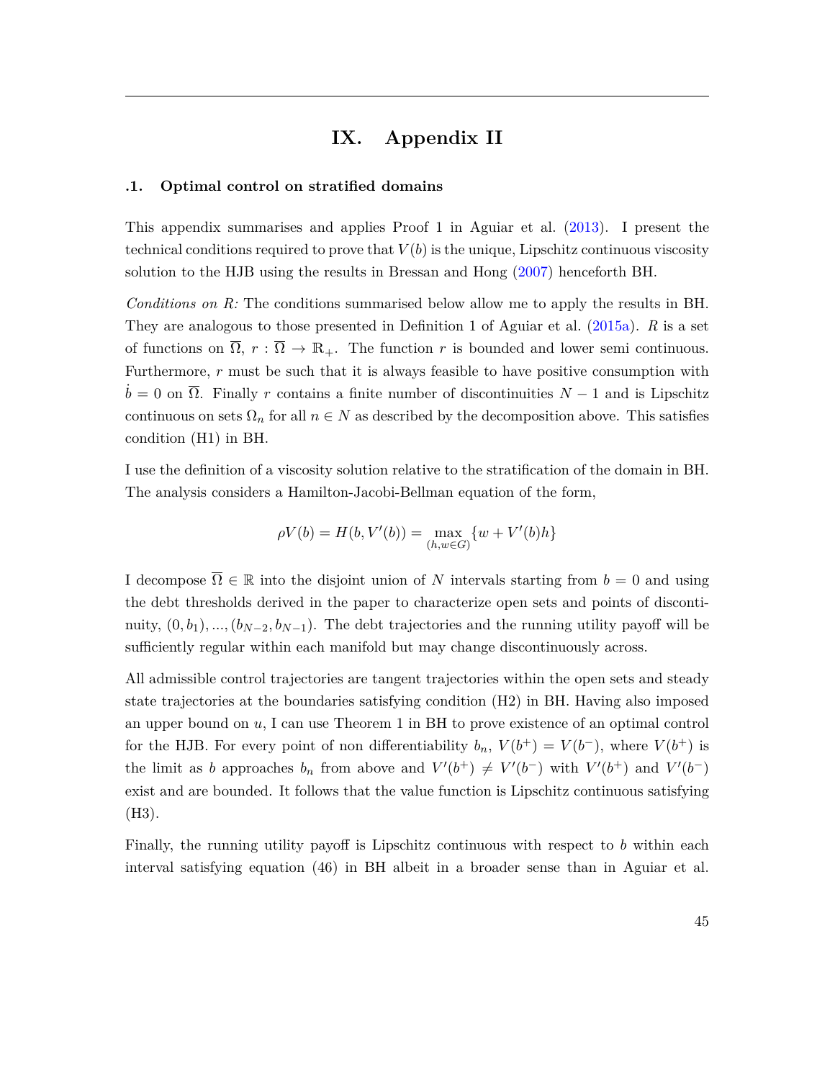### **IX. Appendix II**

#### **.1. Optimal control on stratified domains**

This appendix summarises and applies Proof 1 in Aguiar et al. [\(2013\)](#page-29-8). I present the technical conditions required to prove that  $V(b)$  is the unique, Lipschitz continuous viscosity solution to the HJB using the results in Bressan and Hong [\(2007\)](#page-29-11) henceforth BH.

*Conditions on R:* The conditions summarised below allow me to apply the results in BH. They are analogous to those presented in Definition 1 of Aguiar et al. [\(2015a\)](#page-29-5). *R* is a set of functions on  $\overline{\Omega}$ ,  $r : \overline{\Omega} \to \mathbb{R}_+$ . The function r is bounded and lower semi continuous. Furthermore, *r* must be such that it is always feasible to have positive consumption with  $\dot{b} = 0$  on  $\overline{\Omega}$ . Finally *r* contains a finite number of discontinuities  $N-1$  and is Lipschitz continuous on sets  $\Omega_n$  for all  $n \in N$  as described by the decomposition above. This satisfies condition (H1) in BH.

I use the definition of a viscosity solution relative to the stratification of the domain in BH. The analysis considers a Hamilton-Jacobi-Bellman equation of the form,

$$
\rho V(b) = H(b, V'(b)) = \max_{(h, w \in G)} \{w + V'(b)h\}
$$

I decompose  $\overline{\Omega} \in \mathbb{R}$  into the disjoint union of *N* intervals starting from  $b = 0$  and using the debt thresholds derived in the paper to characterize open sets and points of discontinuity,  $(0, b_1)$ , ...,  $(b_{N-2}, b_{N-1})$ . The debt trajectories and the running utility payoff will be sufficiently regular within each manifold but may change discontinuously across.

All admissible control trajectories are tangent trajectories within the open sets and steady state trajectories at the boundaries satisfying condition (H2) in BH. Having also imposed an upper bound on *u*, I can use Theorem 1 in BH to prove existence of an optimal control for the HJB. For every point of non differentiability  $b_n$ ,  $V(b^+) = V(b^-)$ , where  $V(b^+)$  is the limit as *b* approaches  $b_n$  from above and  $V'(b^+) \neq V'(b^-)$  with  $V'(b^+)$  and  $V'(b^-)$ exist and are bounded. It follows that the value function is Lipschitz continuous satisfying  $(H3)$ .

Finally, the running utility payoff is Lipschitz continuous with respect to *b* within each interval satisfying equation (46) in BH albeit in a broader sense than in Aguiar et al.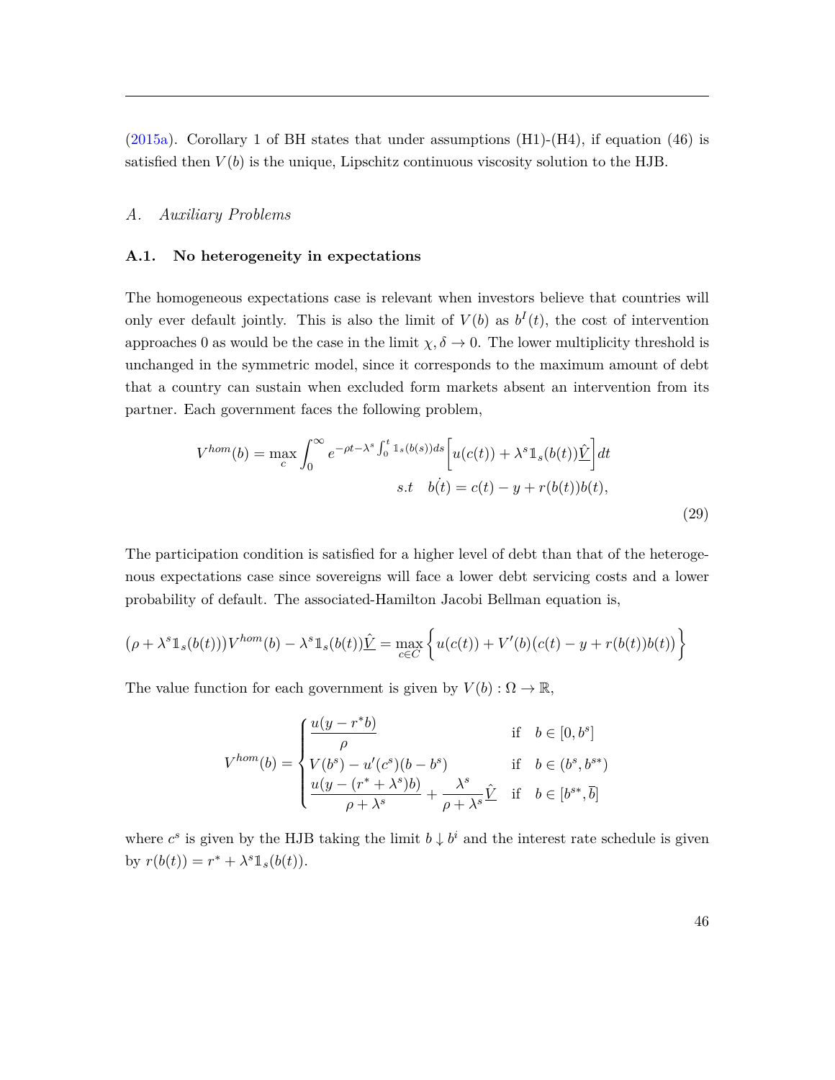$(2015a)$ . Corollary 1 of BH states that under assumptions  $(H1)-(H4)$ , if equation  $(46)$  is satisfied then  $V(b)$  is the unique, Lipschitz continuous viscosity solution to the HJB.

#### *A. Auxiliary Problems*

#### **A.1. No heterogeneity in expectations**

The homogeneous expectations case is relevant when investors believe that countries will only ever default jointly. This is also the limit of  $V(b)$  as  $b<sup>I</sup>(t)$ , the cost of intervention approaches 0 as would be the case in the limit  $\chi, \delta \to 0$ . The lower multiplicity threshold is unchanged in the symmetric model, since it corresponds to the maximum amount of debt that a country can sustain when excluded form markets absent an intervention from its partner. Each government faces the following problem,

$$
V^{hom}(b) = \max_{c} \int_0^\infty e^{-\rho t - \lambda^s \int_0^t \mathbb{1}_s(b(s))ds} \left[ u(c(t)) + \lambda^s \mathbb{1}_s(b(t)) \hat{\underline{V}} \right] dt
$$
  
s.t  $b(t) = c(t) - y + r(b(t))b(t)$ , (29)

The participation condition is satisfied for a higher level of debt than that of the heterogenous expectations case since sovereigns will face a lower debt servicing costs and a lower probability of default. The associated-Hamilton Jacobi Bellman equation is,

$$
(\rho + \lambda^s \mathbb{1}_s(b(t)))V^{hom}(b) - \lambda^s \mathbb{1}_s(b(t))\hat{\underline{V}} = \max_{c \in C} \left\{ u(c(t)) + V'(b)(c(t) - y + r(b(t))b(t)) \right\}
$$

The value function for each government is given by  $V(b): \Omega \to \mathbb{R}$ ,

$$
V^{hom}(b) = \begin{cases} \frac{u(y - r^*b)}{\rho} & \text{if} \quad b \in [0, b^s] \\ V(b^s) - u'(c^s)(b - b^s) & \text{if} \quad b \in (b^s, b^{s*}) \\ \frac{u(y - (r^* + \lambda^s)b)}{\rho + \lambda^s} + \frac{\lambda^s}{\rho + \lambda^s} \hat{V} & \text{if} \quad b \in [b^{s*}, \bar{b}] \end{cases}
$$

where  $c^s$  is given by the HJB taking the limit  $b \downarrow b^i$  and the interest rate schedule is given by  $r(b(t)) = r^* + \lambda^s \mathbb{1}_s(b(t)).$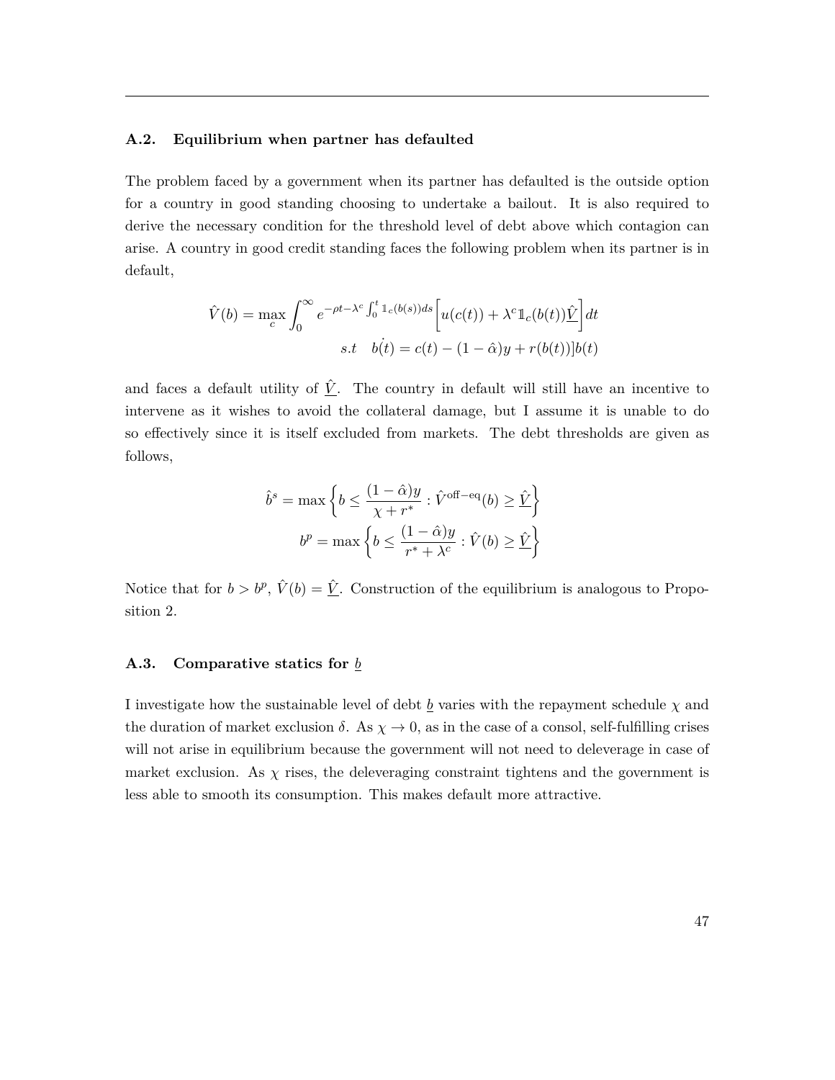### **A.2. Equilibrium when partner has defaulted**

The problem faced by a government when its partner has defaulted is the outside option for a country in good standing choosing to undertake a bailout. It is also required to derive the necessary condition for the threshold level of debt above which contagion can arise. A country in good credit standing faces the following problem when its partner is in default,

$$
\hat{V}(b) = \max_{c} \int_{0}^{\infty} e^{-\rho t - \lambda^{c} \int_{0}^{t} \mathbb{1}_{c}(b(s))ds} \left[ u(c(t)) + \lambda^{c} \mathbb{1}_{c}(b(t)) \underline{\hat{V}} \right] dt
$$
\n
$$
s.t \quad b(t) = c(t) - (1 - \hat{\alpha})y + r(b(t))]b(t)
$$

and faces a default utility of  $\hat{V}$ . The country in default will still have an incentive to intervene as it wishes to avoid the collateral damage, but I assume it is unable to do so effectively since it is itself excluded from markets. The debt thresholds are given as follows,

$$
\hat{b}^s = \max \left\{ b \le \frac{(1 - \hat{\alpha})y}{\chi + r^*} : \hat{V}^{\text{off-eq}}(b) \ge \hat{V} \right\}
$$

$$
b^p = \max \left\{ b \le \frac{(1 - \hat{\alpha})y}{r^* + \lambda^c} : \hat{V}(b) \ge \hat{V} \right\}
$$

Notice that for  $b > b^p$ ,  $\hat{V}(b) = \hat{V}$ . Construction of the equilibrium is analogous to Proposition 2.

#### **A.3. Comparative statics for** *b*

I investigate how the sustainable level of debt  $\underline{b}$  varies with the repayment schedule  $\chi$  and the duration of market exclusion  $\delta$ . As  $\chi \to 0$ , as in the case of a consol, self-fulfilling crises will not arise in equilibrium because the government will not need to deleverage in case of market exclusion. As  $\chi$  rises, the deleveraging constraint tightens and the government is less able to smooth its consumption. This makes default more attractive.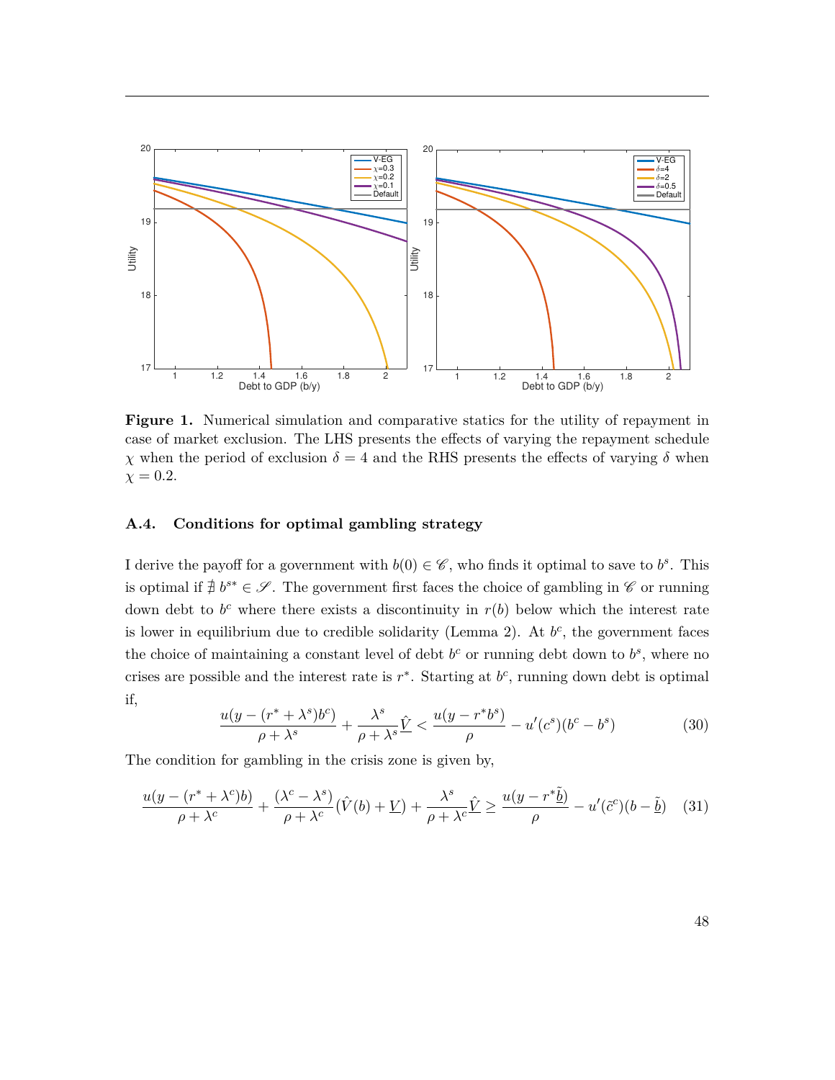

**Figure 1.** Numerical simulation and comparative statics for the utility of repayment in case of market exclusion. The LHS presents the effects of varying the repayment schedule *χ* when the period of exclusion  $\delta = 4$  and the RHS presents the effects of varying  $\delta$  when  $\chi = 0.2$ .

### **A.4. Conditions for optimal gambling strategy**

I derive the payoff for a government with  $b(0) \in \mathscr{C}$ , who finds it optimal to save to  $b^s$ . This is optimal if  $\sharp b^{s*} \in \mathscr{S}$ . The government first faces the choice of gambling in  $\mathscr{C}$  or running down debt to  $b^c$  where there exists a discontinuity in  $r(b)$  below which the interest rate is lower in equilibrium due to credible solidarity (Lemma 2). At  $b^c$ , the government faces the choice of maintaining a constant level of debt  $b^c$  or running debt down to  $b^s$ , where no crises are possible and the interest rate is  $r^*$ . Starting at  $b^c$ , running down debt is optimal if,

$$
\frac{u(y - (r^* + \lambda^s)b^c)}{\rho + \lambda^s} + \frac{\lambda^s}{\rho + \lambda^s}\hat{V} < \frac{u(y - r^*b^s)}{\rho} - u'(c^s)(b^c - b^s) \tag{30}
$$

The condition for gambling in the crisis zone is given by,

$$
\frac{u(y - (r^* + \lambda^c)b)}{\rho + \lambda^c} + \frac{(\lambda^c - \lambda^s)}{\rho + \lambda^c} (\hat{V}(b) + \underline{V}) + \frac{\lambda^s}{\rho + \lambda^c} \hat{\underline{V}} \ge \frac{u(y - r^*\tilde{\underline{b}})}{\rho} - u'(\tilde{c}^c)(b - \tilde{\underline{b}}) \tag{31}
$$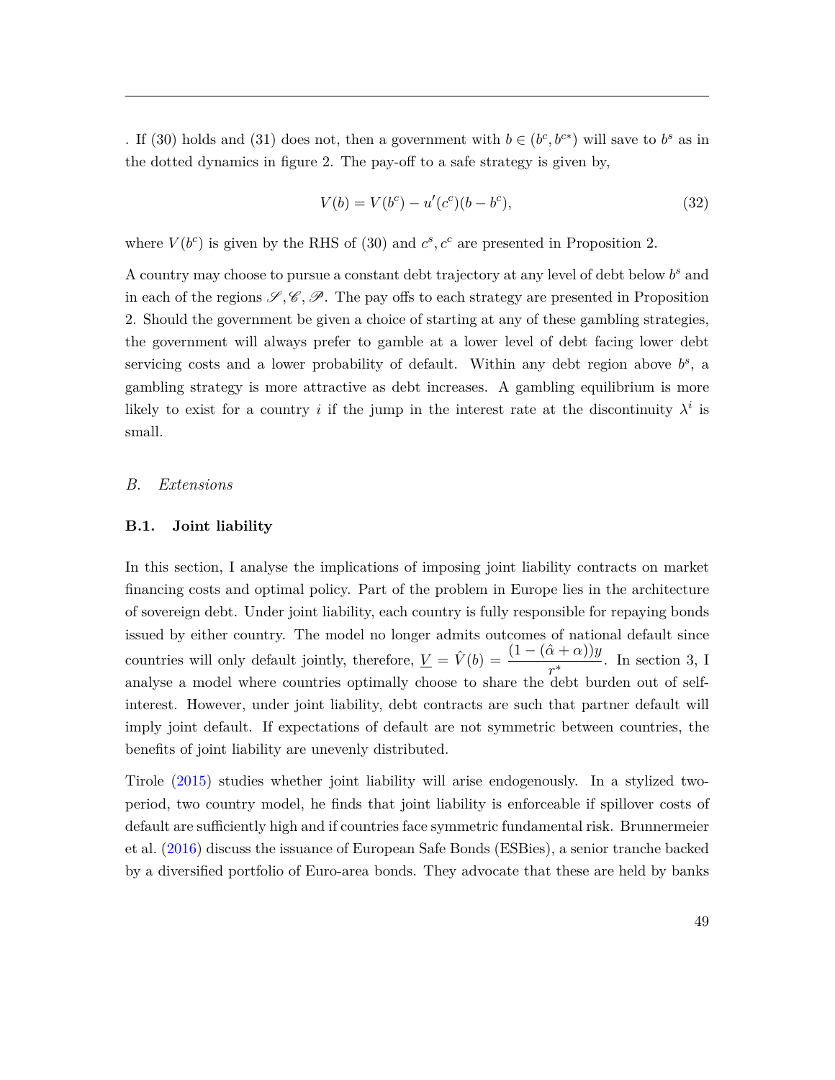. If (30) holds and (31) does not, then a government with  $b \in (b^c, b^{c*})$  will save to  $b^s$  as in the dotted dynamics in figure 2. The pay-off to a safe strategy is given by,

$$
V(b) = V(bc) - u'(cc)(b - bc),
$$
\n(32)

where  $V(b^c)$  is given by the RHS of (30) and  $c^s$ ,  $c^c$  are presented in Proposition 2.

A country may choose to pursue a constant debt trajectory at any level of debt below *b <sup>s</sup>* and in each of the regions  $\mathscr{S}, \mathscr{C}, \mathscr{P}$ . The pay offs to each strategy are presented in Proposition 2. Should the government be given a choice of starting at any of these gambling strategies, the government will always prefer to gamble at a lower level of debt facing lower debt servicing costs and a lower probability of default. Within any debt region above  $b^s$ , a gambling strategy is more attractive as debt increases. A gambling equilibrium is more likely to exist for a country *i* if the jump in the interest rate at the discontinuity  $\lambda^i$  is small.

### *B. Extensions*

#### **B.1. Joint liability**

In this section, I analyse the implications of imposing joint liability contracts on market financing costs and optimal policy. Part of the problem in Europe lies in the architecture of sovereign debt. Under joint liability, each country is fully responsible for repaying bonds issued by either country. The model no longer admits outcomes of national default since countries will only default jointly, therefore,  $\underline{V} = \hat{V}(b) = \frac{(1 - (\hat{\alpha} + \alpha))y}{r^*}$ . In section 3, I analyse a model where countries optimally choose to share the debt burden out of selfinterest. However, under joint liability, debt contracts are such that partner default will imply joint default. If expectations of default are not symmetric between countries, the benefits of joint liability are unevenly distributed.

Tirole [\(2015\)](#page-31-0) studies whether joint liability will arise endogenously. In a stylized twoperiod, two country model, he finds that joint liability is enforceable if spillover costs of default are sufficiently high and if countries face symmetric fundamental risk. Brunnermeier et al. [\(2016\)](#page-29-12) discuss the issuance of European Safe Bonds (ESBies), a senior tranche backed by a diversified portfolio of Euro-area bonds. They advocate that these are held by banks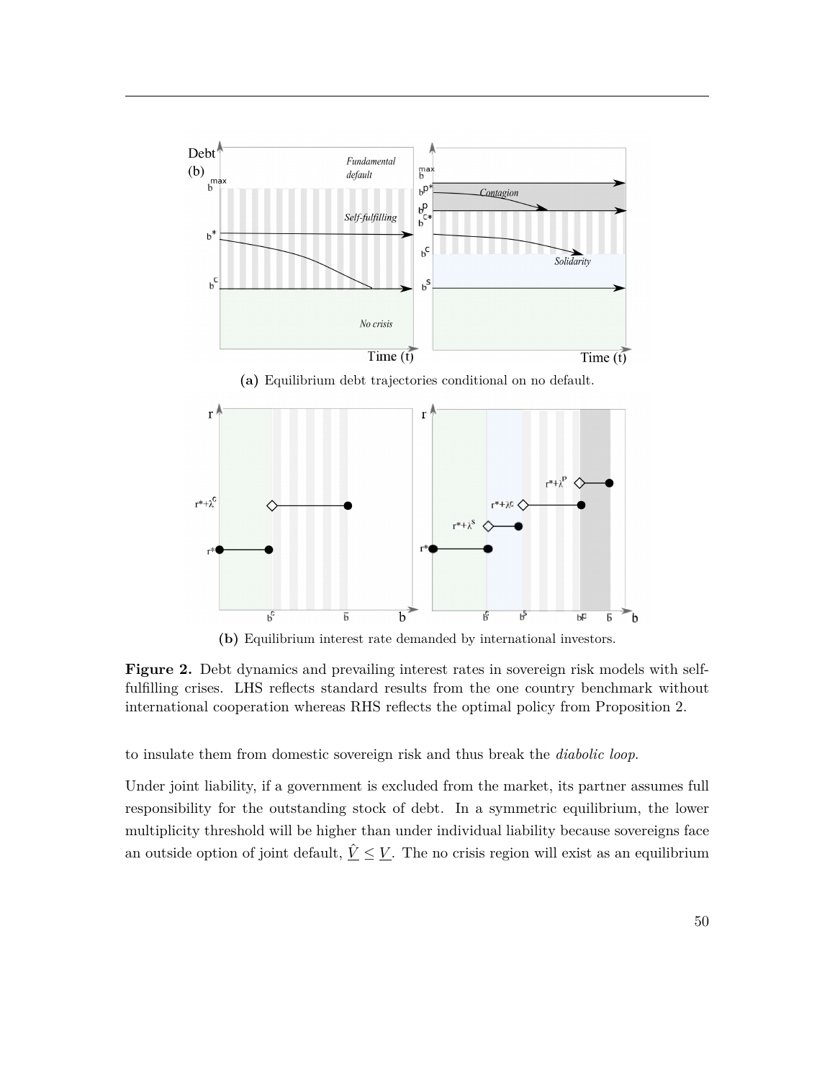

**Figure 2.** Debt dynamics and prevailing interest rates in sovereign risk models with selffulfilling crises. LHS reflects standard results from the one country benchmark without international cooperation whereas RHS reflects the optimal policy from Proposition 2.

to insulate them from domestic sovereign risk and thus break the *diabolic loop*.

Under joint liability, if a government is excluded from the market, its partner assumes full responsibility for the outstanding stock of debt. In a symmetric equilibrium, the lower multiplicity threshold will be higher than under individual liability because sovereigns face an outside option of joint default,  $\hat{V} \leq V$ . The no crisis region will exist as an equilibrium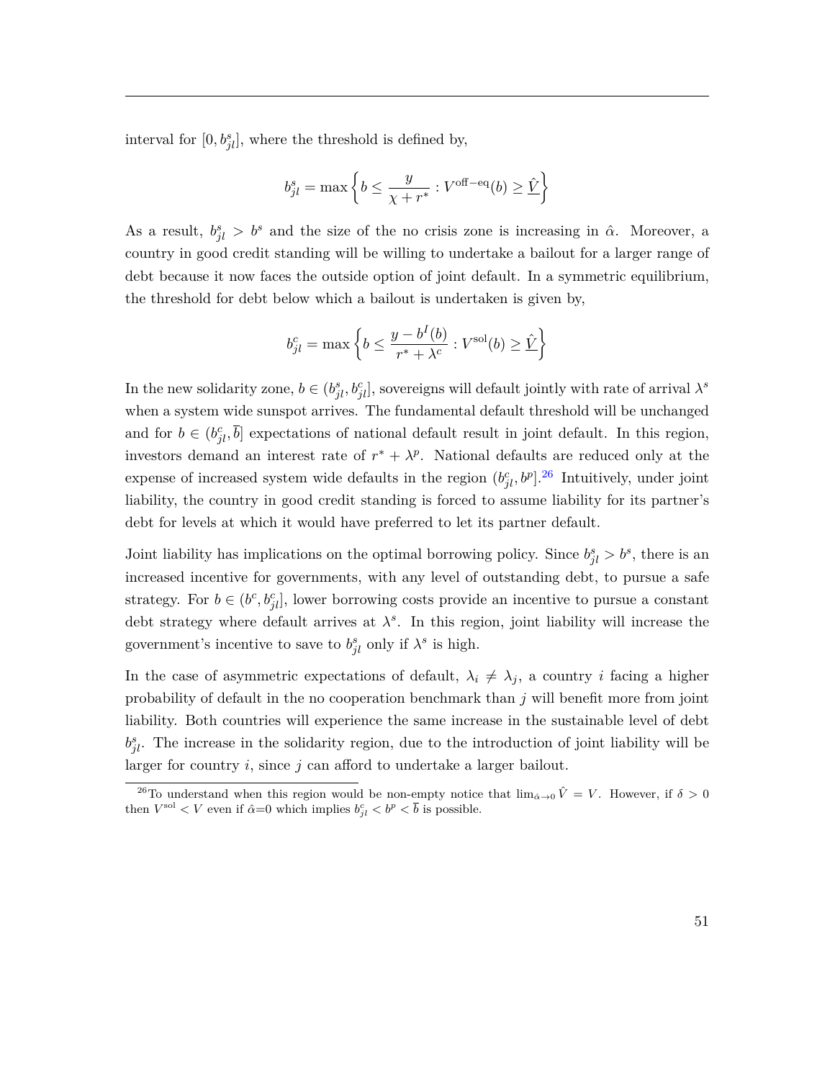interval for  $[0, b_{jl}^s]$ , where the threshold is defined by,

$$
b^s_{jl} = \max\left\{b \leq \frac{y}{\chi + r^*} : V^{\text{off-eq}}(b) \geq \hat{V}\right\}
$$

As a result,  $b_{jl}^s > b^s$  and the size of the no crisis zone is increasing in  $\hat{\alpha}$ . Moreover, a country in good credit standing will be willing to undertake a bailout for a larger range of debt because it now faces the outside option of joint default. In a symmetric equilibrium, the threshold for debt below which a bailout is undertaken is given by,

$$
b_{jl}^c = \max\left\{b \le \frac{y - b^I(b)}{r^* + \lambda^c} : V^{\text{sol}}(b) \ge \hat{\underline{V}}\right\}
$$

In the new solidarity zone,  $b \in (b_{jl}^s, b_{jl}^c]$ , sovereigns will default jointly with rate of arrival  $\lambda^s$ when a system wide sunspot arrives. The fundamental default threshold will be unchanged and for  $b \in (b_{jl}^c, \bar{b}]$  expectations of national default result in joint default. In this region, investors demand an interest rate of  $r^* + \lambda^p$ . National defaults are reduced only at the expense of increased system wide defaults in the region  $(b_{jl}^c, b^p)$ .<sup>[26](#page-51-0)</sup> Intuitively, under joint liability, the country in good credit standing is forced to assume liability for its partner's debt for levels at which it would have preferred to let its partner default.

Joint liability has implications on the optimal borrowing policy. Since  $b_{jl}^s > b^s$ , there is an increased incentive for governments, with any level of outstanding debt, to pursue a safe strategy. For  $b \in (b^c, b^c_{jl}]$ , lower borrowing costs provide an incentive to pursue a constant debt strategy where default arrives at  $\lambda^s$ . In this region, joint liability will increase the government's incentive to save to  $b_{jl}^s$  only if  $\lambda^s$  is high.

In the case of asymmetric expectations of default,  $\lambda_i \neq \lambda_j$ , a country *i* facing a higher probability of default in the no cooperation benchmark than *j* will benefit more from joint liability. Both countries will experience the same increase in the sustainable level of debt  $b_{jl}^s$ . The increase in the solidarity region, due to the introduction of joint liability will be larger for country *i*, since *j* can afford to undertake a larger bailout.

<span id="page-51-0"></span><sup>&</sup>lt;sup>26</sup>To understand when this region would be non-empty notice that  $\lim_{\hat{\alpha}\to 0} \hat{V} = V$ . However, if  $\delta > 0$ then  $V^{\text{sol}} < V$  even if  $\hat{\alpha} = 0$  which implies  $b_{jl}^c < b^p < \bar{b}$  is possible.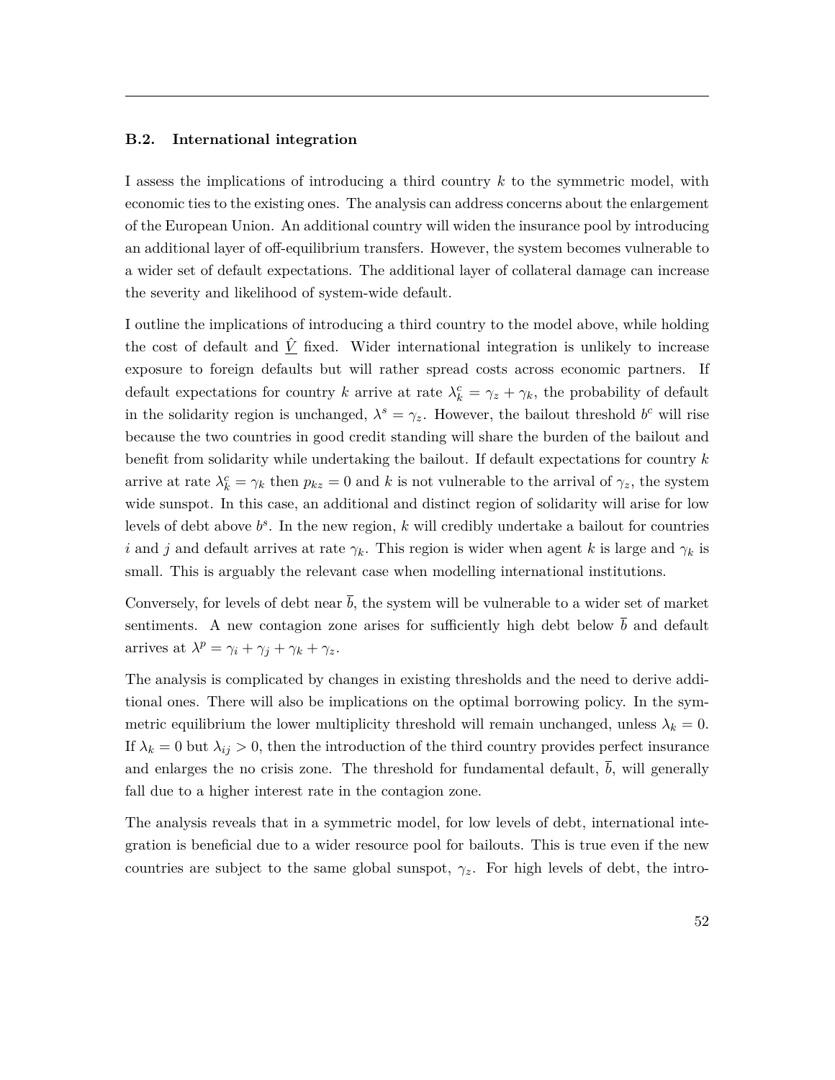### **B.2. International integration**

I assess the implications of introducing a third country *k* to the symmetric model, with economic ties to the existing ones. The analysis can address concerns about the enlargement of the European Union. An additional country will widen the insurance pool by introducing an additional layer of off-equilibrium transfers. However, the system becomes vulnerable to a wider set of default expectations. The additional layer of collateral damage can increase the severity and likelihood of system-wide default.

I outline the implications of introducing a third country to the model above, while holding the cost of default and  $\hat{V}$  fixed. Wider international integration is unlikely to increase exposure to foreign defaults but will rather spread costs across economic partners. If default expectations for country *k* arrive at rate  $\lambda_k^c = \gamma_z + \gamma_k$ , the probability of default in the solidarity region is unchanged,  $\lambda^s = \gamma_z$ . However, the bailout threshold *b<sup>c</sup>* will rise because the two countries in good credit standing will share the burden of the bailout and benefit from solidarity while undertaking the bailout. If default expectations for country *k* arrive at rate  $\lambda_k^c = \gamma_k$  then  $p_{kz} = 0$  and *k* is not vulnerable to the arrival of  $\gamma_z$ , the system wide sunspot. In this case, an additional and distinct region of solidarity will arise for low levels of debt above  $b^s$ . In the new region, *k* will credibly undertake a bailout for countries *i* and *j* and default arrives at rate  $\gamma_k$ . This region is wider when agent *k* is large and  $\gamma_k$  is small. This is arguably the relevant case when modelling international institutions.

Conversely, for levels of debt near  $\bar{b}$ , the system will be vulnerable to a wider set of market sentiments. A new contagion zone arises for sufficiently high debt below  $\bar{b}$  and default arrives at  $\lambda^p = \gamma_i + \gamma_j + \gamma_k + \gamma_z$ .

The analysis is complicated by changes in existing thresholds and the need to derive additional ones. There will also be implications on the optimal borrowing policy. In the symmetric equilibrium the lower multiplicity threshold will remain unchanged, unless  $\lambda_k = 0$ . If  $\lambda_k = 0$  but  $\lambda_{ij} > 0$ , then the introduction of the third country provides perfect insurance and enlarges the no crisis zone. The threshold for fundamental default,  $\bar{b}$ , will generally fall due to a higher interest rate in the contagion zone.

The analysis reveals that in a symmetric model, for low levels of debt, international integration is beneficial due to a wider resource pool for bailouts. This is true even if the new countries are subject to the same global sunspot,  $\gamma_z$ . For high levels of debt, the intro